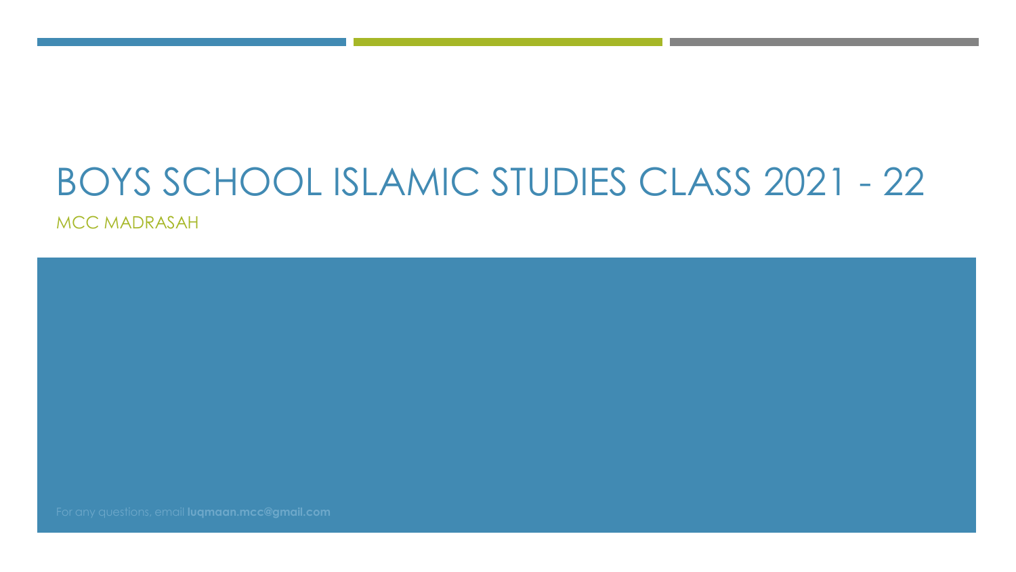# BOYS SCHOOL ISLAMIC STUDIES CLASS 2021 - 22

MCC MADRASAH

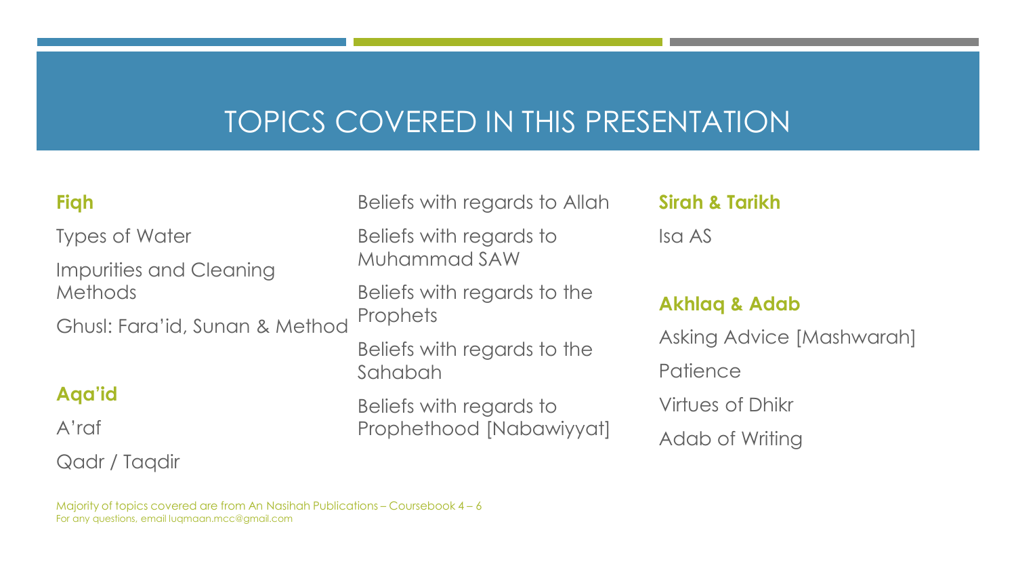### TOPICS COVERED IN THIS PRESENTATION

#### **Fiqh**

Types of Water Impurities and Cleaning Methods

Ghusl: Fara'id, Sunan & Method

#### **Aqa'id**

A'raf

#### Qadr / Taqdir

Beliefs with regards to Allah

Beliefs with regards to Muhammad SAW

Beliefs with regards to the **Prophets** 

Beliefs with regards to the Sahabah

Beliefs with regards to Prophethood [Nabawiyyat] **Sirah & Tarikh**

Isa AS

#### **Akhlaq & Adab**

Asking Advice [Mashwarah] **Patience** Virtues of Dhikr Adab of Writing

Majority of topics covered are from An Nasihah Publications – Coursebook 4 – 6 For any questions, email luqmaan.mcc@gmail.com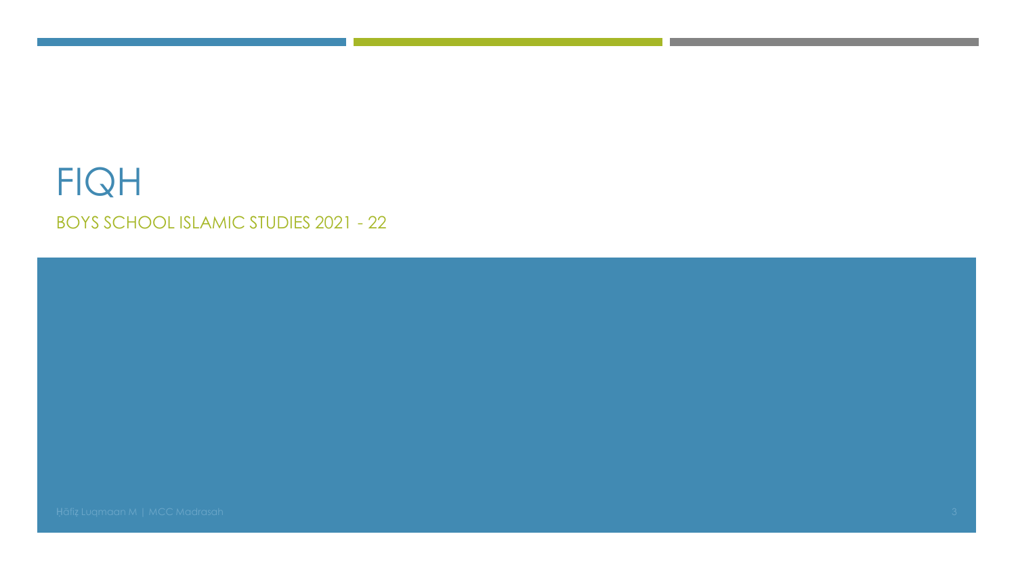### **FIQH BOYS SCHOOL ISLAMIC STUDIES 2021 - 22**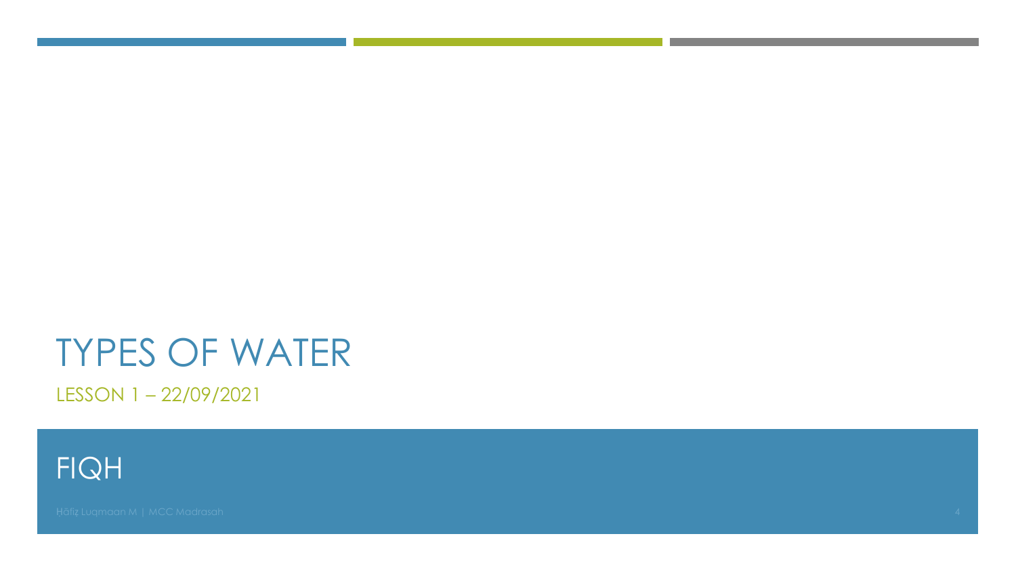LESSON 1-22/09/2021

**FIQH**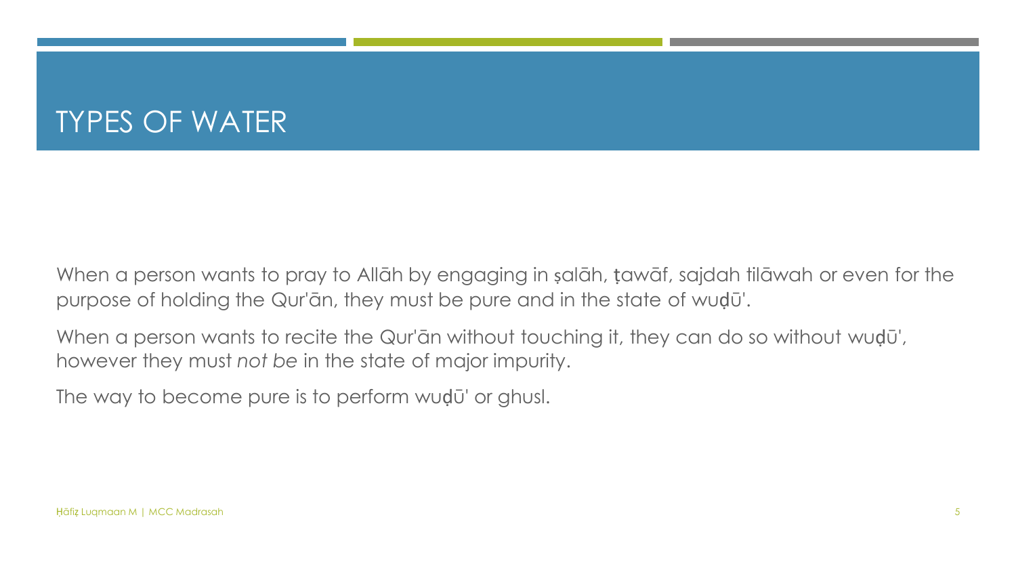When a person wants to pray to Allāh by engaging in salāh, tawāf, sajdah tilāwah or even for the purpose of holding the Qur'ān, they must be pure and in the state of wuḍū'.

When a person wants to recite the Qur'ān without touching it, they can do so without wudū', however they must *not be* in the state of major impurity.

The way to become pure is to perform wuḍū' or ghusl.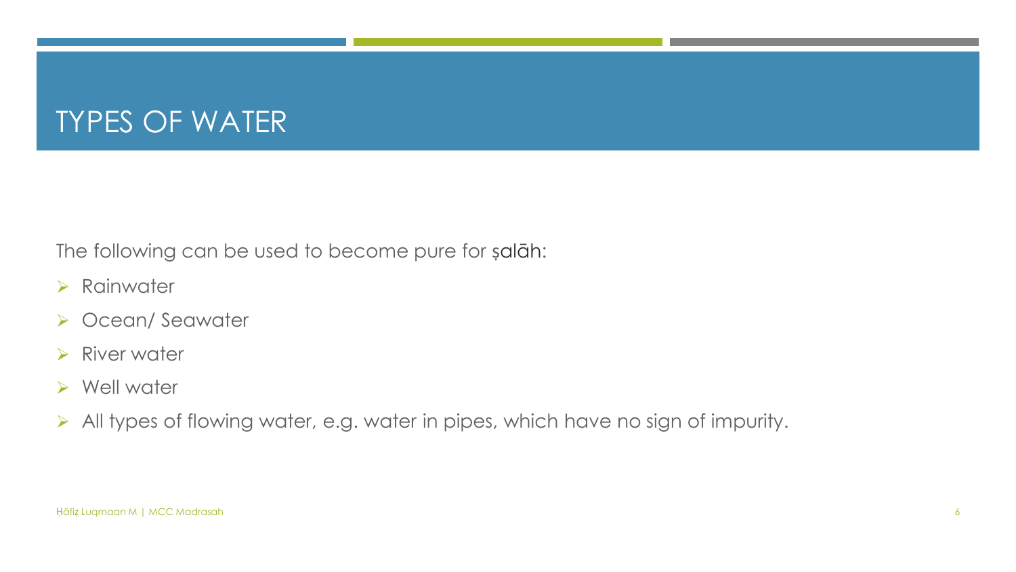The following can be used to become pure for ṣalāh:

- ➢ Rainwater
- ➢ Ocean/ Seawater
- ➢ River water
- ➢ Well water
- ➢ All types of flowing water, e.g. water in pipes, which have no sign of impurity.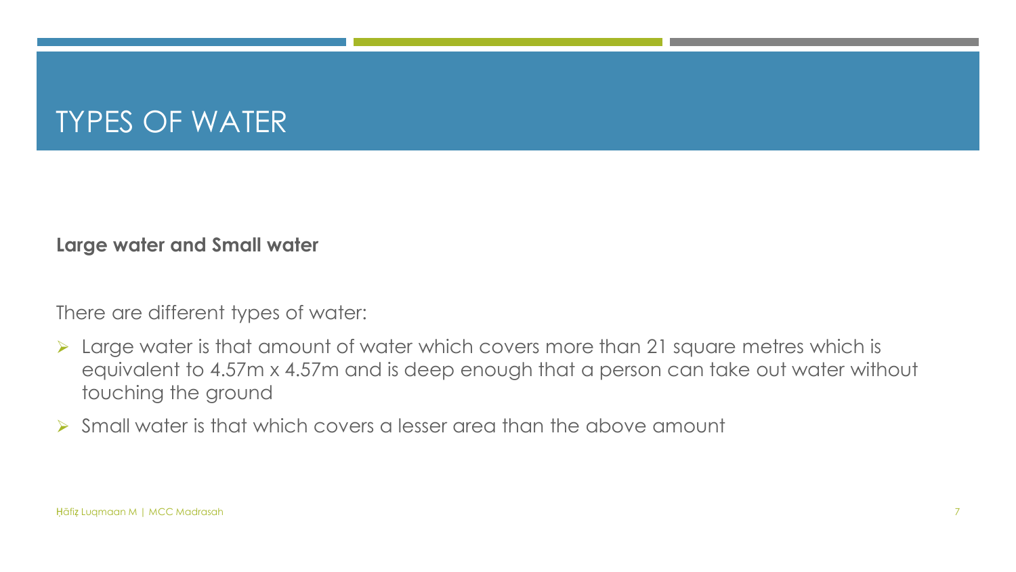#### **Large water and Small water**

There are different types of water:

- ➢ Large water is that amount of water which covers more than 21 square metres which is equivalent to 4.57m x 4.57m and is deep enough that a person can take out water without touching the ground
- ➢ Small water is that which covers a lesser area than the above amount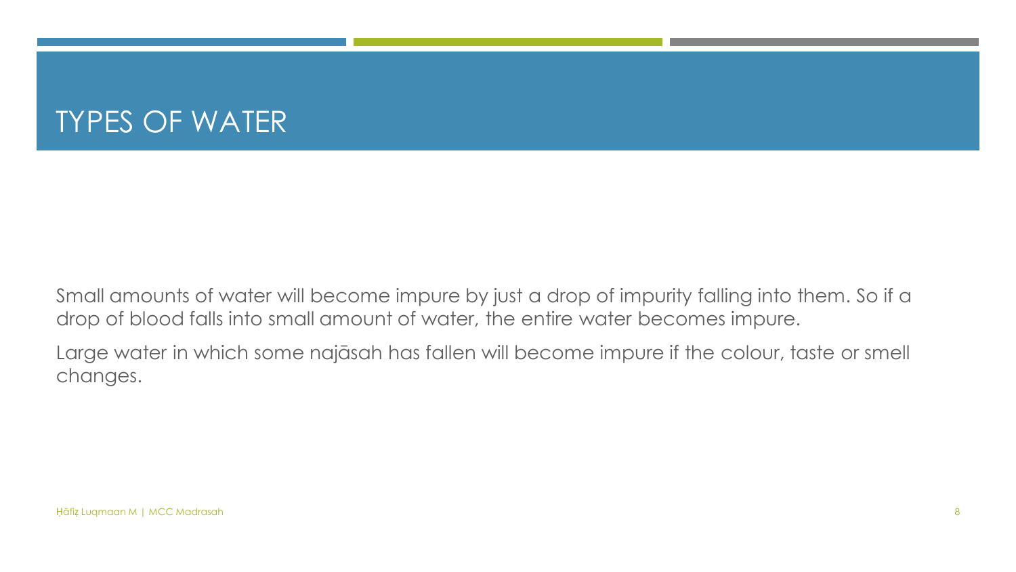Small amounts of water will become impure by just a drop of impurity falling into them. So if a drop of blood falls into small amount of water, the entire water becomes impure.

Large water in which some najāsah has fallen will become impure if the colour, taste or smell changes.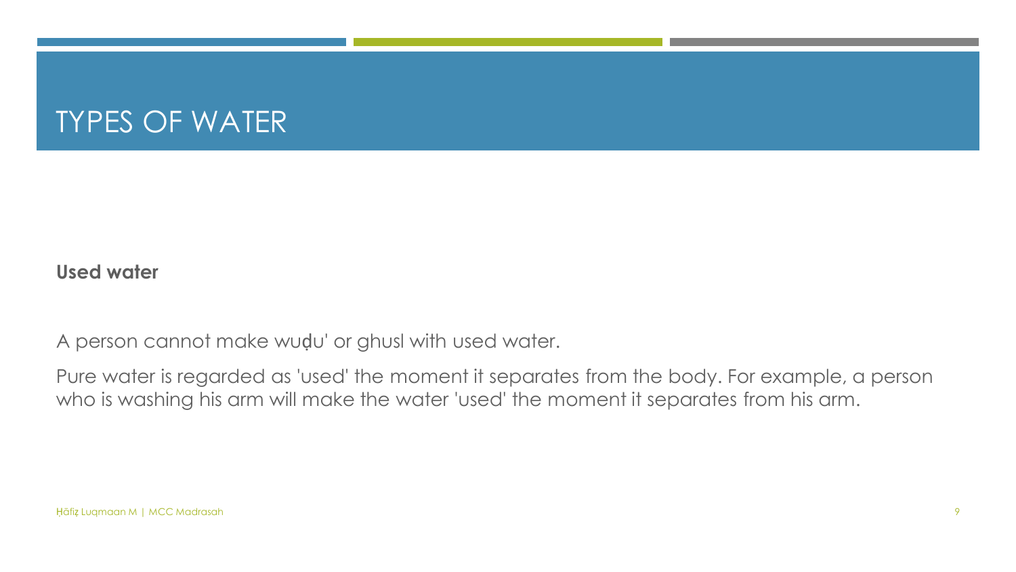#### **Used water**

A person cannot make wuḍu' or ghusl with used water.

Pure water is regarded as 'used' the moment it separates from the body. For example, a person who is washing his arm will make the water 'used' the moment it separates from his arm.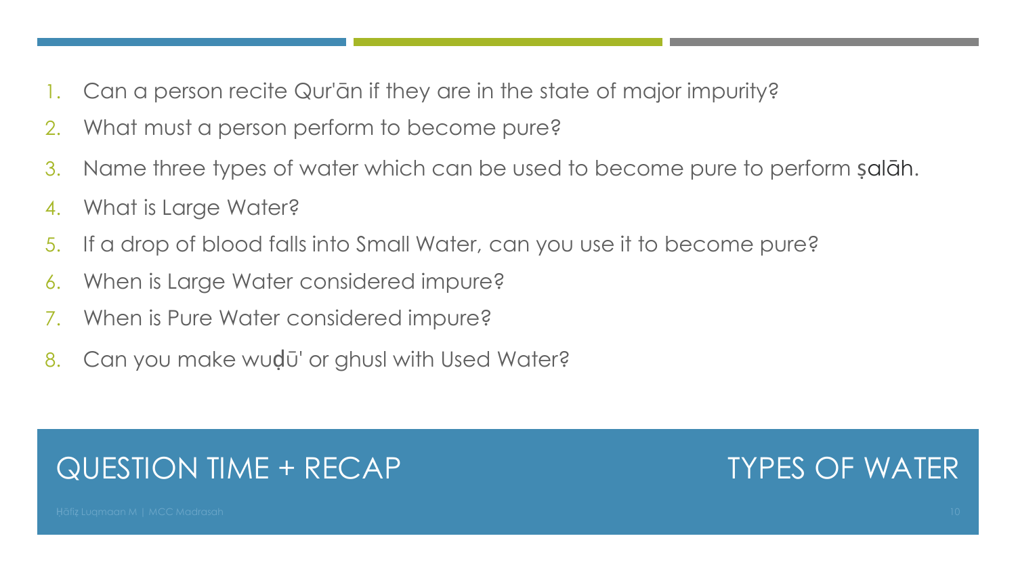- Can a person recite Qur'ān if they are in the state of major impurity?
- 2. What must a person perform to become pure?
- 3. Name three types of water which can be used to become pure to perform ṣalāh.
- 4. What is Large Water?
- 5. If a drop of blood falls into Small Water, can you use it to become pure?
- 6. When is Large Water considered impure?
- 7. When is Pure Water considered impure?
- 8. Can you make wudū' or ghusl with Used Water?

#### QUESTION TIME + RECAP

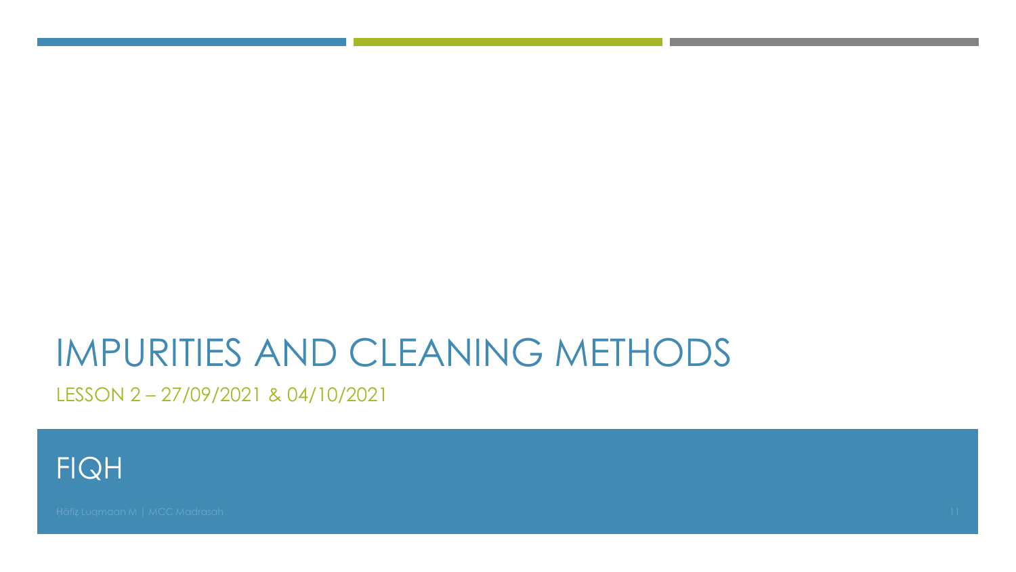LESSON 2-27/09/2021 & 04/10/2021

**FIQH**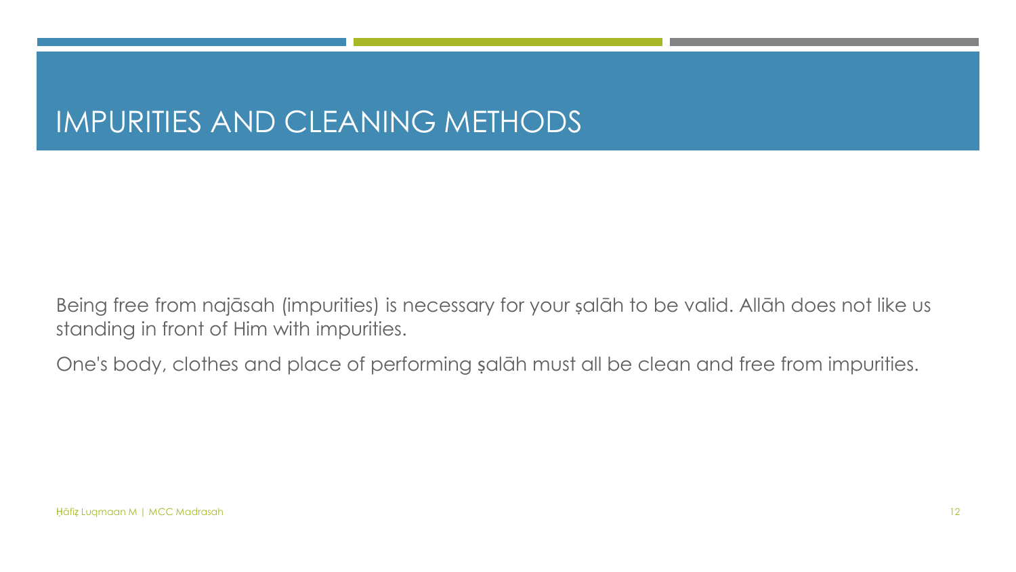Being free from najāsah (impurities) is necessary for your ṣalāh to be valid. Allāh does not like us standing in front of Him with impurities.

One's body, clothes and place of performing ṣalāh must all be clean and free from impurities.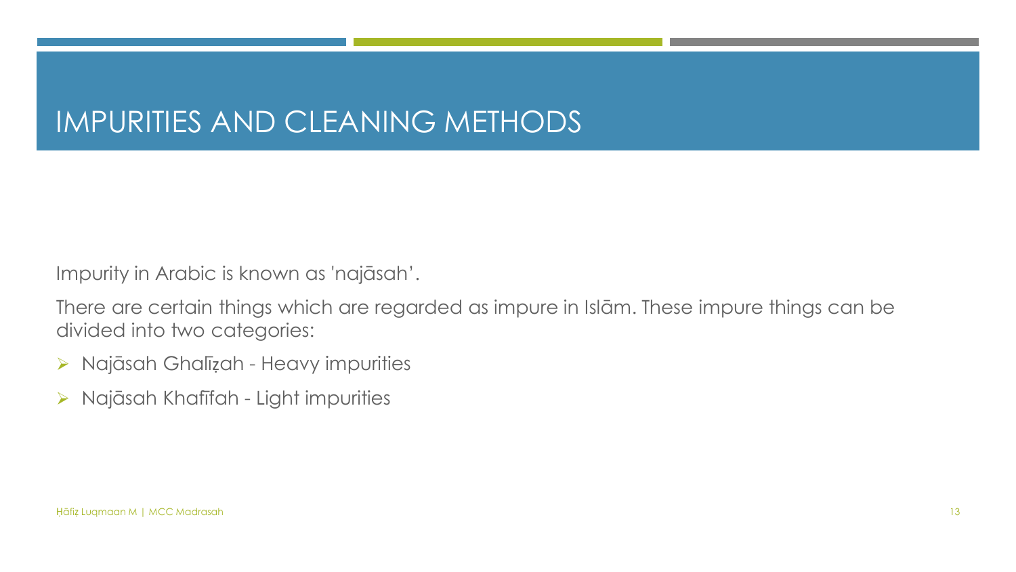Impurity in Arabic is known as 'najāsah'.

There are certain things which are regarded as impure in Islām. These impure things can be divided into two categories:

- ➢ Najāsah Ghalīẓah Heavy impurities
- ➢ Najāsah Khafīfah Light impurities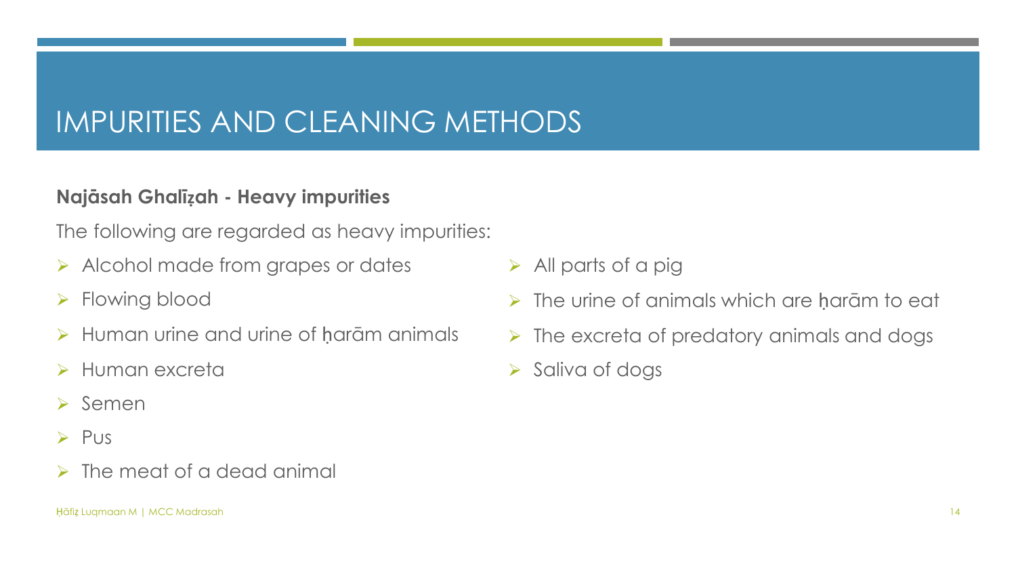#### **Najāsah Ghalīẓah - Heavy impurities**

The following are regarded as heavy impurities:

- ➢ Alcohol made from grapes or dates
- ➢ Flowing blood
- ➢ Human urine and urine of ḥarām animals
- ➢ Human excreta
- ➢ Semen
- ➢ Pus
- ➢ The meat of a dead animal
- ➢ All parts of a pig
- $\triangleright$  The urine of animals which are haram to eat
- $\triangleright$  The excreta of predatory animals and dogs
- ➢ Saliva of dogs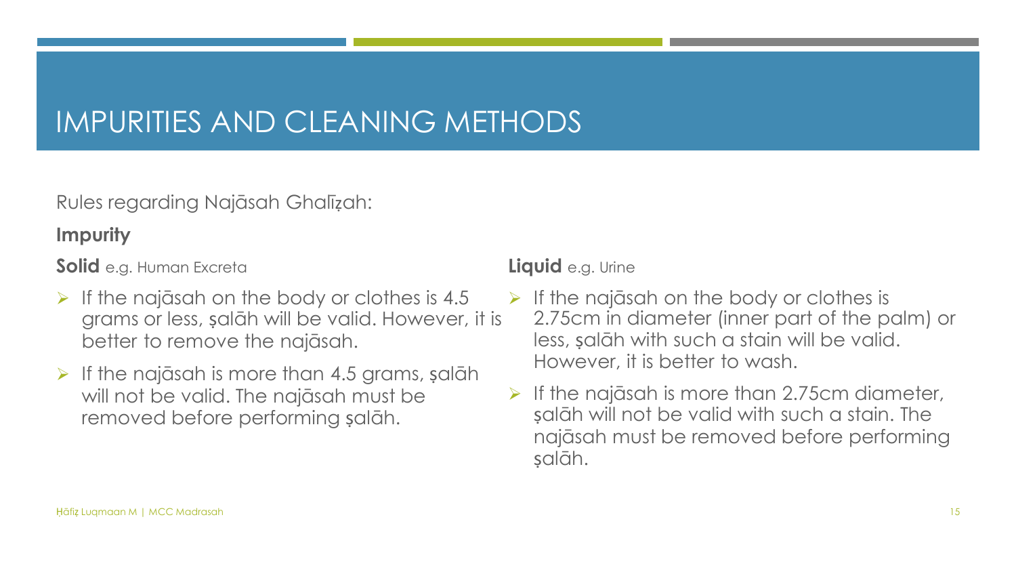Rules regarding Najāsah Ghalīẓah:

#### **Impurity**

**Solid** e.g. Human Excreta

- $\triangleright$  If the najāsah on the body or clothes is 4.5 grams or less, ṣalāh will be valid. However, it is better to remove the najāsah.
- $\triangleright$  If the najāsah is more than 4.5 grams, salāh will not be valid. The najāsah must be removed before performing salāh.

#### **Liquid** e.g. Urine

- $\triangleright$  If the najāsah on the body or clothes is 2.75cm in diameter (inner part of the palm) or less, ṣalāh with such a stain will be valid. However, it is better to wash.
- $\triangleright$  If the najāsah is more than 2.75cm diameter, ṣalāh will not be valid with such a stain. The najāsah must be removed before performing ṣalāh.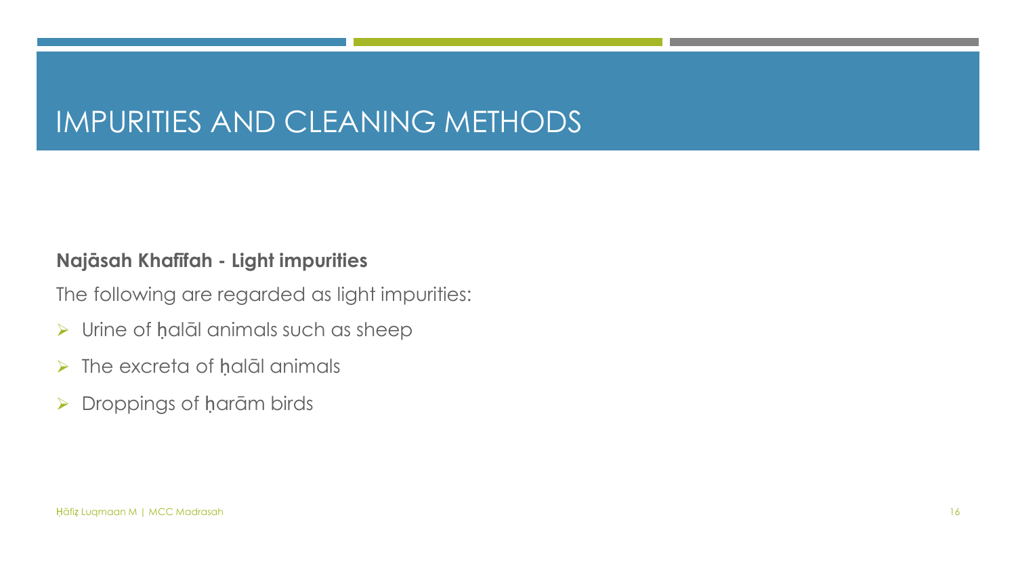#### **Najāsah Khafīfah - Light impurities**

The following are regarded as light impurities:

- ➢ Urine of ḥalāl animals such as sheep
- ➢ The excreta of ḥalāl animals
- ➢ Droppings of ḥarām birds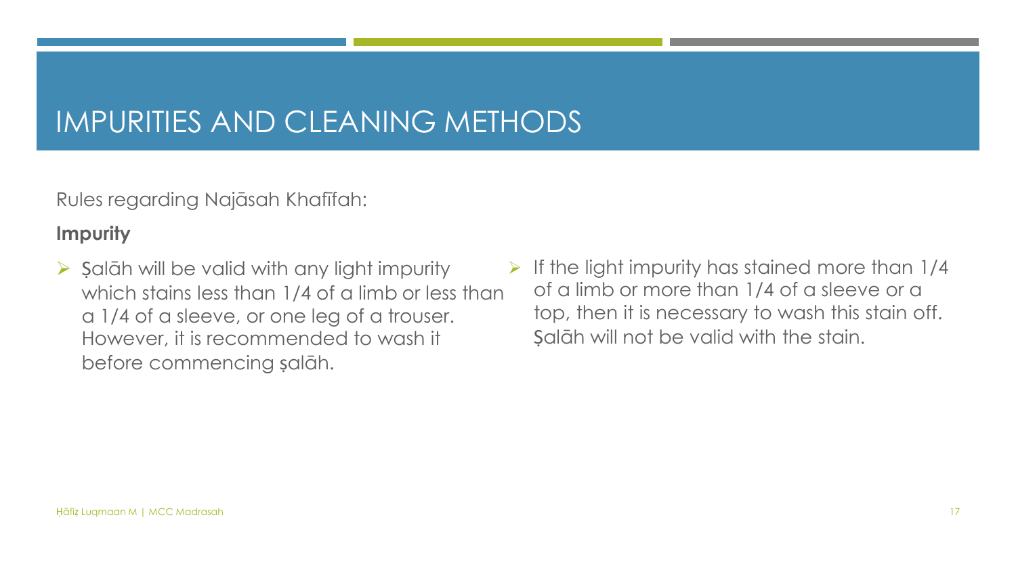Rules regarding Najāsah Khafīfah:

#### **Impurity**

- $\triangleright$  Salāh will be valid with any light impurity which stains less than 1/4 of a limb or less than a 1/4 of a sleeve, or one leg of a trouser. However, it is recommended to wash it before commencing ṣalāh.
- $\triangleright$  If the light impurity has stained more than 1/4 of a limb or more than 1/4 of a sleeve or a top, then it is necessary to wash this stain off. Salāh will not be valid with the stain.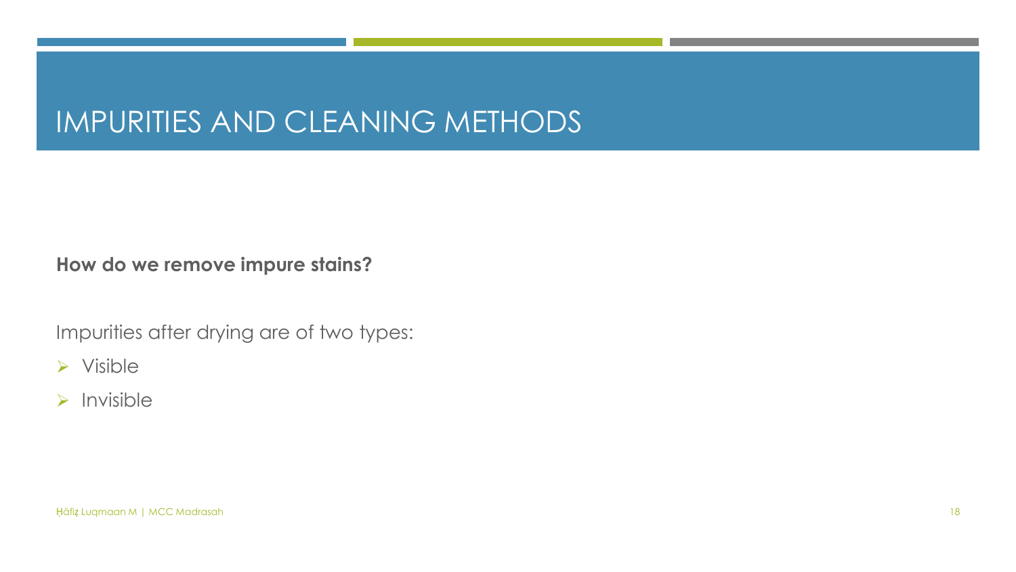**How do we remove impure stains?**

Impurities after drying are of two types:

➢ Visible

➢ Invisible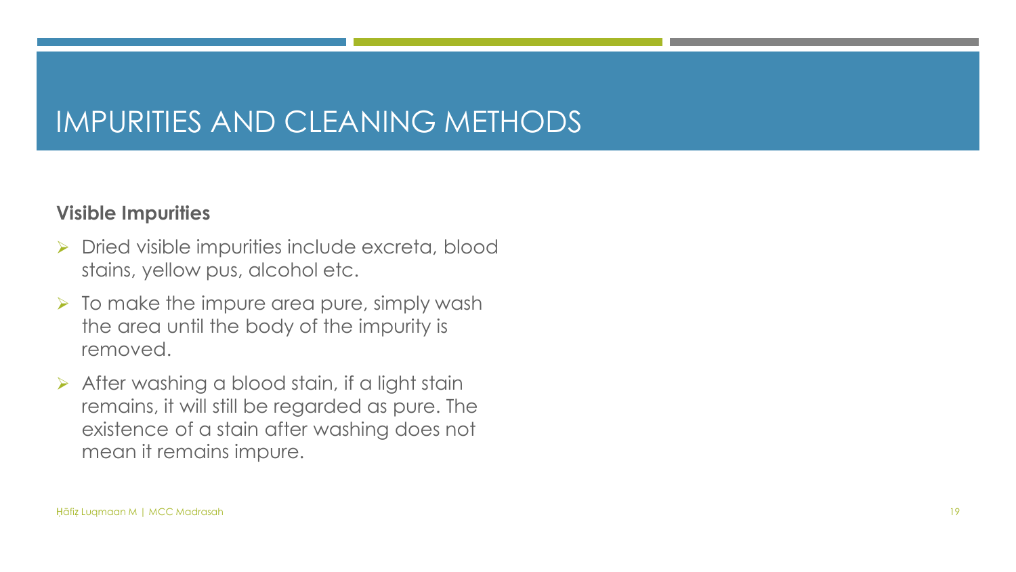#### **Visible Impurities**

- ➢ Dried visible impurities include excreta, blood stains, yellow pus, alcohol etc.
- $\triangleright$  To make the impure area pure, simply wash the area until the body of the impurity is removed.
- $\triangleright$  After washing a blood stain, if a light stain remains, it will still be regarded as pure. The existence of a stain after washing does not mean it remains impure.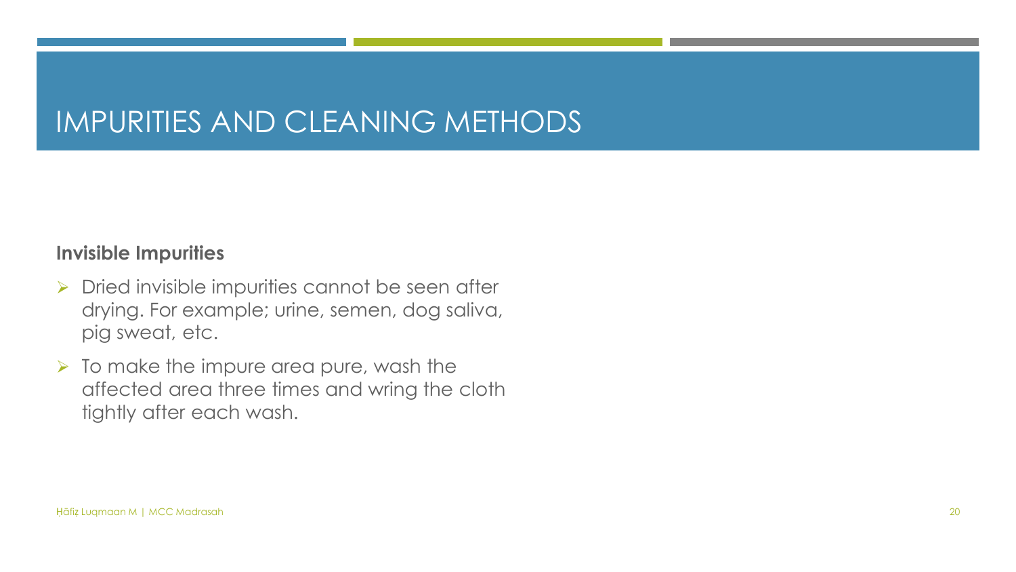#### **Invisible Impurities**

- ➢ Dried invisible impurities cannot be seen after drying. For example; urine, semen, dog saliva, pig sweat, etc.
- ➢ To make the impure area pure, wash the affected area three times and wring the cloth tightly after each wash.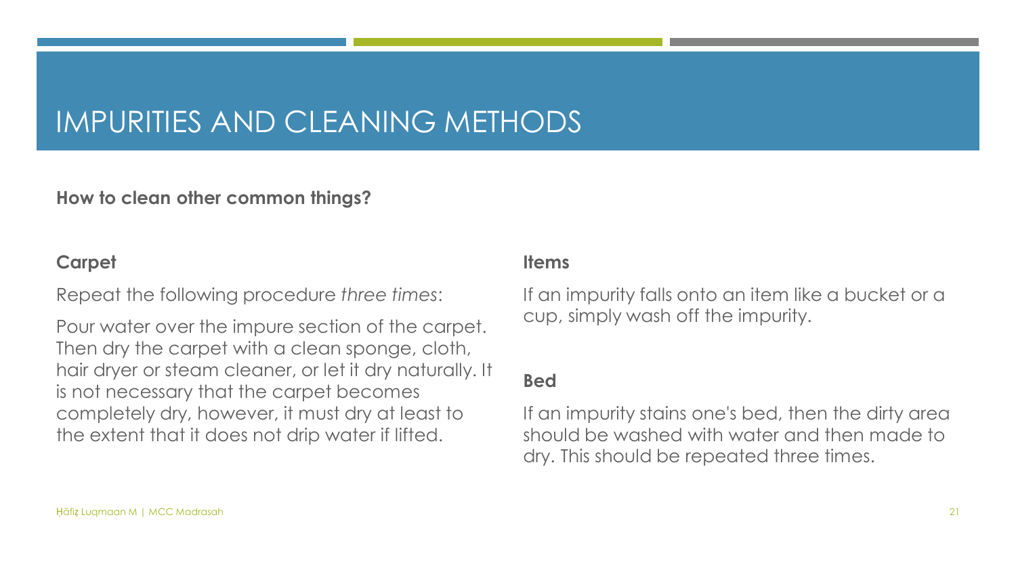#### **How to clean other common things?**

#### **Carpet**

Repeat the following procedure *three times*:

Pour water over the impure section of the carpet. Then dry the carpet with a clean sponge, cloth, hair dryer or steam cleaner, or let it dry naturally. It is not necessary that the carpet becomes completely dry, however, it must dry at least to the extent that it does not drip water if lifted.

#### **Items**

If an impurity falls onto an item like a bucket or a cup, simply wash off the impurity.

#### **Bed**

If an impurity stains one's bed, then the dirty area should be washed with water and then made to dry. This should be repeated three times.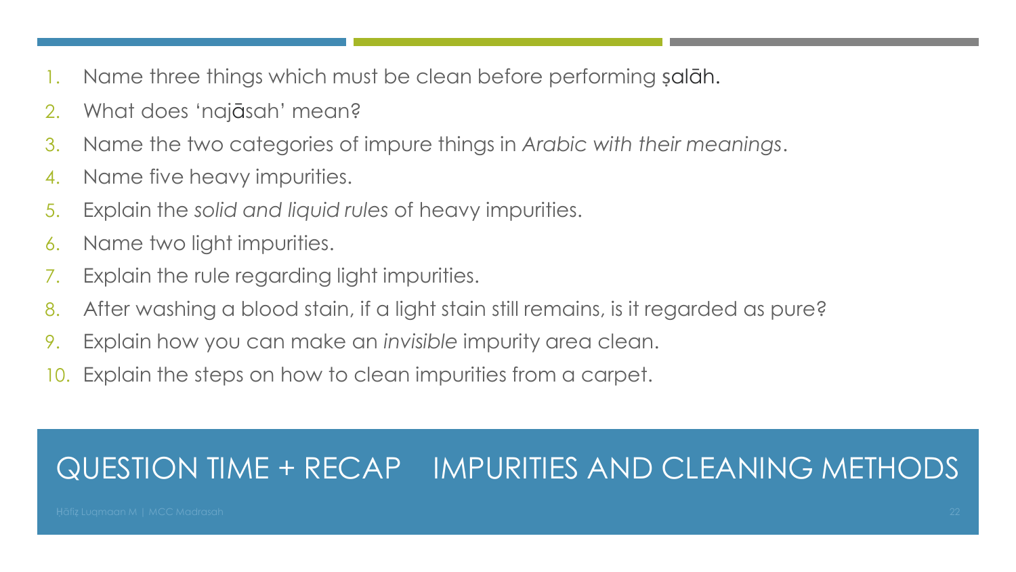- Name three things which must be clean before performing salāh.
- 2. What does 'najāsah' mean?
- 3. Name the two categories of impure things in *Arabic with their meanings*.
- 4. Name five heavy impurities.
- 5. Explain the *solid and liquid rules* of heavy impurities.
- 6. Name two light impurities.
- 7. Explain the rule regarding light impurities.
- 8. After washing a blood stain, if a light stain still remains, is it regarded as pure?
- 9. Explain how you can make an *invisible* impurity area clean.
- 10. Explain the steps on how to clean impurities from a carpet.

### QUESTION TIME + RECAP IMPURITIES AND CLEANING METHODS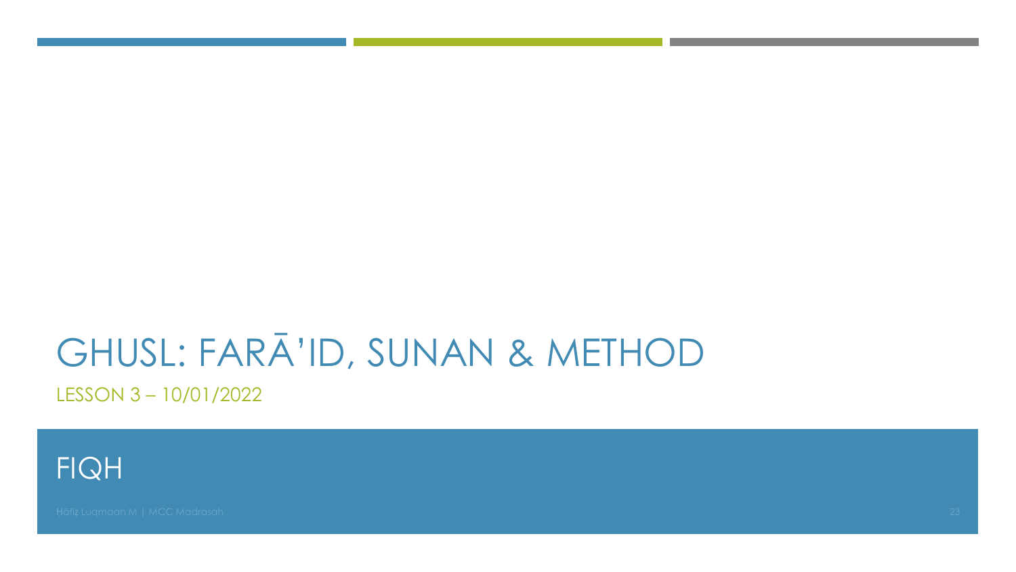# GHUSL: FARĀ'ID, SUNAN & METHOD

LESSON 3-10/01/2022

**FIQH**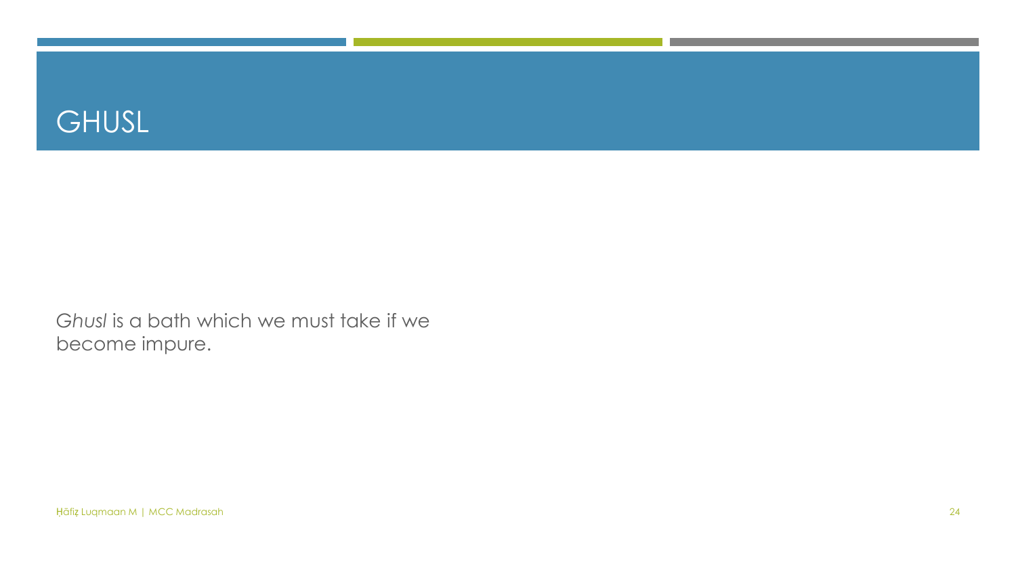

Ghusl is a bath which we must take if we become impure.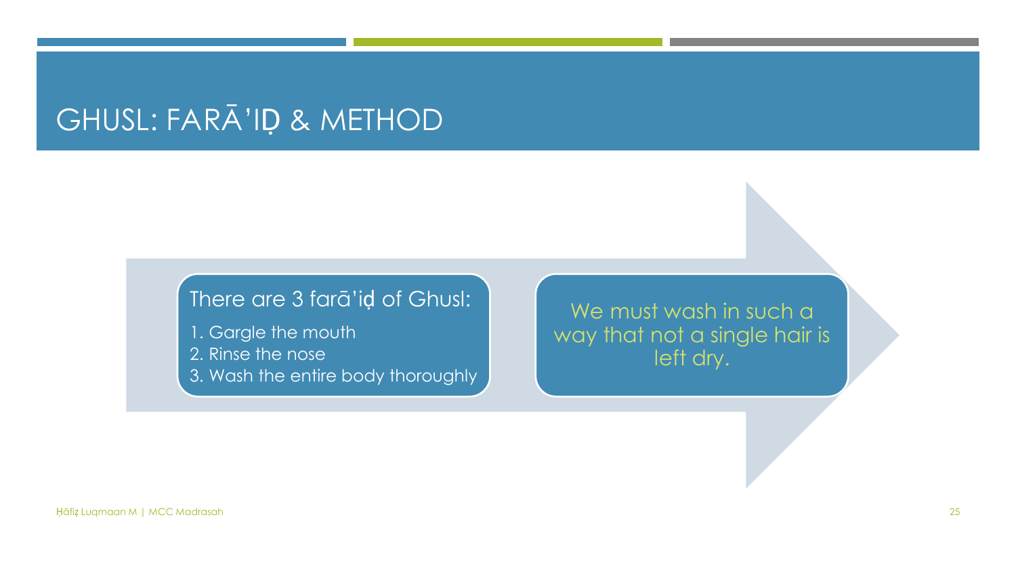### GHUSL: FARĀ'ID & METHOD

#### There are 3 fara'id of Ghusl:

- 1. Gargle the mouth
- 2. Rinse the nose
- 3. Wash the entire body thoroughly

We must wash in such a way that not a single hair is left dry.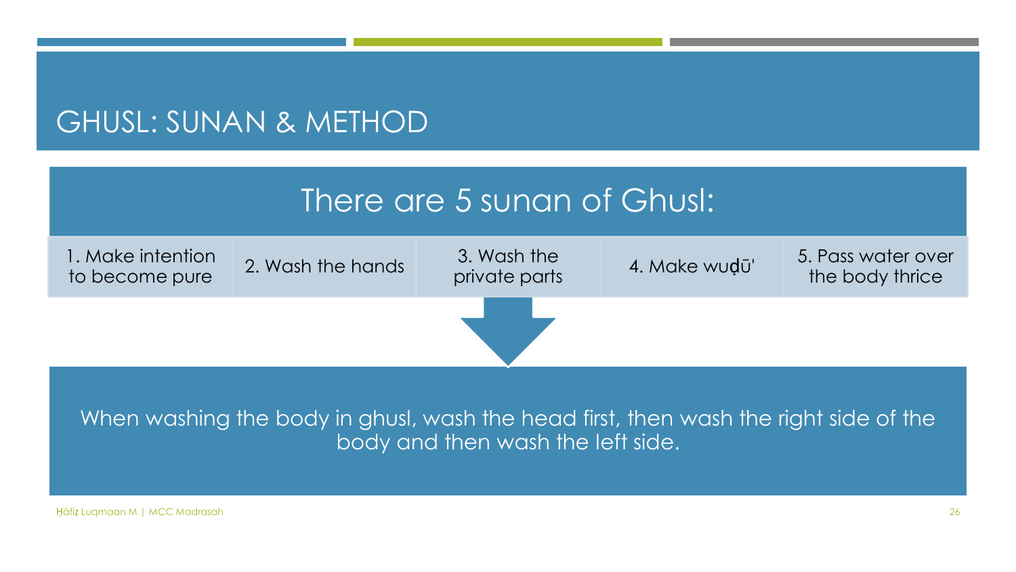#### GHUSL: SUNAN & METHOD

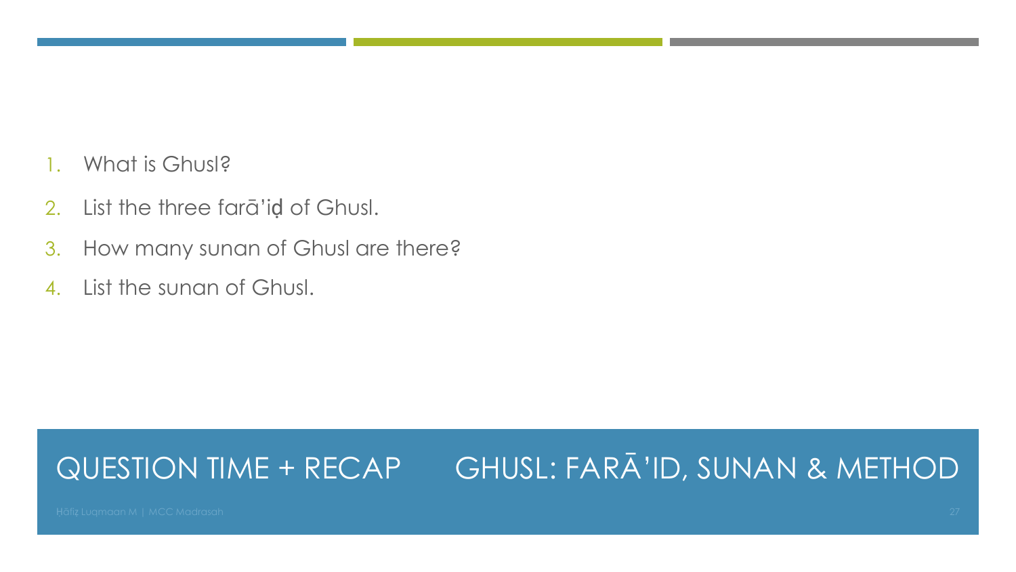- 1. What is Ghusl?
- 2. List the three farā'iḍ of Ghusl.
- 3. How many sunan of Ghusl are there?
- 4. List the sunan of Ghusl.

#### QUESTION TIME + RECAP GHUSL: FARĀ'ID, SUNAN & METHOD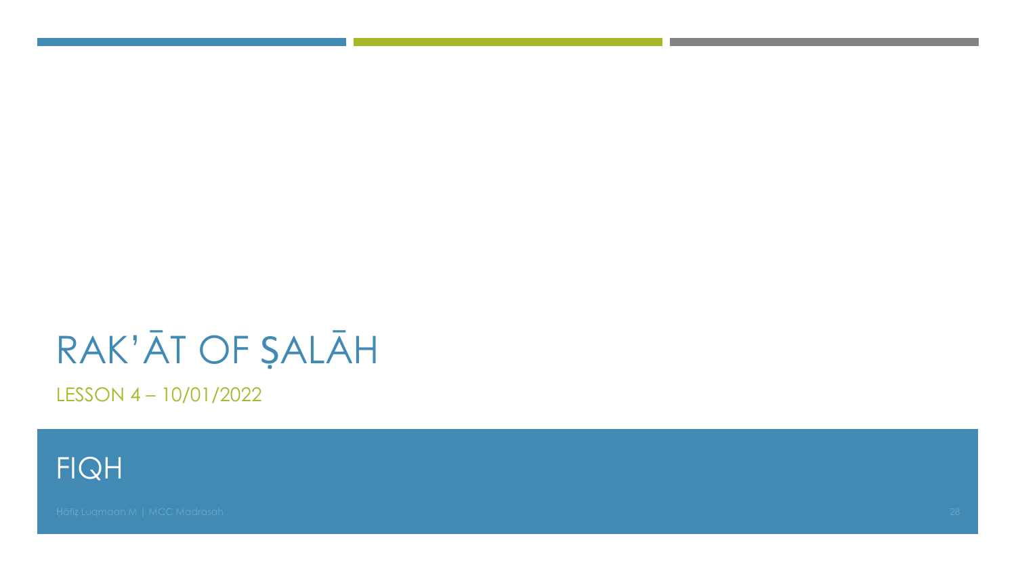# RAK'ĀT OF ŞALĀH

LESSON 4-10/01/2022

**FIQH**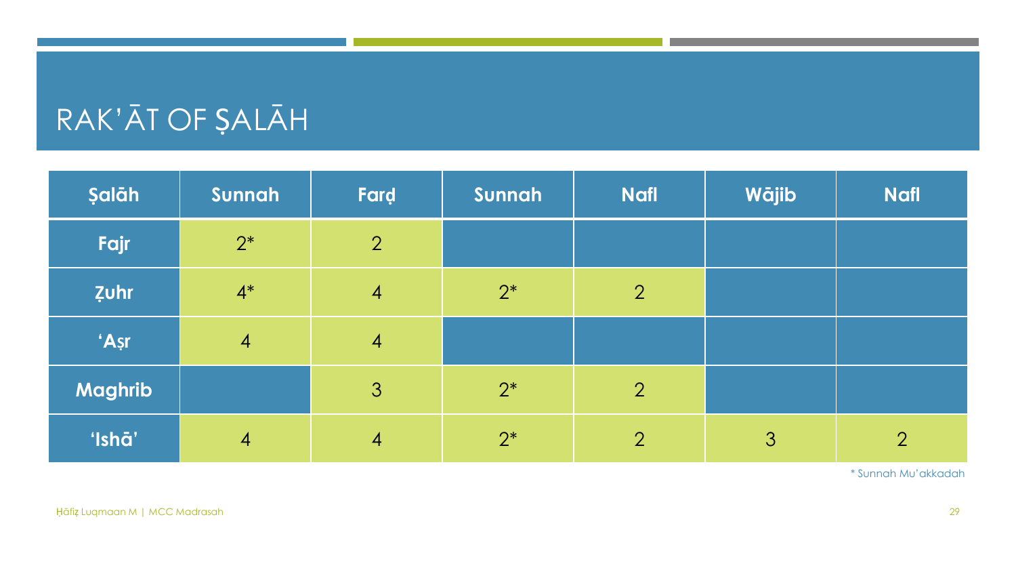## RAK'ĀT OF ṢALĀH

| Şalāh          | Sunnah         | Fard           | Sunnah | <b>Nafl</b>    | Wājib | <b>Nafl</b>    |
|----------------|----------------|----------------|--------|----------------|-------|----------------|
| Fajr           | $2^*$          | $\overline{2}$ |        |                |       |                |
| <b>Zuhr</b>    | $4^*$          | $\overline{4}$ | $2^*$  | $\overline{2}$ |       |                |
| 'Așr           | $\overline{4}$ | $\overline{4}$ |        |                |       |                |
| <b>Maghrib</b> |                | 3              | $2^*$  | $\overline{2}$ |       |                |
| 'Ishā'         | $\overline{4}$ | $\overline{4}$ | $2^*$  | $\overline{2}$ | 3     | $\overline{2}$ |

\* Sunnah Mu'akkadah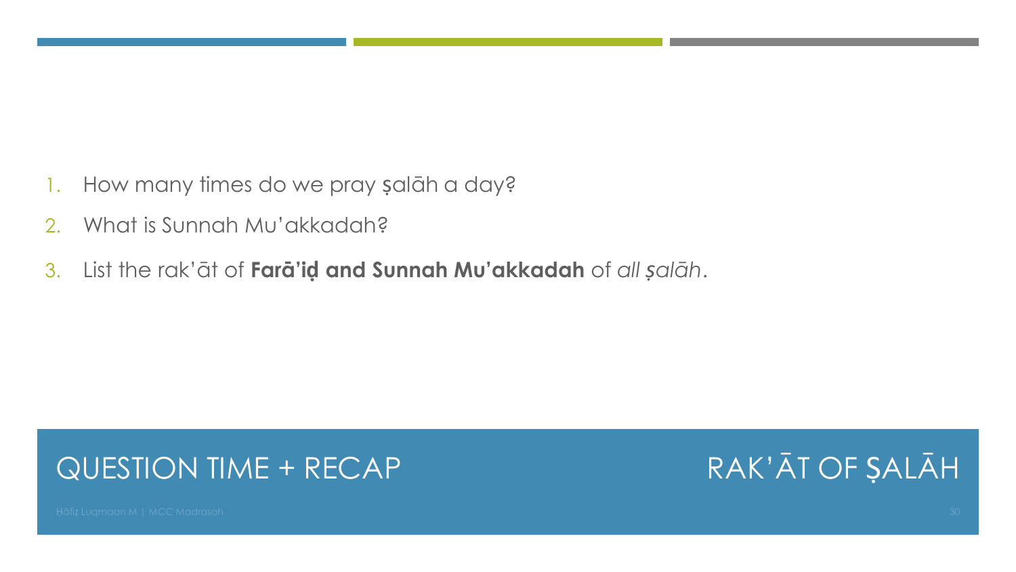- 1. How many times do we pray ṣalāh a day?
- 2. What is Sunnah Mu'akkadah?
- 3. List the rak'āt of **Farā'iḍ and Sunnah Mu'akkadah** of *all ṣalāh*.

### QUESTION TIME + RECAP

RAK'ĀT OF ṢALĀH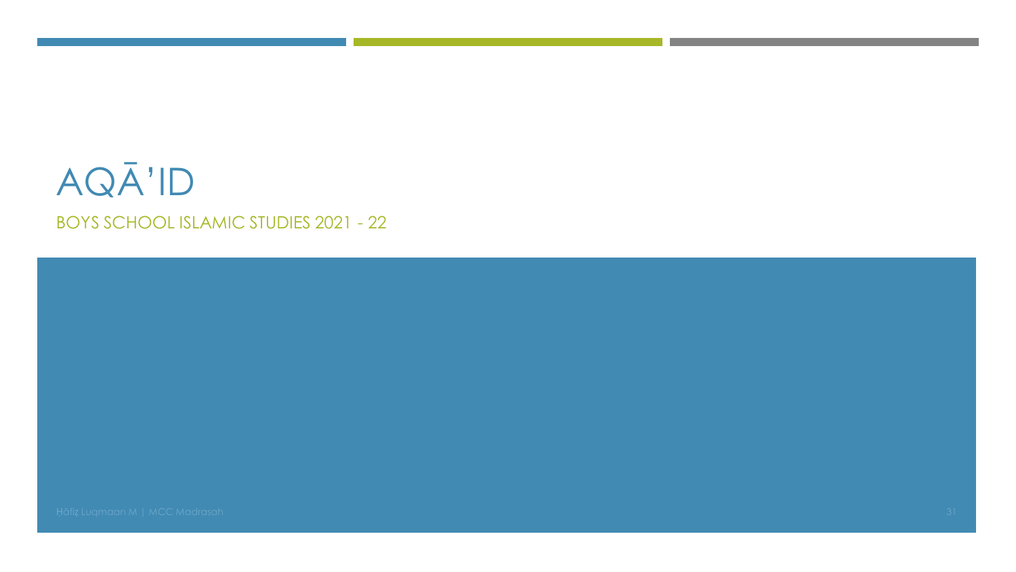### AQĀ'ID **BOYS SCHOOL ISLAMIC STUDIES 2021 - 22**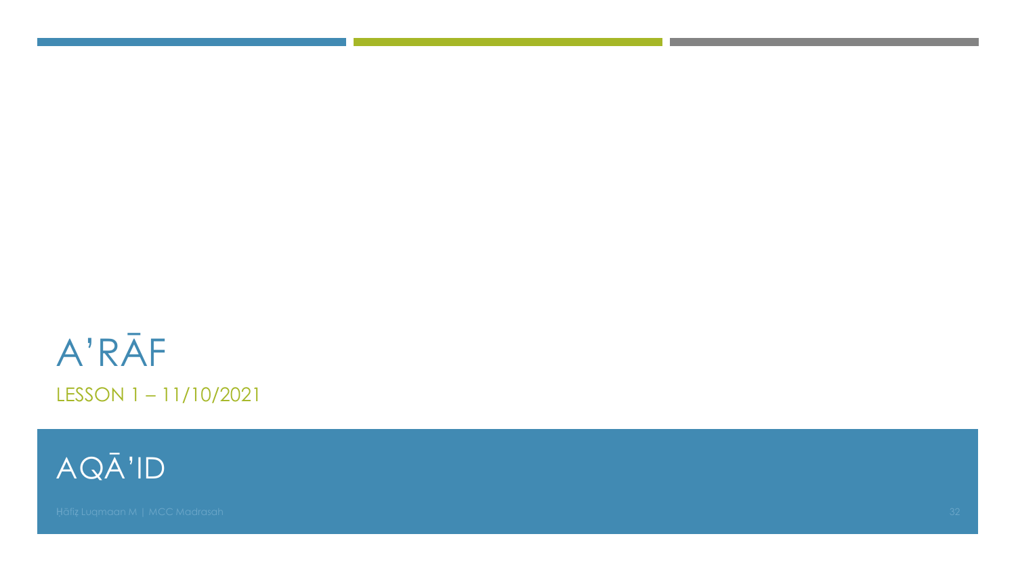## A'RĀF LESSON 1-11/10/2021

AQĀ'ID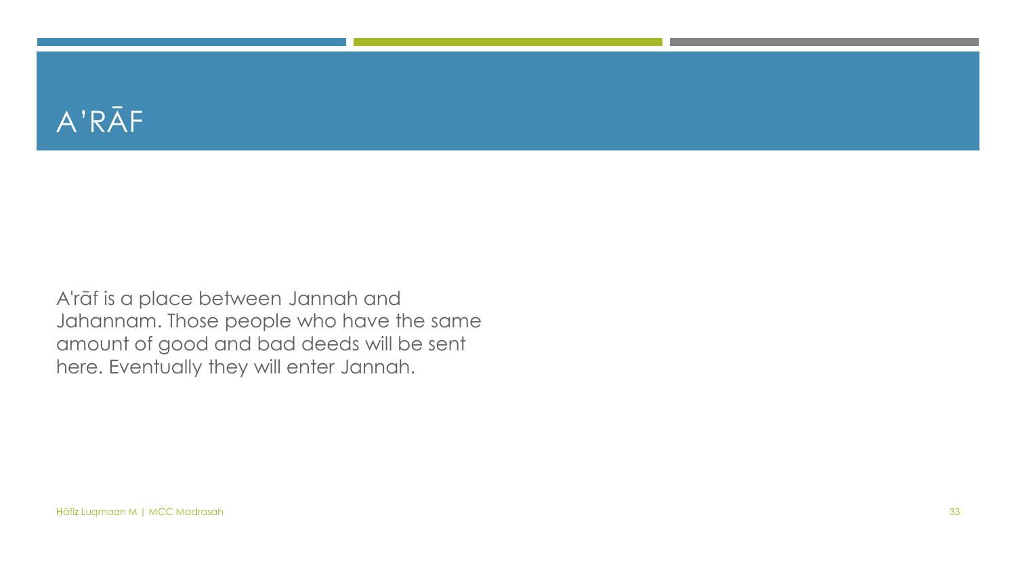### A'RĀF

A'rāf is a place between Jannah and Jahannam. Those people who have the same amount of good and bad deeds will be sent here. Eventually they will enter Jannah.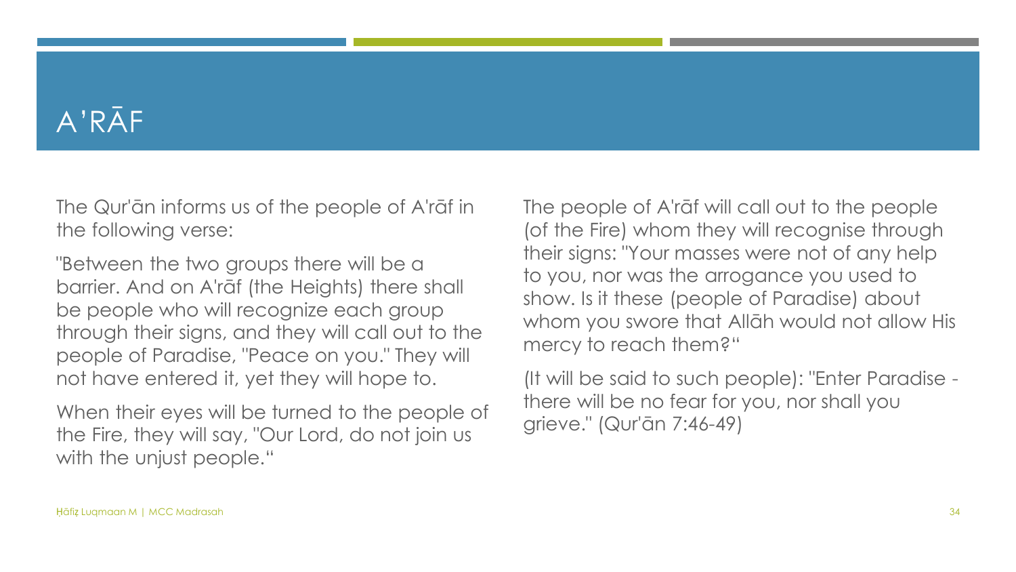### A'RĀF

The Qur'ān informs us of the people of A'rāf in the following verse:

"Between the two groups there will be a barrier. And on A'rāf (the Heights) there shall be people who will recognize each group through their signs, and they will call out to the people of Paradise, "Peace on you." They will not have entered it, yet they will hope to.

When their eyes will be turned to the people of the Fire, they will say, "Our Lord, do not join us with the unjust people."

The people of A'rāf will call out to the people (of the Fire) whom they will recognise through their signs: "Your masses were not of any help to you, nor was the arrogance you used to show. Is it these (people of Paradise) about whom you swore that Allāh would not allow His mercy to reach them?"

(It will be said to such people): "Enter Paradise there will be no fear for you, nor shall you grieve." (Qur'ān 7:46-49)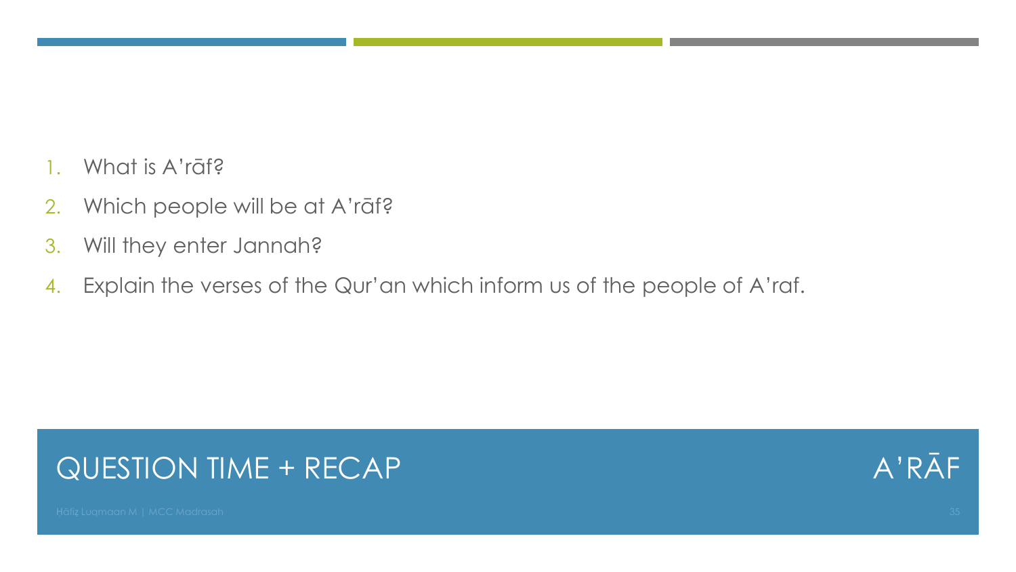- 1. What is A'rāf?
- 2. Which people will be at A'rāf?
- 3. Will they enter Jannah?
- 4. Explain the verses of the Qur'an which inform us of the people of A'raf.

### QUESTION TIME + RECAP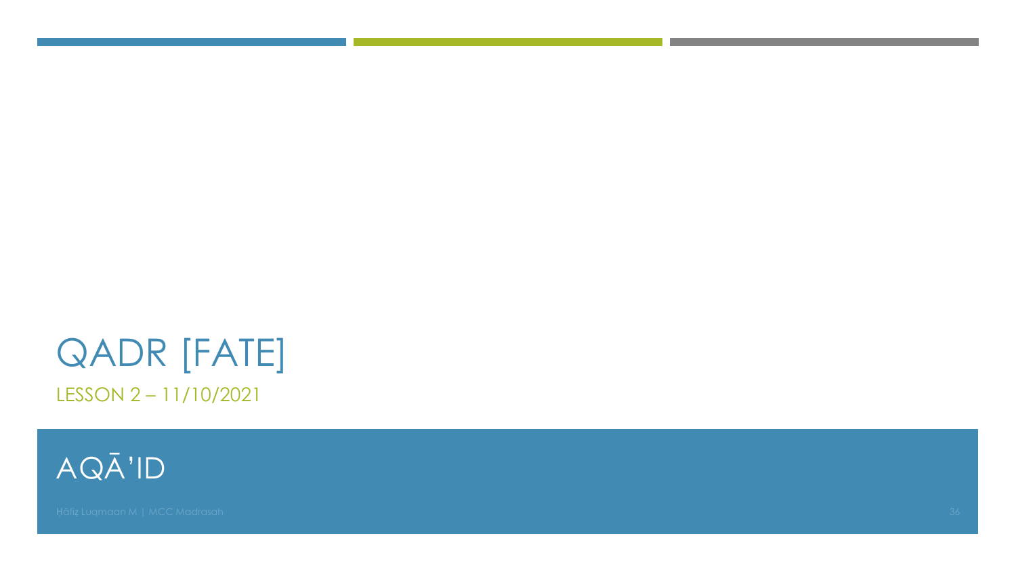### **QADR [FATE]** LESSON 2-11/10/2021

AQĀ'ID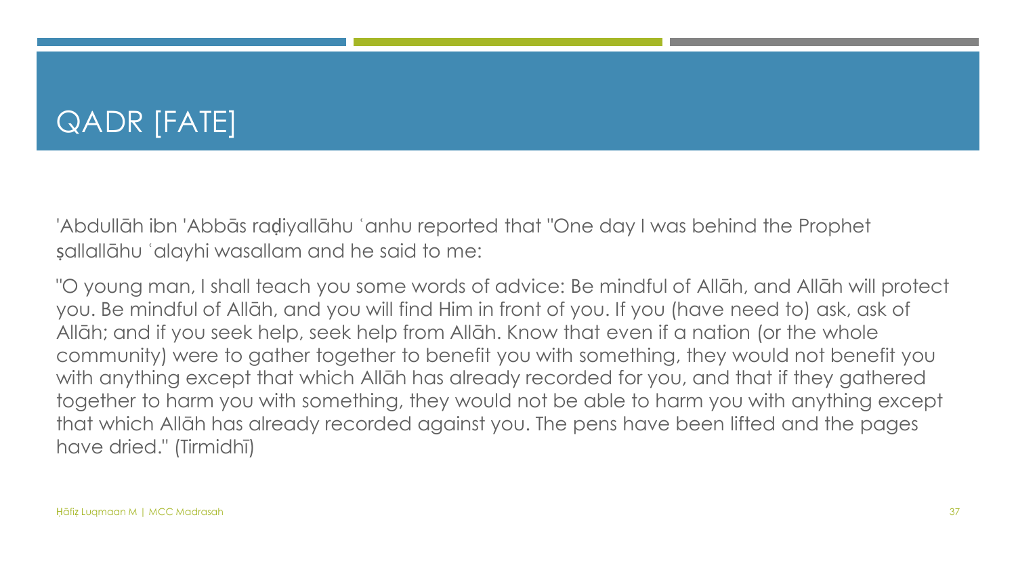### QADR [FATE]

'Abdullāh ibn 'Abbās raḍiyallāhu ʿanhu reported that "One day I was behind the Prophet ṣallallāhu ʿalayhi wasallam and he said to me:

"O young man, I shall teach you some words of advice: Be mindful of Allāh, and Allāh will protect you. Be mindful of Allāh, and you will find Him in front of you. If you (have need to) ask, ask of Allāh; and if you seek help, seek help from Allāh. Know that even if a nation (or the whole community) were to gather together to benefit you with something, they would not benefit you with anything except that which Allāh has already recorded for you, and that if they gathered together to harm you with something, they would not be able to harm you with anything except that which Allāh has already recorded against you. The pens have been lifted and the pages have dried." (Tirmidhī)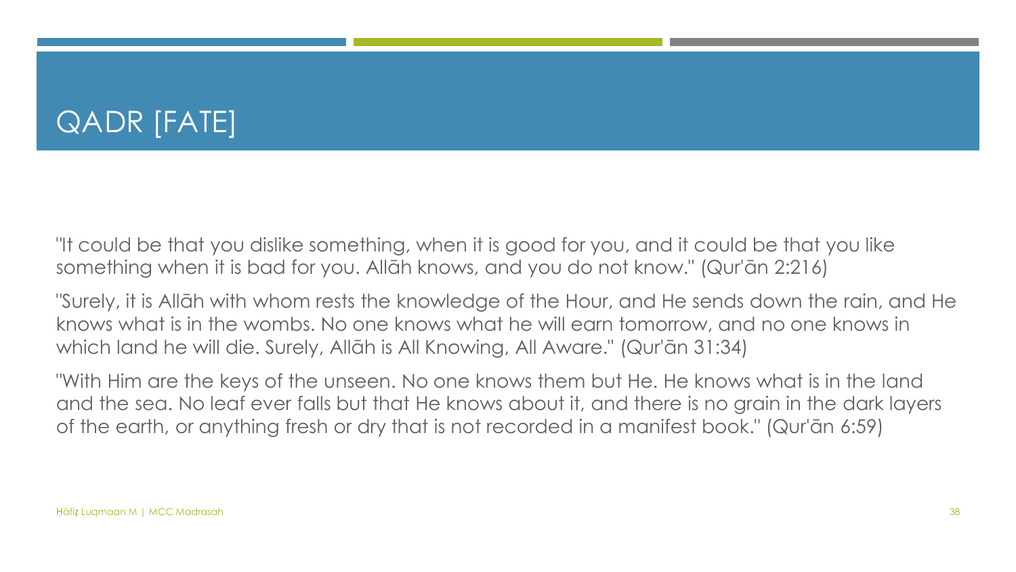### QADR [FATE]

"It could be that you dislike something, when it is good for you, and it could be that you like something when it is bad for you. Allāh knows, and you do not know." (Qur'ān 2:216)

"Surely, it is Allāh with whom rests the knowledge of the Hour, and He sends down the rain, and He knows what is in the wombs. No one knows what he will earn tomorrow, and no one knows in which land he will die. Surely, Allāh is All Knowing, All Aware." (Qur'ān 31:34)

"With Him are the keys of the unseen. No one knows them but He. He knows what is in the land and the sea. No leaf ever falls but that He knows about it, and there is no grain in the dark layers of the earth, or anything fresh or dry that is not recorded in a manifest book." (Qur'ān 6:59)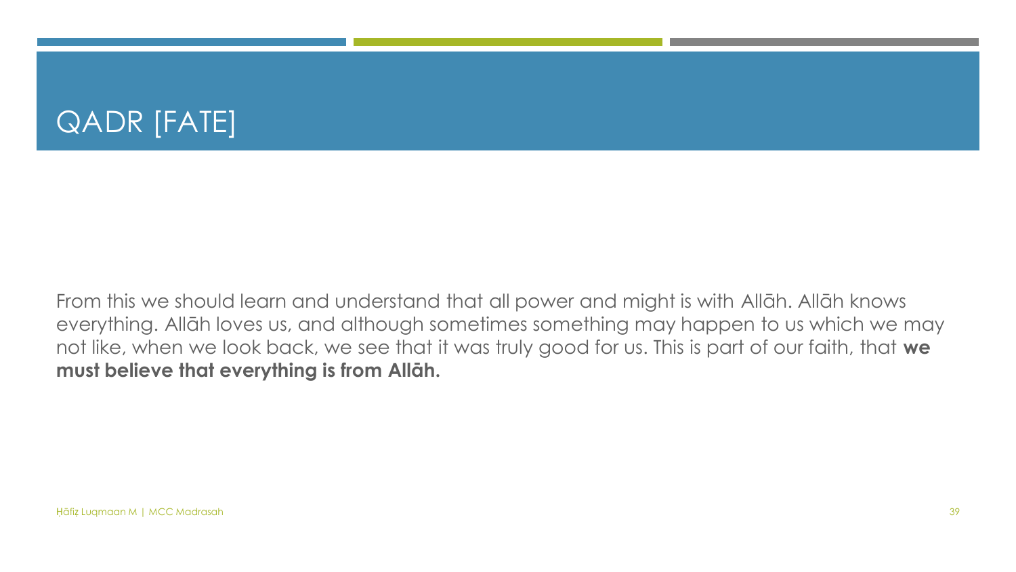### QADR [FATE]

From this we should learn and understand that all power and might is with Allāh. Allāh knows everything. Allāh loves us, and although sometimes something may happen to us which we may not like, when we look back, we see that it was truly good for us. This is part of our faith, that **we must believe that everything is from Allāh.**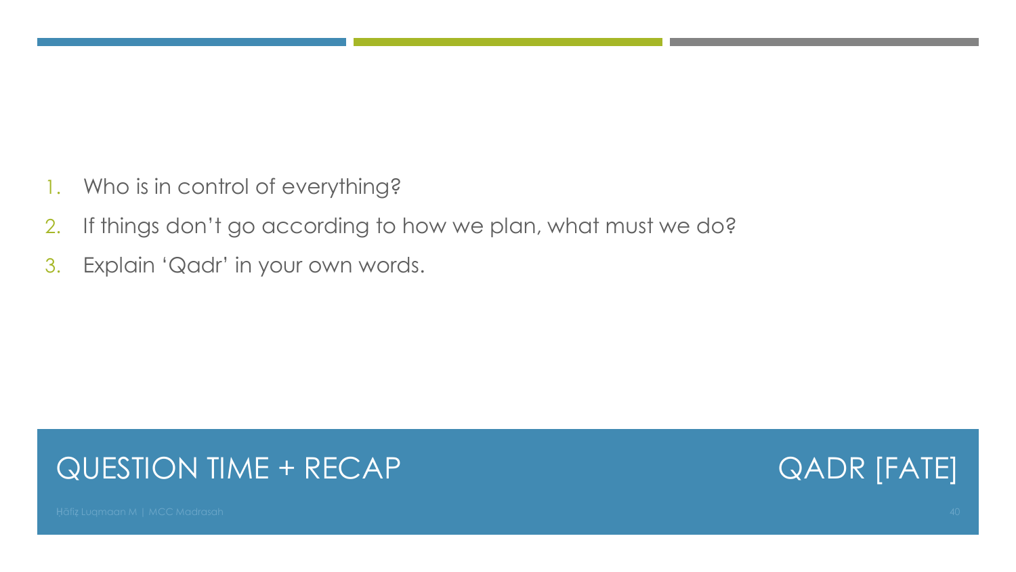- 1. Who is in control of everything?
- 2. If things don't go according to how we plan, what must we do?
- 3. Explain 'Qadr' in your own words.

#### QUESTION TIME + RECAP

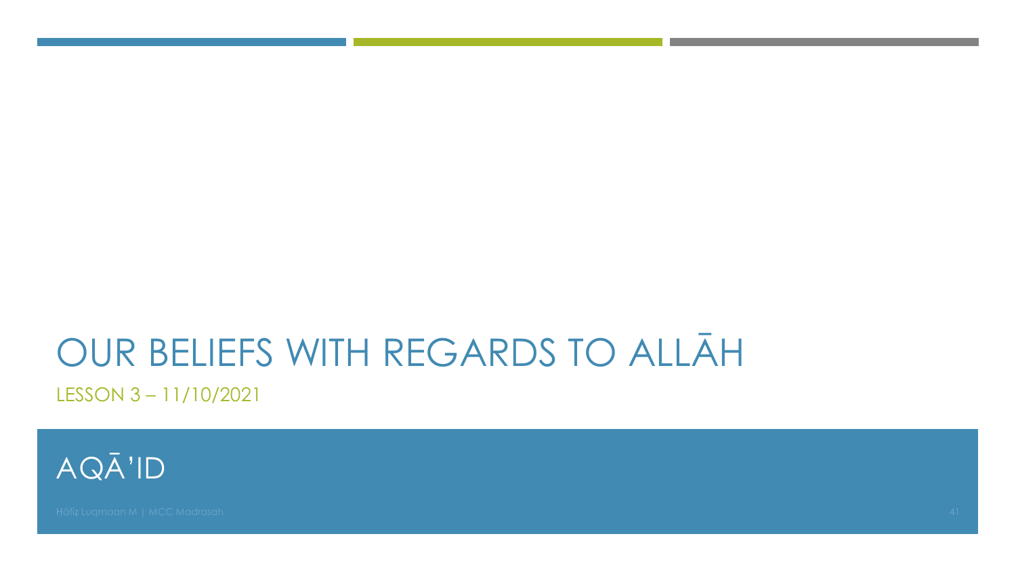# OUR BELIEFS WITH REGARDS TO ALLAH

LESSON 3-11/10/2021

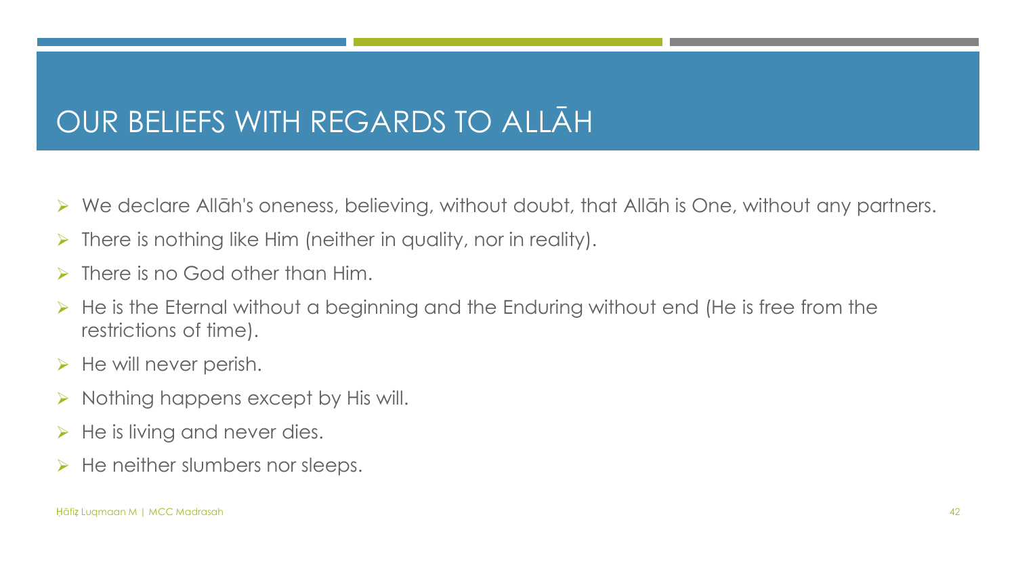#### OUR BELIEFS WITH REGARDS TO ALLAH

- ➢ We declare Allāh's oneness, believing, without doubt, that Allāh is One, without any partners.
- $\triangleright$  There is nothing like Him (neither in quality, nor in reality).
- $\triangleright$  There is no God other than Him.
- ➢ He is the Eternal without a beginning and the Enduring without end (He is free from the restrictions of time).
- $\triangleright$  He will never perish.
- $\triangleright$  Nothing happens except by His will.
- $\triangleright$  He is living and never dies.
- $\triangleright$  He neither slumbers nor sleeps.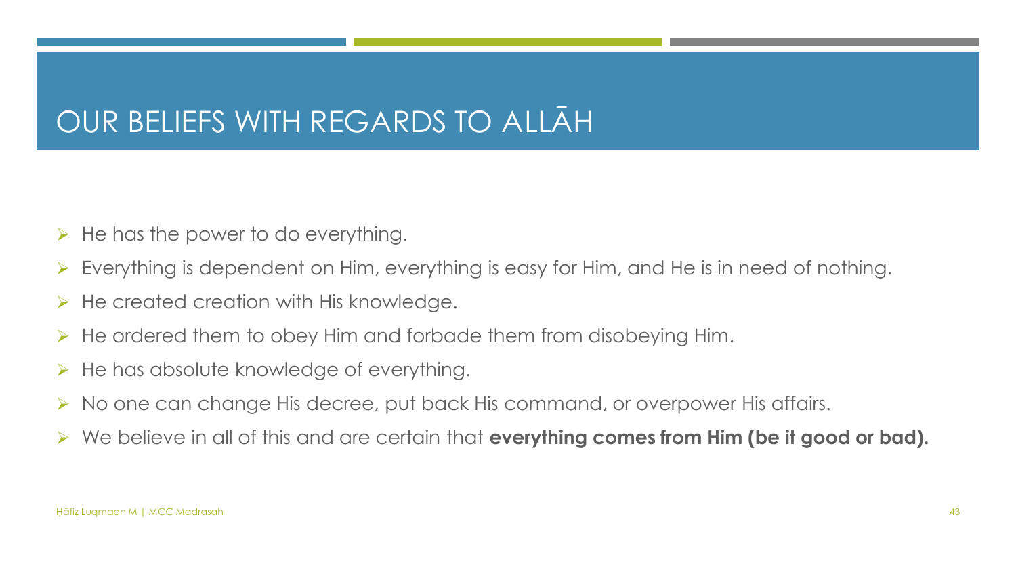#### OUR BELIEFS WITH REGARDS TO ALLAH

- $\triangleright$  He has the power to do everything.
- ➢ Everything is dependent on Him, everything is easy for Him, and He is in need of nothing.
- $\triangleright$  He created creation with His knowledge.
- $\triangleright$  He ordered them to obey Him and forbade them from disobeying Him.
- $\triangleright$  He has absolute knowledge of everything.
- ➢ No one can change His decree, put back His command, or overpower His affairs.
- ➢ We believe in all of this and are certain that **everything comes from Him (be it good or bad).**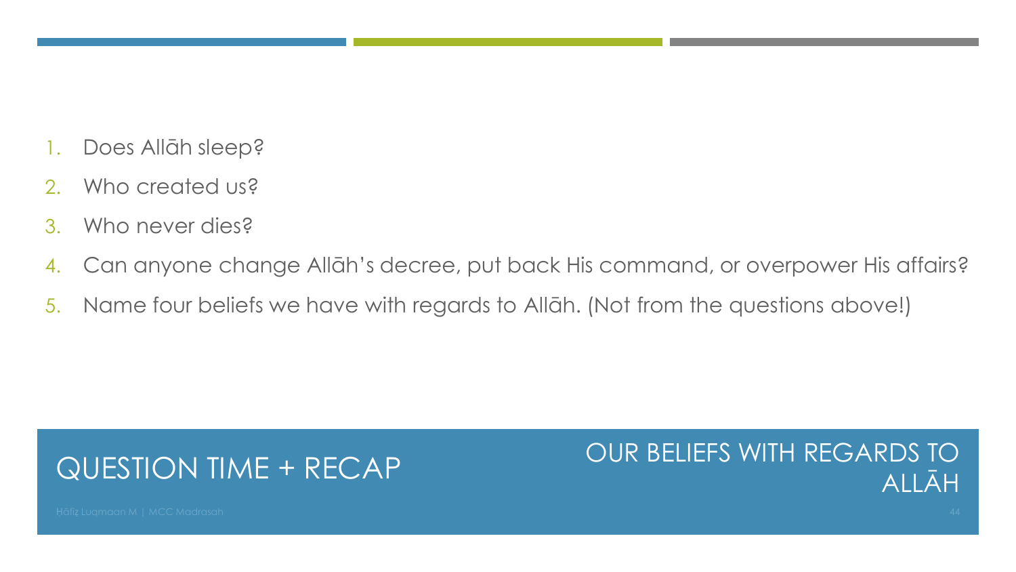- 1. Does Allāh sleep?
- 2. Who created us?
- 3. Who never dies?
- 4. Can anyone change Allāh's decree, put back His command, or overpower His affairs?
- 5. Name four beliefs we have with regards to Allāh. (Not from the questions above!)

#### QUESTION TIME + RECAP

#### OUR BELIEFS WITH REGARDS TO ALLĀH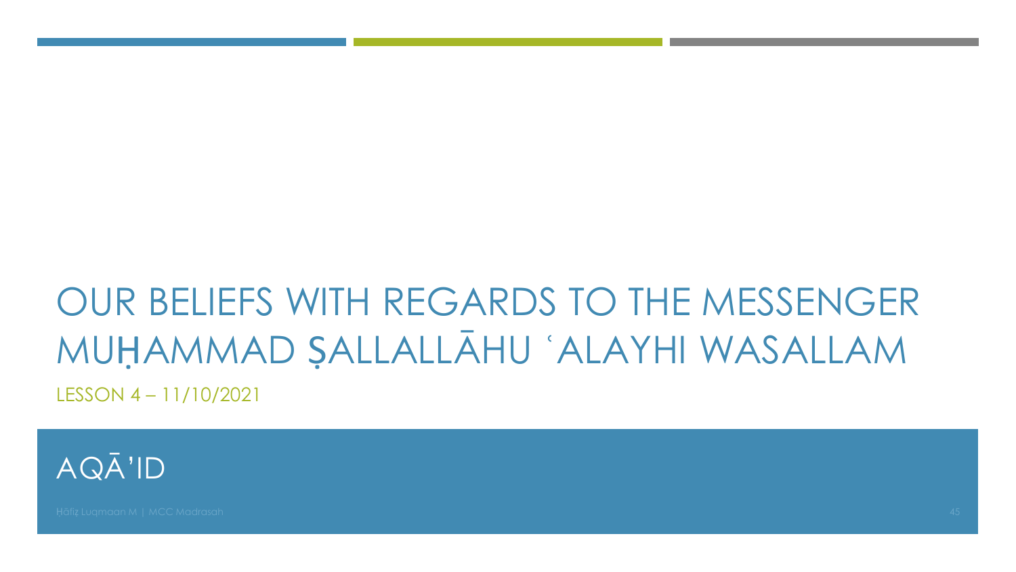# OUR BELIEFS WITH REGARDS TO THE MESSENGER MUHAMMAD SALLALLAHU 'ALAYHI WASALLAM LESSON 4 - 11/10/2021

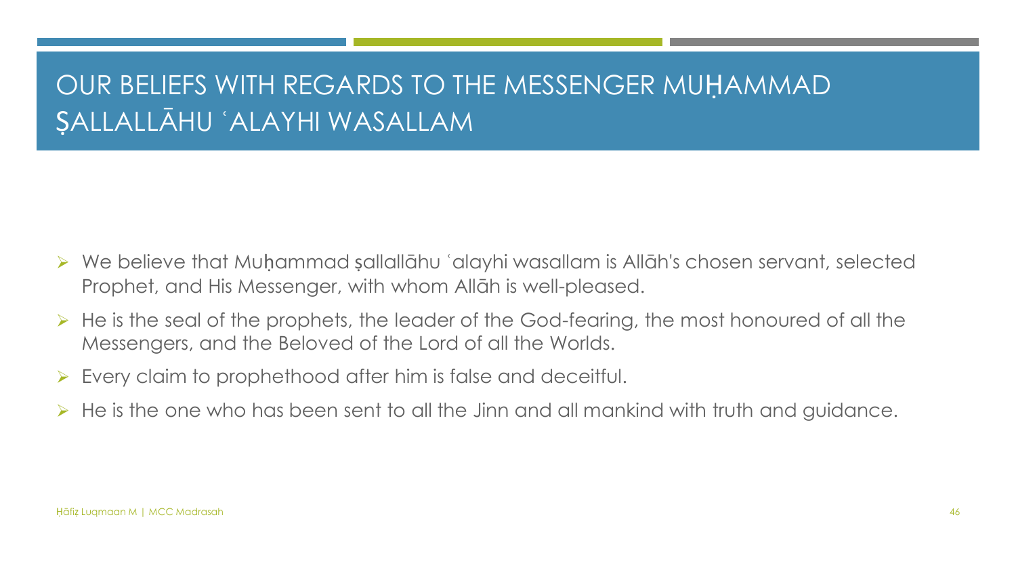#### OUR BELIEFS WITH REGARDS TO THE MESSENGER MUḤAMMAD ṢALLALLĀHU ʿALAYHI WASALLAM

- ➢ We believe that Muḥammad ṣallallāhu ʿalayhi wasallam is Allāh's chosen servant, selected Prophet, and His Messenger, with whom Allāh is well-pleased.
- $\triangleright$  He is the seal of the prophets, the leader of the God-fearing, the most honoured of all the Messengers, and the Beloved of the Lord of all the Worlds.
- Every claim to prophethood after him is false and deceitful.
- He is the one who has been sent to all the Jinn and all mankind with truth and guidance.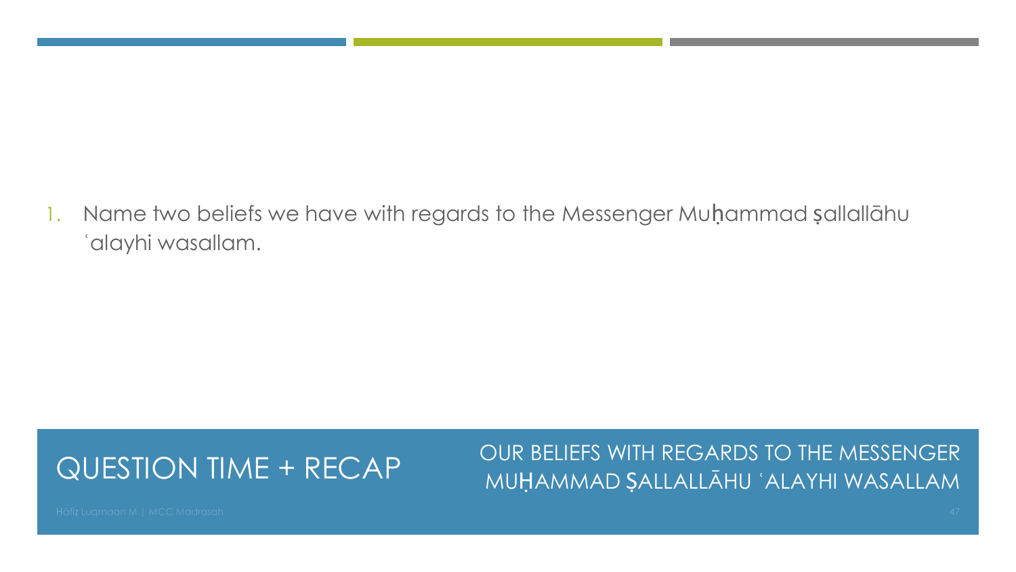1. Name two beliefs we have with regards to the Messenger Muḥammad ṣallallāhu ʿalayhi wasallam.

#### QUESTION TIME + RECAP

OUR BELIEFS WITH REGARDS TO THE MESSENGER MUḤAMMAD ṢALLALLĀHU ʿALAYHI WASALLAM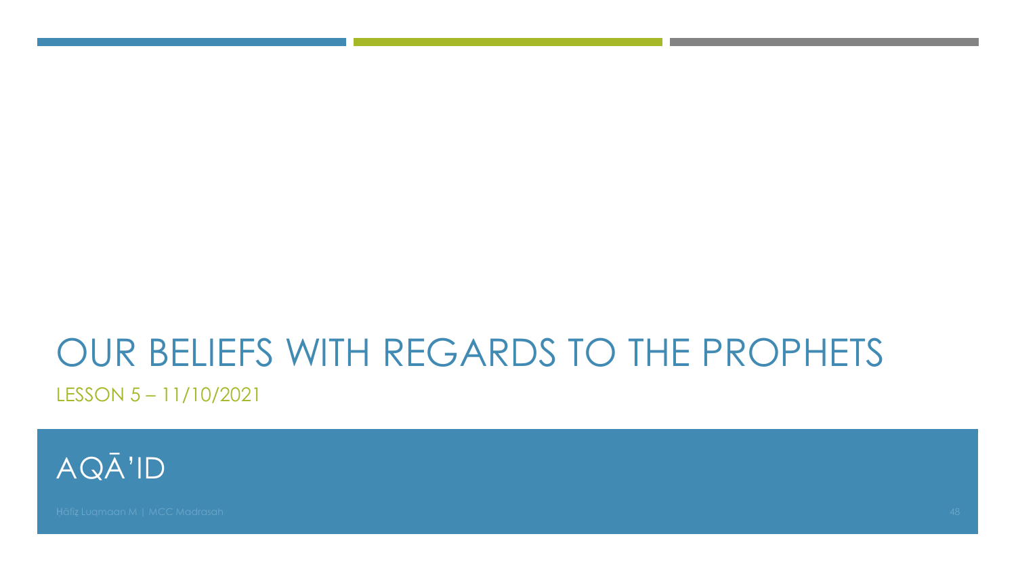# OUR BELIEFS WITH REGARDS TO THE PROPHETS

LESSON 5-11/10/2021

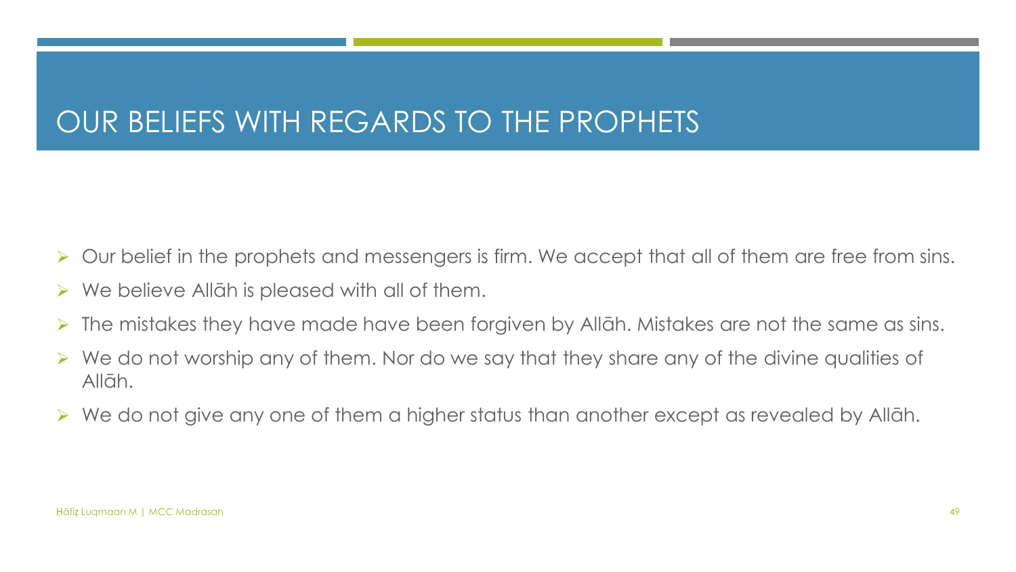#### OUR BELIEFS WITH REGARDS TO THE PROPHETS

- ➢ Our belief in the prophets and messengers is firm. We accept that all of them are free from sins.
- $\triangleright$  We believe Allāh is pleased with all of them.
- ➢ The mistakes they have made have been forgiven by Allāh. Mistakes are not the same as sins.
- ➢ We do not worship any of them. Nor do we say that they share any of the divine qualities of Allāh.
- ➢ We do not give any one of them a higher status than another except as revealed by Allāh.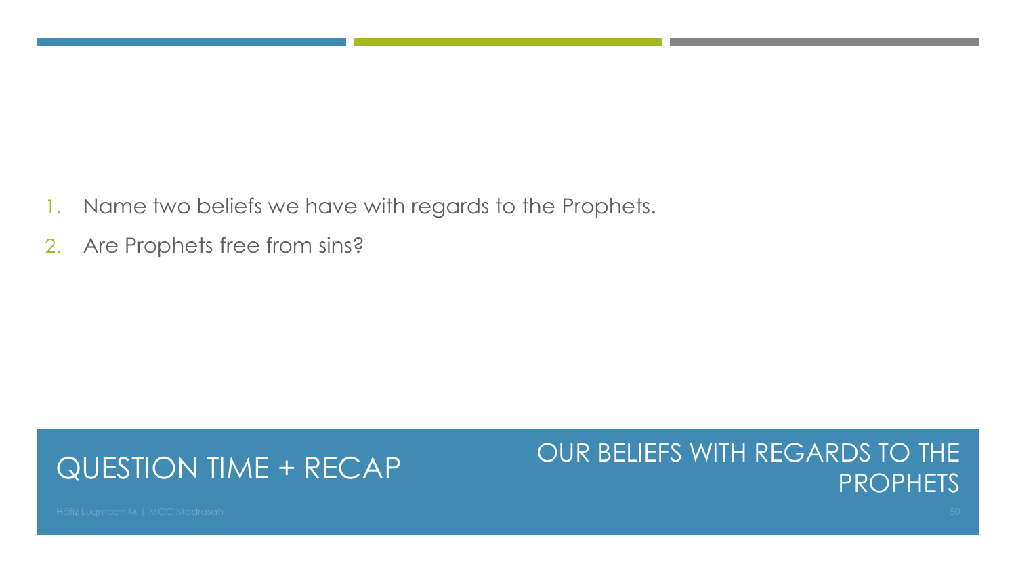- 1. Name two beliefs we have with regards to the Prophets.
- 2. Are Prophets free from sins?

#### QUESTION TIME + RECAP

#### OUR BELIEFS WITH REGARDS TO THE **PROPHETS**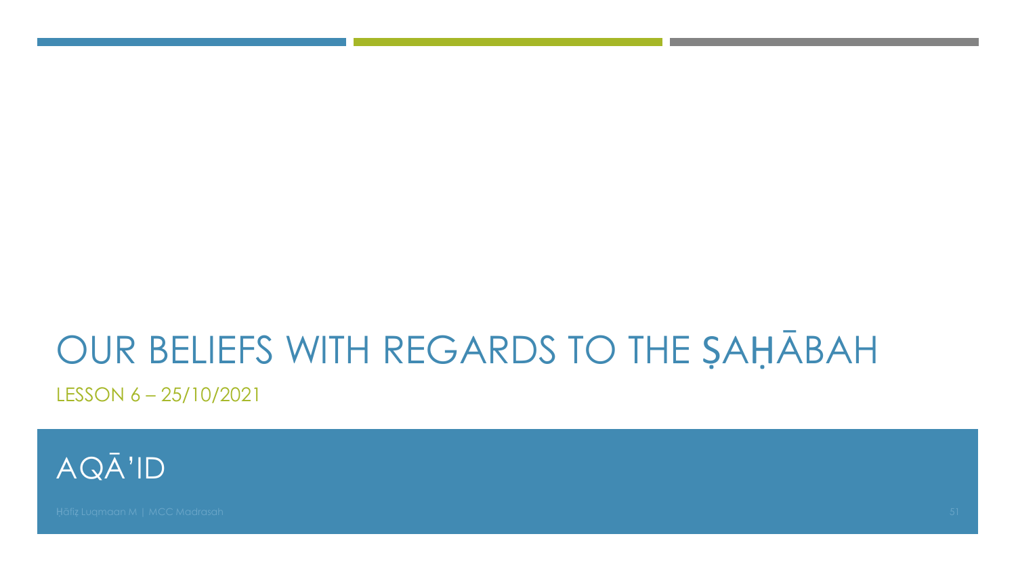# OUR BELIEFS WITH REGARDS TO THE SAHĀBAH

LESSON 6-25/10/2021

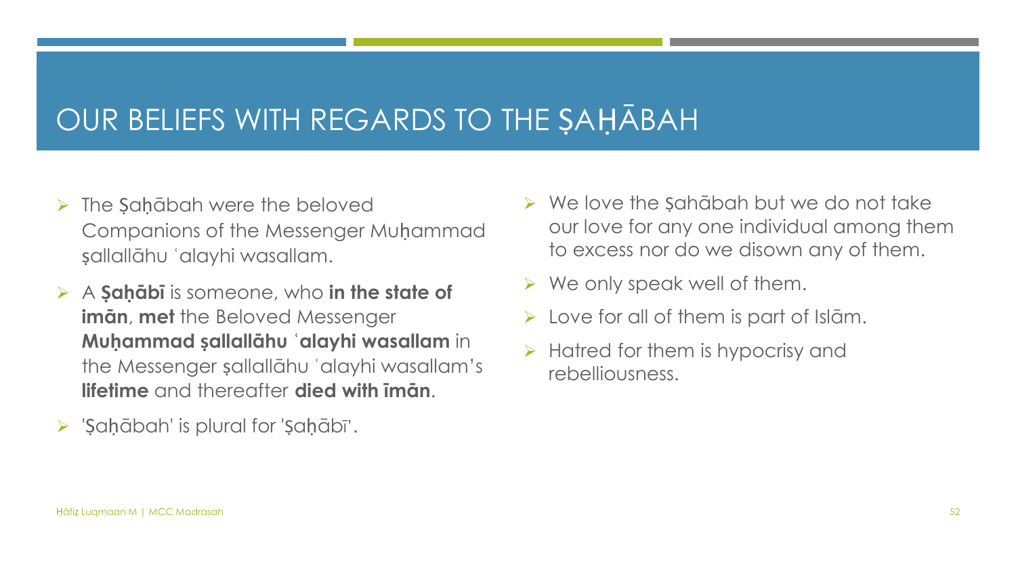#### OUR BELIEFS WITH REGARDS TO THE ṢAḤĀBAH

- $\triangleright$  The Sahābah were the beloved Companions of the Messenger Muḥammad ṣallallāhu ʿalayhi wasallam.
- ➢ A **Ṣaḥābī** is someone, who **in the state of imān**, **met** the Beloved Messenger **Muḥammad ṣallallāhu ʿalayhi wasallam** in the Messenger ṣallallāhu ʿalayhi wasallam's **lifetime** and thereafter **died with īmān**.
- ➢ 'Ṣaḥābah' is plural for 'Ṣaḥābī'.
- $\triangleright$  We love the Sahābah but we do not take our love for any one individual among them to excess nor do we disown any of them.
- $\triangleright$  We only speak well of them.
- $\triangleright$  Love for all of them is part of Islam.
- $\triangleright$  Hatred for them is hypocrisy and rebelliousness.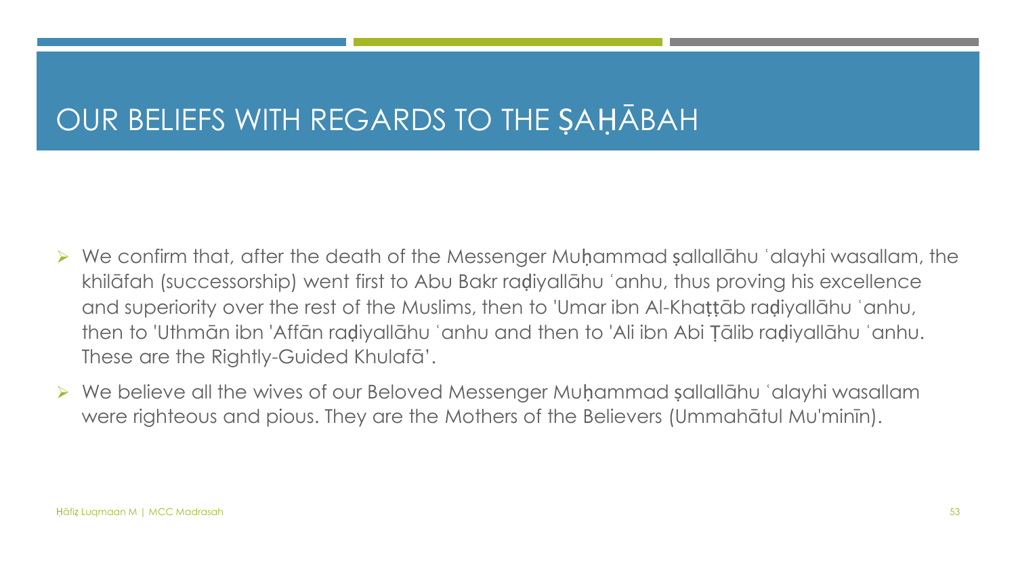#### OUR BELIEFS WITH REGARDS TO THE ṢAḤĀBAH

- ➢ We confirm that, after the death of the Messenger Muḥammad ṣallallāhu ʿalayhi wasallam, the khilāfah (successorship) went first to Abu Bakr raḍiyallāhu ʿanhu, thus proving his excellence and superiority over the rest of the Muslims, then to 'Umar ibn Al-Khaṭṭāb raḍiyallāhu ʿanhu, then to 'Uthmān ibn 'Affān raḍiyallāhu ʿanhu and then to 'Ali ibn Abi Ṭālib raḍiyallāhu ʿanhu. These are the Rightly-Guided Khulafā'.
- ➢ We believe all the wives of our Beloved Messenger Muḥammad ṣallallāhu ʿalayhi wasallam were righteous and pious. They are the Mothers of the Believers (Ummahātul Mu'minīn).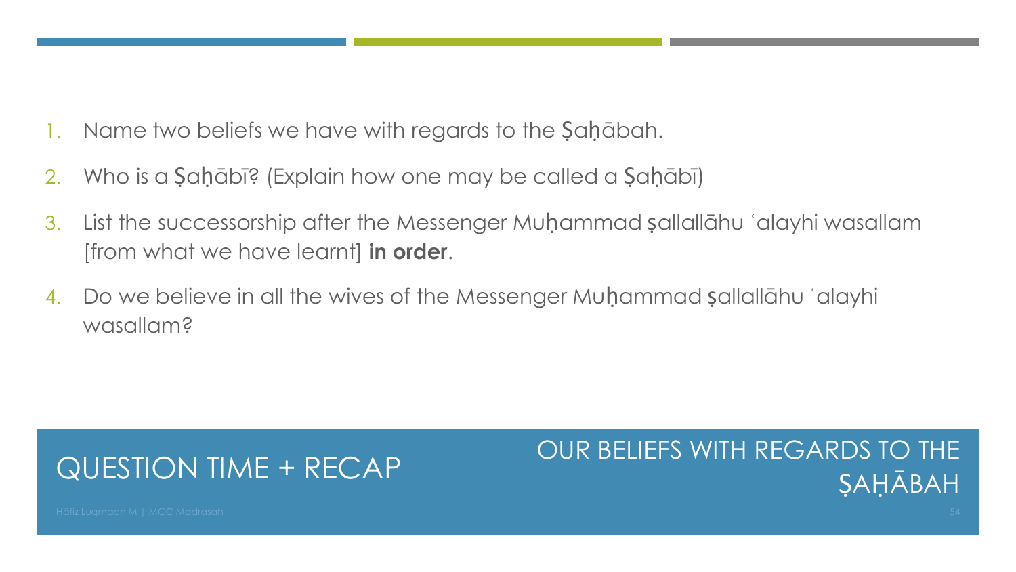- Name two beliefs we have with regards to the Şaḥābah.
- 2. Who is a Ṣaḥābī? (Explain how one may be called a Ṣaḥābī)
- 3. List the successorship after the Messenger Muḥammad ṣallallāhu ʿalayhi wasallam [from what we have learnt] **in order**.
- 4. Do we believe in all the wives of the Messenger Muḥammad ṣallallāhu ʿalayhi wasallam?

#### QUESTION TIME + RECAP

#### OUR BELIEFS WITH REGARDS TO THE ṢAḤĀBAH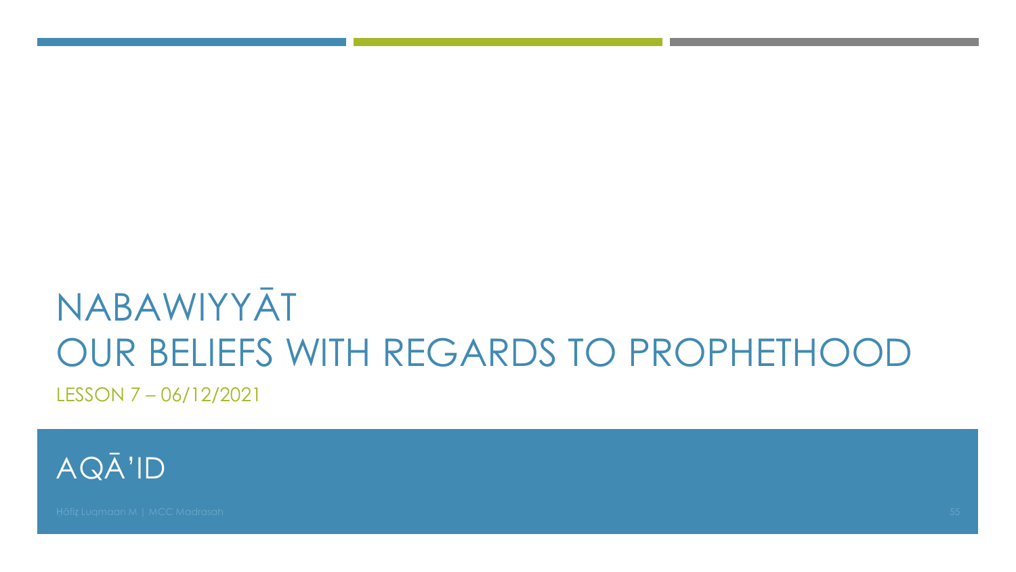## NABAWIYYĀT OUR BELIEFS WITH REGARDS TO PROPHETHOOD LESSON 7-06/12/2021

AQĀ'ID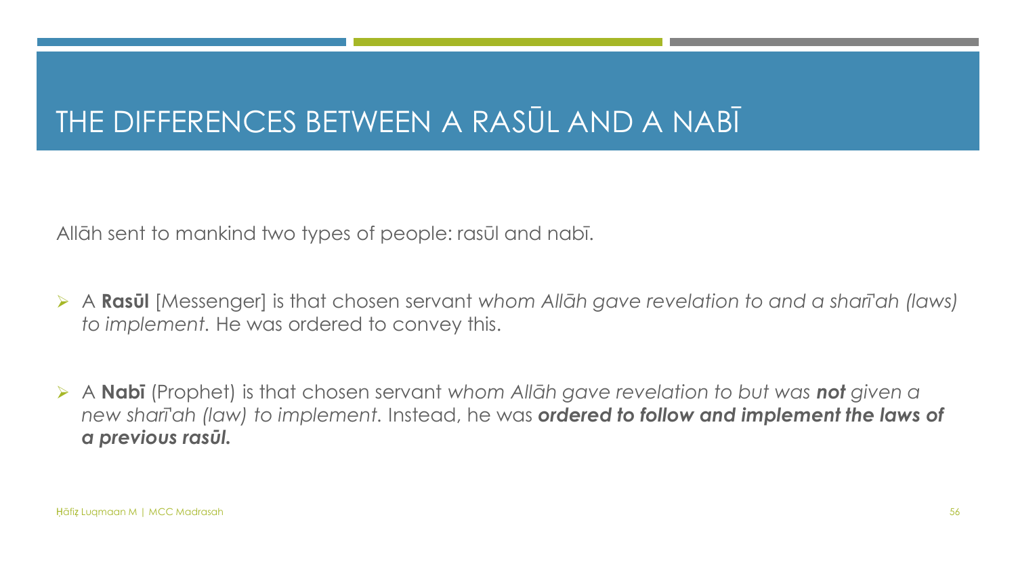#### THE DIFFERENCES BETWEEN A RASŪL AND A NABĪ

Allāh sent to mankind two types of people: rasūl and nabī.

- ➢ A **Rasūl** [Messenger] is that chosen servant *whom Allāh gave revelation to and a sharī'ah (laws) to implement.* He was ordered to convey this.
- ➢ A **Nabī** (Prophet) is that chosen servant *whom Allāh gave revelation to but was not given a new sharī'ah (law) to implement.* Instead, he was *ordered to follow and implement the laws of a previous rasūl.*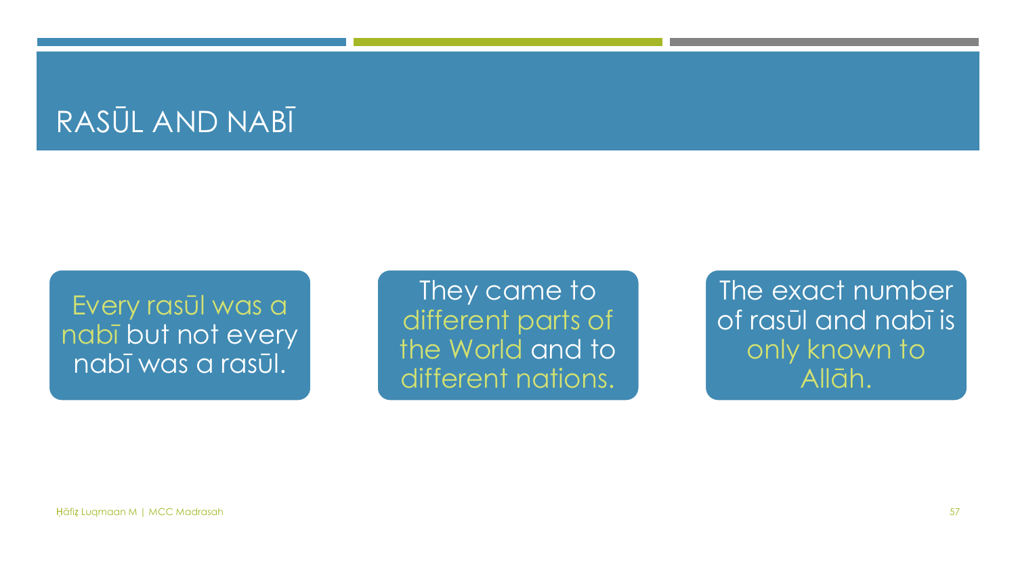#### RASŪL AND NABĪ

Every rasūl was a nabī but not every nabī was a rasūl.

They came to different parts of the World and to different nations.

The exact number of rasūl and nabī is only known to Allāh.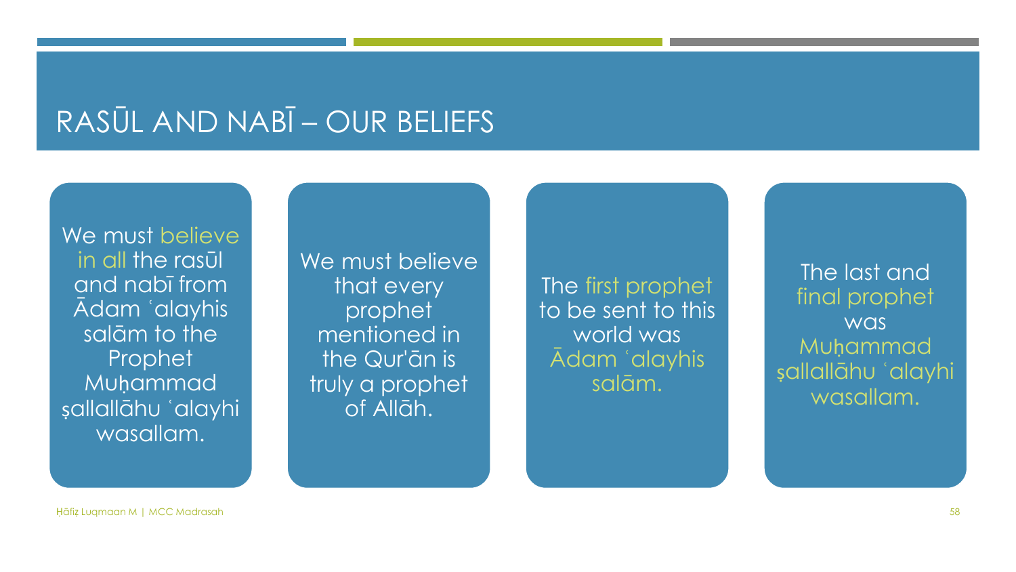#### RASŪL AND NABĪ – OUR BELIEFS

We must believe in all the rasūl and nabī from Ādam ʿalayhis salām to the Prophet Muḥammad ṣallallāhu ʿalayhi wasallam.

We must believe that every prophet mentioned in the Qur'ān is truly a prophet of Allāh.

The first prophet to be sent to this world was Ādam ʿalayhis salām.

The last and final prophet was **Muhammad** ṣallallāhu ʿalayhi wasallam.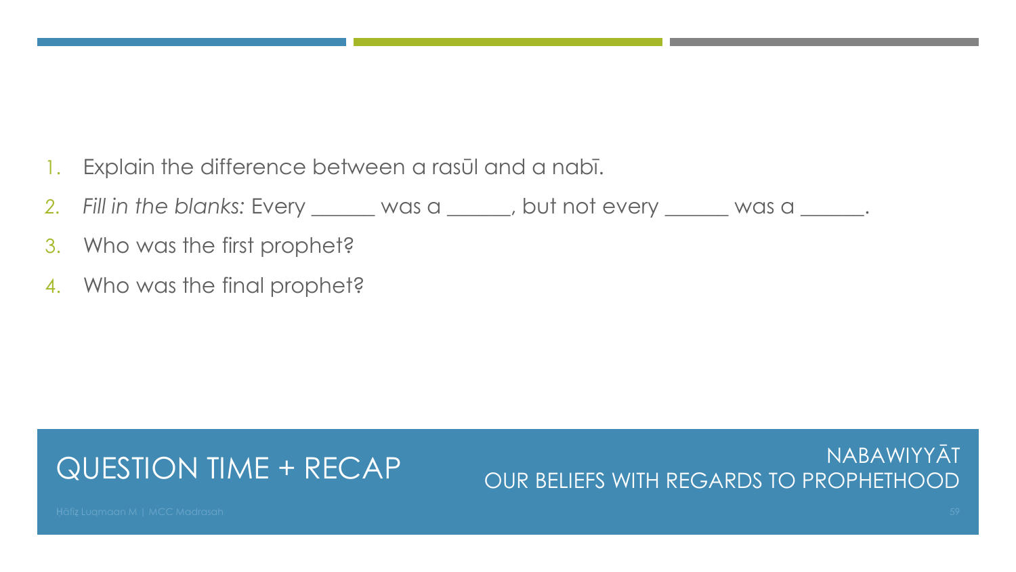- 1. Explain the difference between a rasūl and a nabī.
- *2. Fill in the blanks:* Every \_\_\_\_\_\_ was a \_\_\_\_\_\_, but not every \_\_\_\_\_\_ was a \_\_\_\_\_\_.
- 3. Who was the first prophet?
- 4. Who was the final prophet?

#### QUESTION TIME + RECAP

NABAWIYYĀT OUR BELIEFS WITH REGARDS TO PROPHETHOOD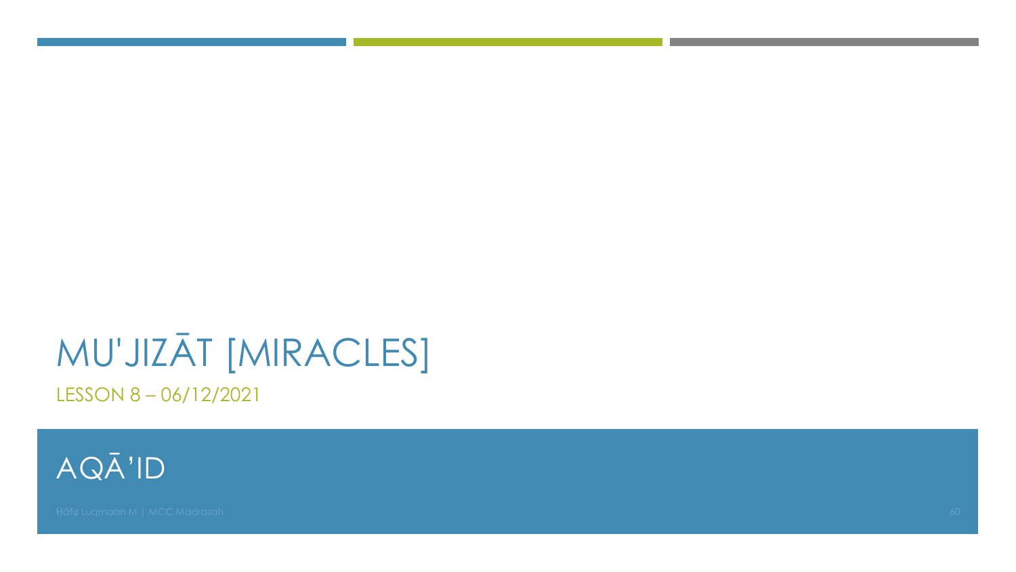# MU'JIZĀT [MIRACLES]

LESSON 8-06/12/2021

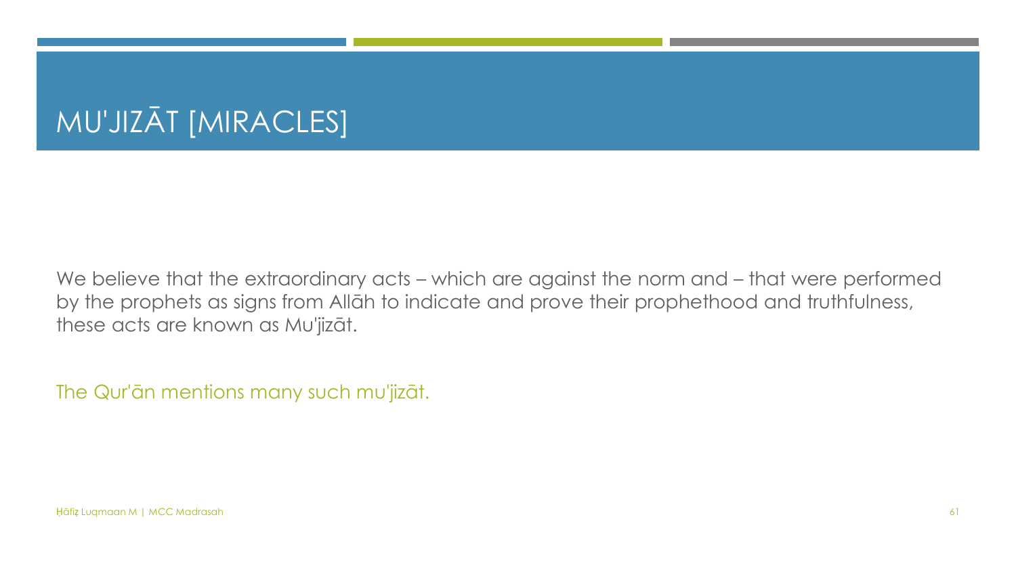## MU'JIZĀT [MIRACLES]

We believe that the extraordinary acts – which are against the norm and – that were performed by the prophets as signs from Allāh to indicate and prove their prophethood and truthfulness, these acts are known as Mu'jizāt.

The Qur'ān mentions many such mu'jizāt.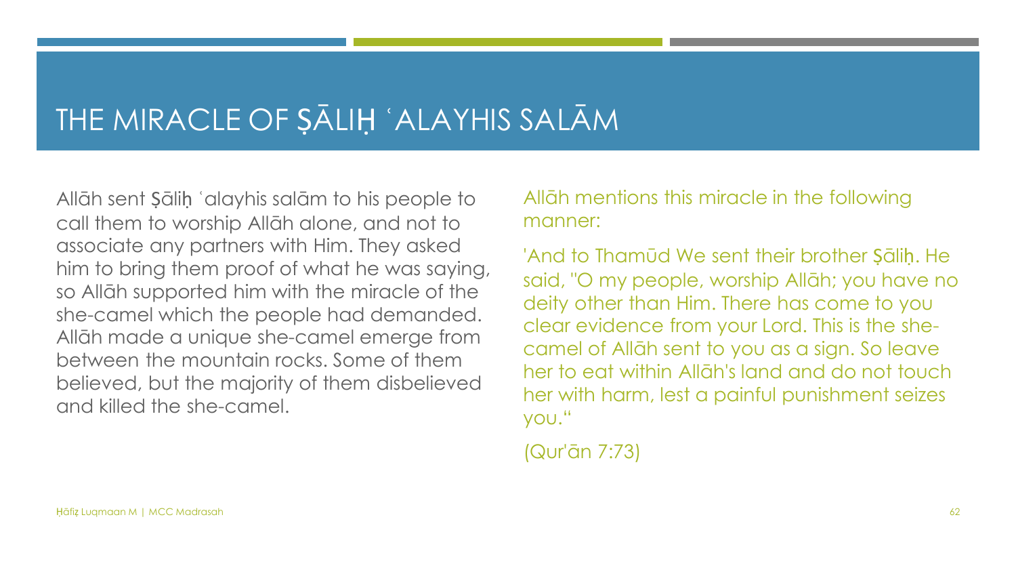#### THE MIRACLE OF ṢĀLIḤ ʿALAYHIS SALĀM

Allāh sent Ṣāliḥ ʿalayhis salām to his people to call them to worship Allāh alone, and not to associate any partners with Him. They asked him to bring them proof of what he was saying, so Allāh supported him with the miracle of the she-camel which the people had demanded. Allāh made a unique she-camel emerge from between the mountain rocks. Some of them believed, but the majority of them disbelieved and killed the she-camel.

#### Allāh mentions this miracle in the following manner:

'And to Thamūd We sent their brother Ṣāliḥ. He said, "O my people, worship Allāh; you have no deity other than Him. There has come to you clear evidence from your Lord. This is the shecamel of Allāh sent to you as a sign. So leave her to eat within Allāh's land and do not touch her with harm, lest a painful punishment seizes you."

(Qur'ān 7:73)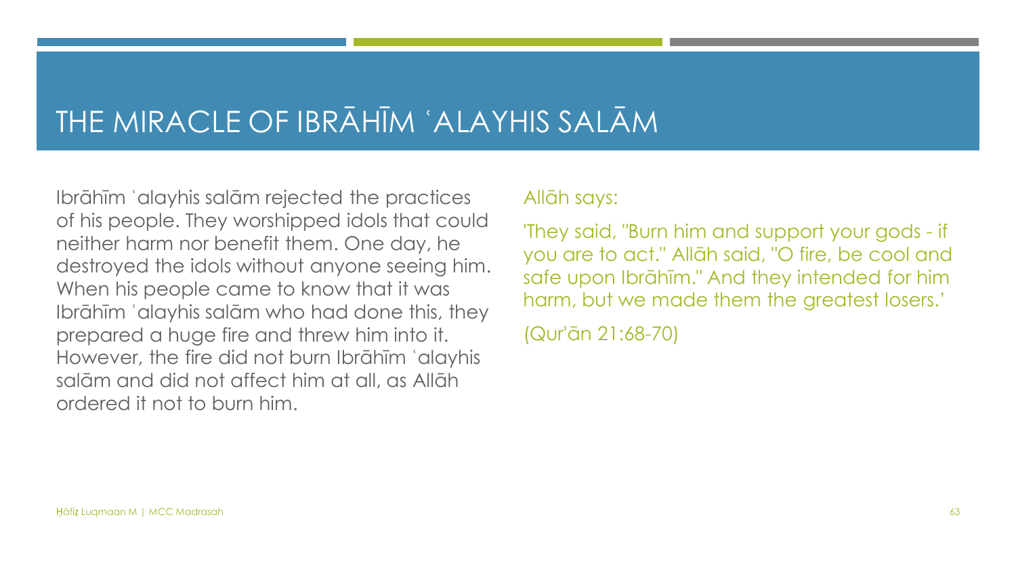#### THE MIRACLE OF IBRĀHĪM ʿALAYHIS SALĀM

Ibrāhīm ʿalayhis salām rejected the practices of his people. They worshipped idols that could neither harm nor benefit them. One day, he destroyed the idols without anyone seeing him. When his people came to know that it was Ibrāhīm ʿalayhis salām who had done this, they prepared a huge fire and threw him into it. However, the fire did not burn Ibrāhīm ʿalayhis salām and did not affect him at all, as Allāh ordered it not to burn him.

#### Allāh says:

'They said, "Burn him and support your gods - if you are to act." Allāh said, "O fire, be cool and safe upon Ibrāhīm." And they intended for him harm, but we made them the greatest losers.'

(Qur'ān 21:68-70)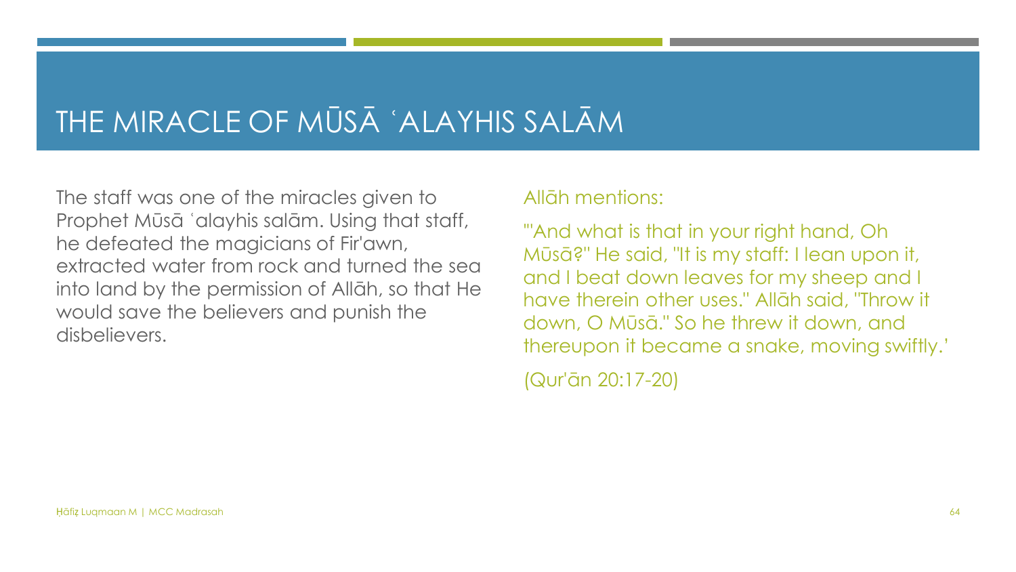#### THE MIRACLE OF MŪSĀ ʿALAYHIS SALĀM

The staff was one of the miracles given to Prophet Mūsā ʿalayhis salām. Using that staff, he defeated the magicians of Fir'awn, extracted water from rock and turned the sea into land by the permission of Allāh, so that He would save the believers and punish the disbelievers.

#### Allāh mentions:

'"And what is that in your right hand, Oh Mūsā?" He said, "It is my staff: I lean upon it, and I beat down leaves for my sheep and I have therein other uses." Allāh said, "Throw it down, O Mūsā." So he threw it down, and thereupon it became a snake, moving swiftly.'

(Qur'ān 20:17-20)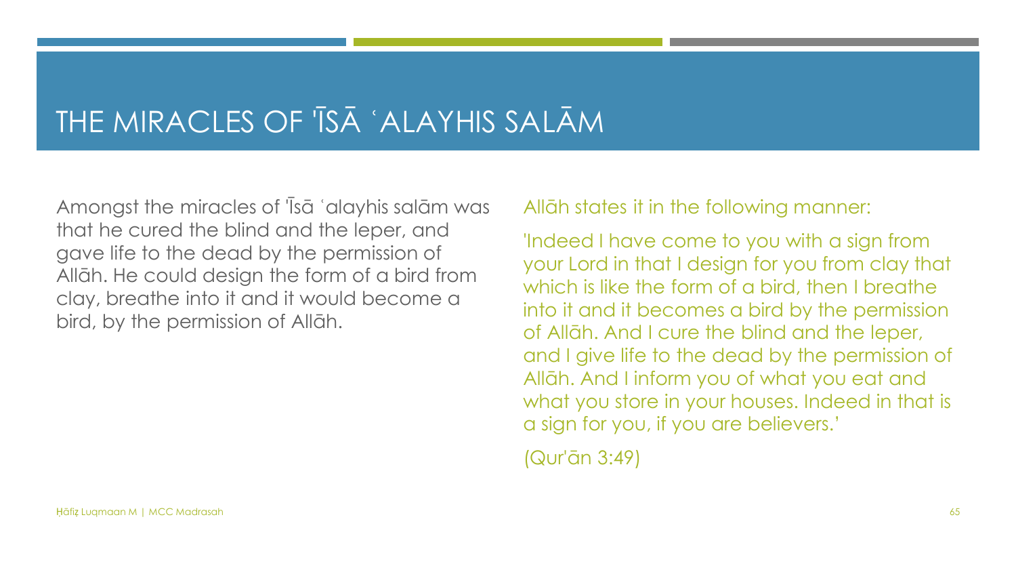#### THE MIRACLES OF 'ĪSĀ ʿALAYHIS SALĀM

Amongst the miracles of 'Īsā ʿalayhis salām was that he cured the blind and the leper, and gave life to the dead by the permission of Allāh. He could design the form of a bird from clay, breathe into it and it would become a bird, by the permission of Allāh.

Allāh states it in the following manner:

'Indeed I have come to you with a sign from your Lord in that I design for you from clay that which is like the form of a bird, then I breathe into it and it becomes a bird by the permission of Allāh. And I cure the blind and the leper, and I give life to the dead by the permission of Allāh. And I inform you of what you eat and what you store in your houses. Indeed in that is a sign for you, if you are believers.'

(Qur'ān 3:49)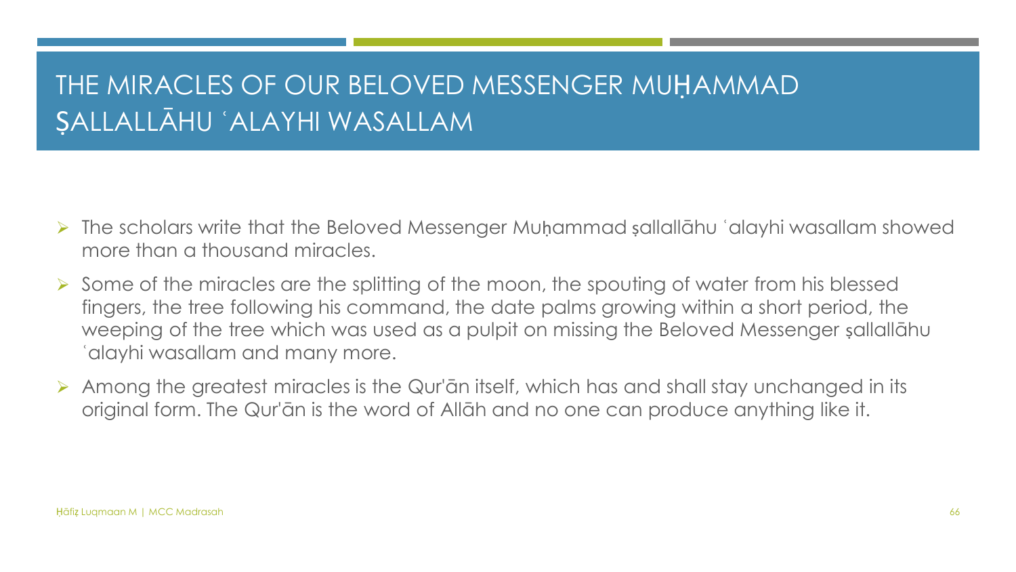#### THE MIRACLES OF OUR BELOVED MESSENGER MUḤAMMAD ṢALLALLĀHU ʿALAYHI WASALLAM

- ➢ The scholars write that the Beloved Messenger Muḥammad ṣallallāhu ʿalayhi wasallam showed more than a thousand miracles.
- ➢ Some of the miracles are the splitting of the moon, the spouting of water from his blessed fingers, the tree following his command, the date palms growing within a short period, the weeping of the tree which was used as a pulpit on missing the Beloved Messenger ṣallallāhu ʿalayhi wasallam and many more.
- ➢ Among the greatest miracles is the Qur'ān itself, which has and shall stay unchanged in its original form. The Qur'ān is the word of Allāh and no one can produce anything like it.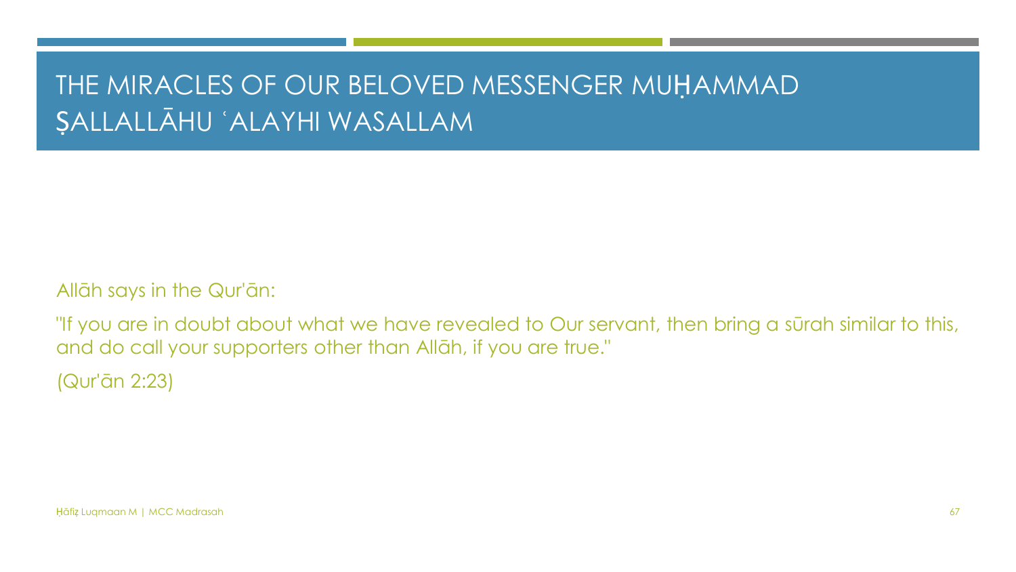#### THE MIRACLES OF OUR BELOVED MESSENGER MUḤAMMAD ṢALLALLĀHU ʿALAYHI WASALLAM

Allāh says in the Qur'ān:

"If you are in doubt about what we have revealed to Our servant, then bring a sūrah similar to this, and do call your supporters other than Allāh, if you are true."

(Qur'ān 2:23)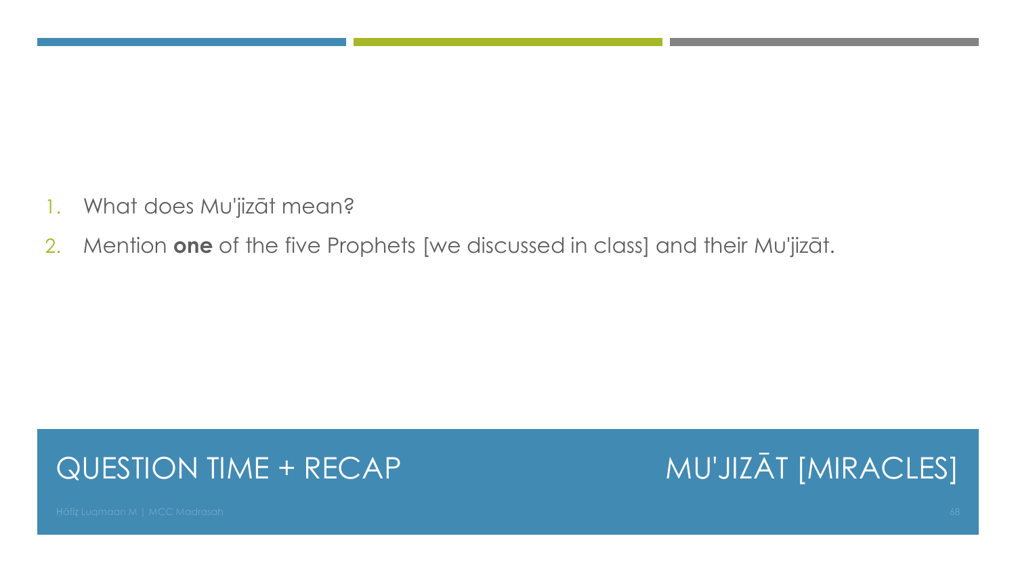- 1. What does Mu'jizāt mean?
- 2. Mention **one** of the five Prophets [we discussed in class] and their Mu'jizāt.

#### QUESTION TIME + RECAP

MU'JIZĀT [MIRACLES]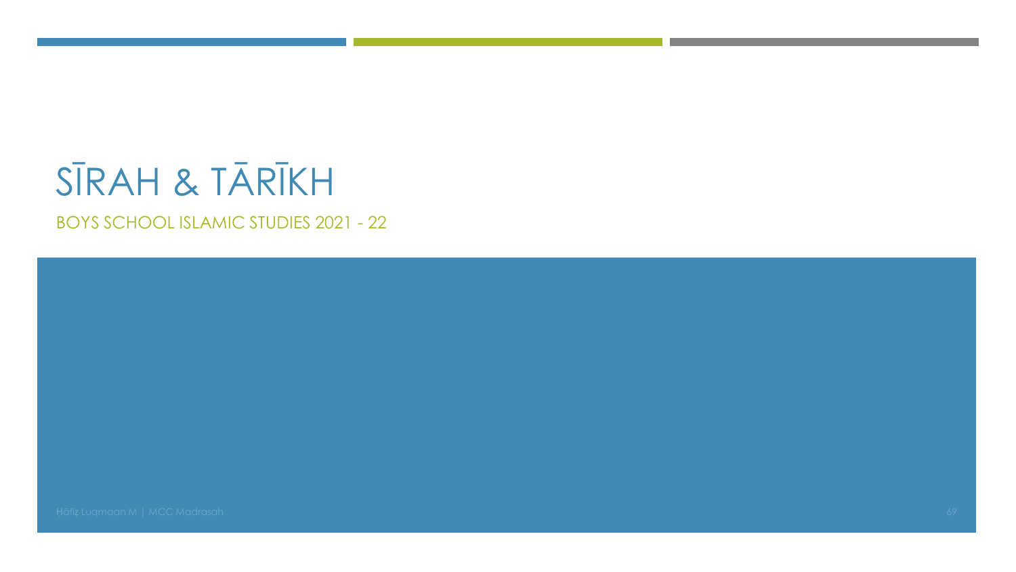# SĪRAH & TĀRĪKH

**BOYS SCHOOL ISLAMIC STUDIES 2021 - 22** 

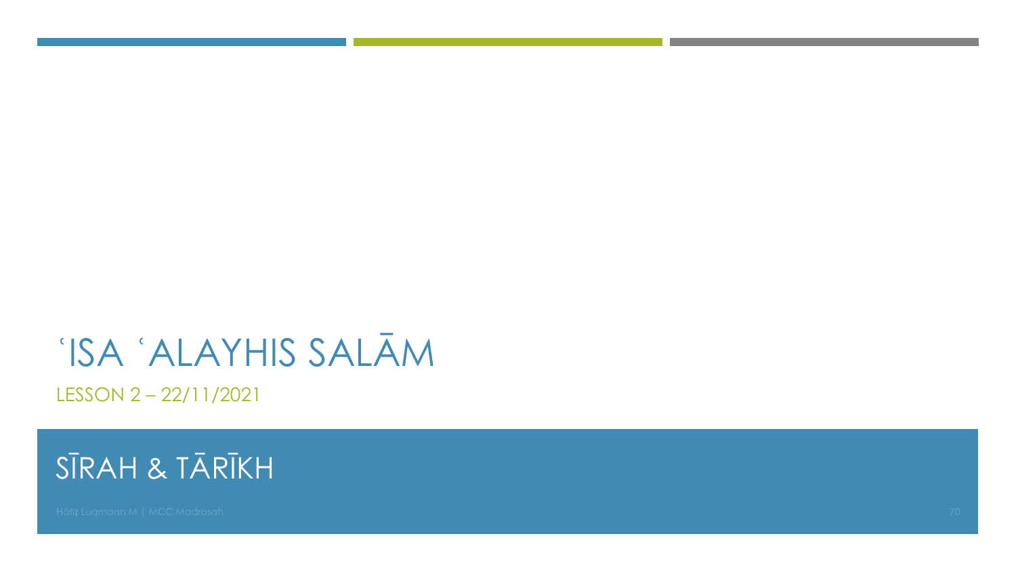# 'ISA 'ALAYHIS SALĀM

LESSON 2-22/11/2021

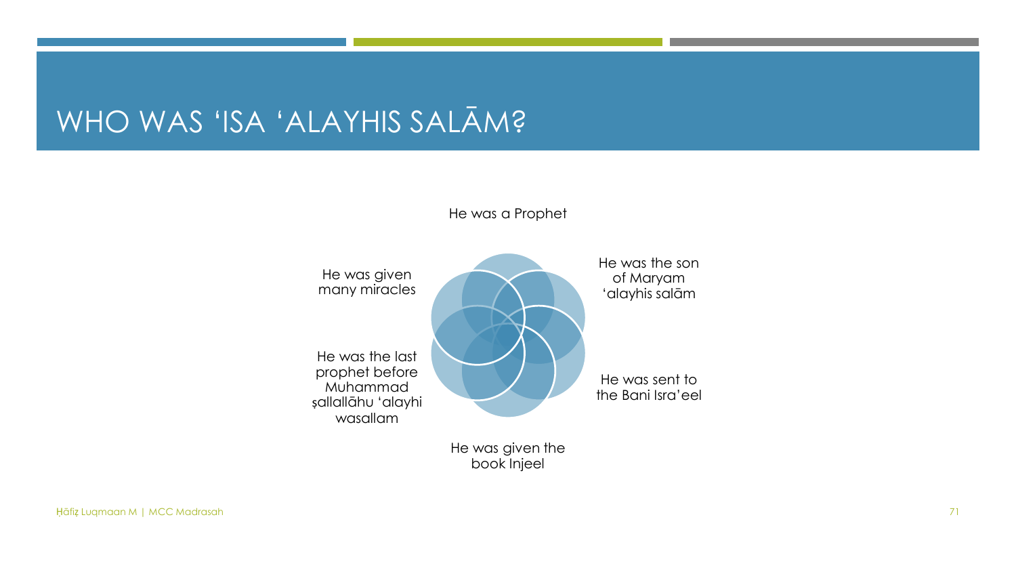#### WHO WAS 'ISA 'ALAYHIS SALĀM?

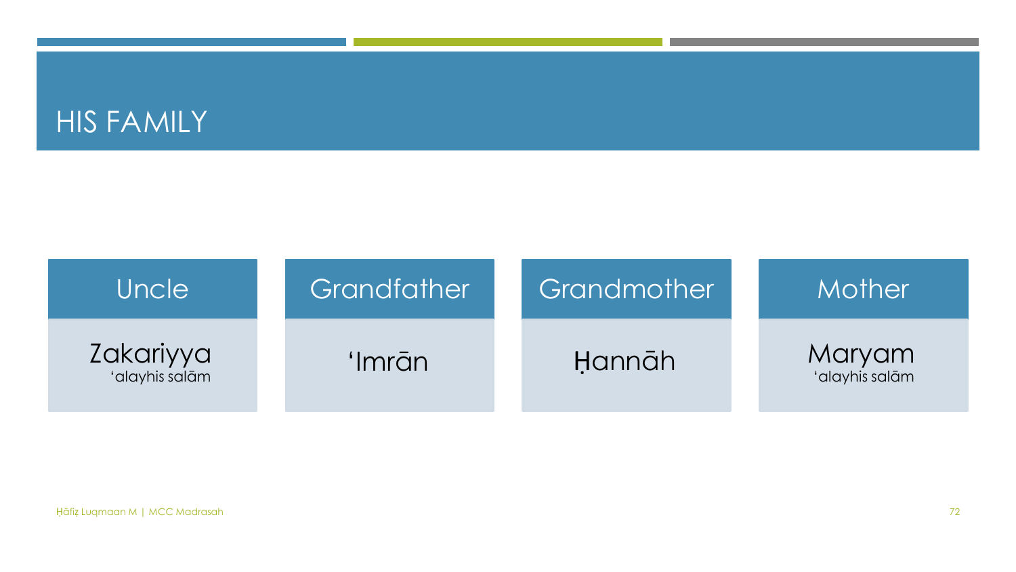#### HIS FAMILY

| Uncle                       | Grandfather | Grandmother | Mother                   |
|-----------------------------|-------------|-------------|--------------------------|
| Zakariyya<br>'alayhis salām | 'Imrān      | Hannāh      | Maryam<br>'alayhis salām |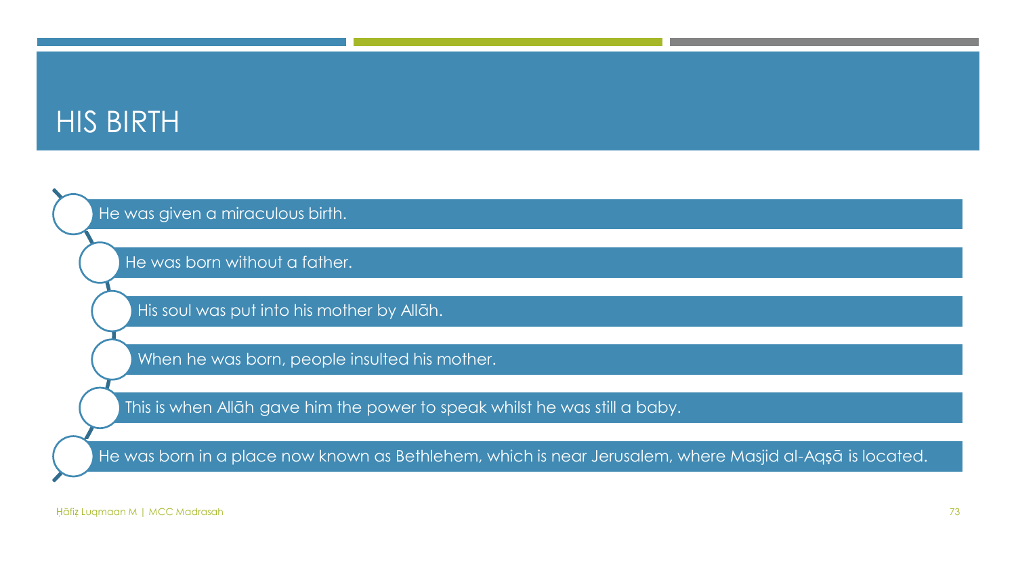#### HIS BIRTH

He was given a miraculous birth.

He was born without a father.

His soul was put into his mother by Allāh.

When he was born, people insulted his mother.

This is when Allāh gave him the power to speak whilst he was still a baby.

He was born in a place now known as Bethlehem, which is near Jerusalem, where Masjid al-Aqṣā is located.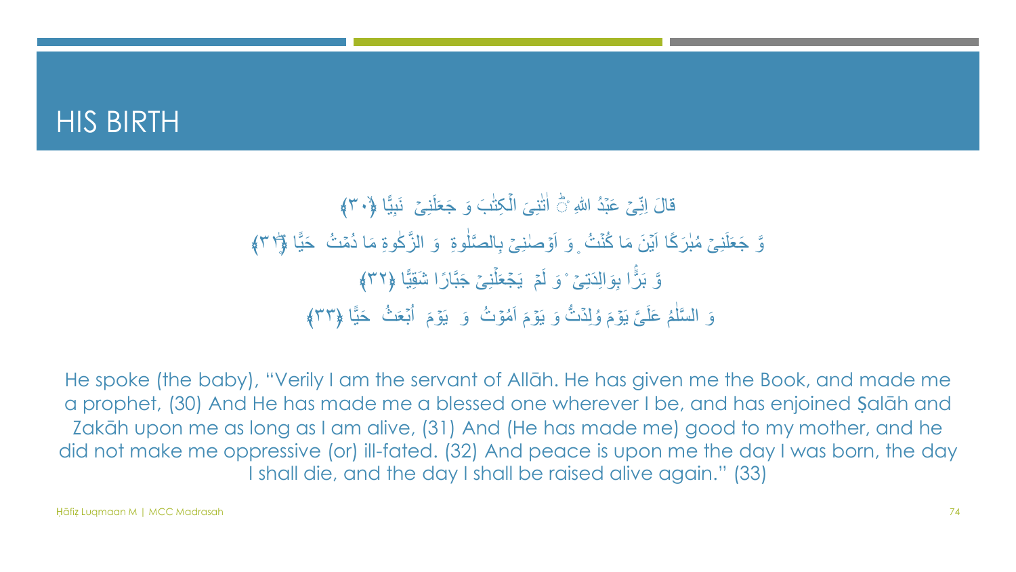#### HIS BIRTH

#### قَالَ اِنِّیۡ عَبۡدُ اللّٰہِ ۚ اٰتَٰنِیَ الۡکِتَٰبَ وَ جَعَلَنِیۡ ۖ نَبِیًّا ﴿٣٠﴾ ֖֖֖֧֚֚֚֚֚֚֚֚֚֚֚֚֚֚֚֚֚֚֚֬<u>֓</u> ֖֖֖֧֚֚֚֚֚֚֚֚֚֚֚֚֚֚֚֚֚֚֚֬<u>֓</u> ון ווארץ (דוגמת האוניברסטטינג)<br>הוא האוניברסטטינג) وَّ جَعَلَنِیۡ مُبٰرَکًا اَیۡنَ مَا کُنۡتُ ۚ وَ اَوۡصٰنِیۡ بِالصَّلٰوةِ ۚ وَ الزَّکٰوةِ مَا دُمۡتُ ۖ حَیًّا ﴿ ٣)﴾ ֖֧ׅׅ֧֧ׅ֧ׅ֧֧ׅ֧ׅ֧֧֧֧֧ׅ֧֧֧֧֧֧֧֧֧֧֧֧֧֧֧֧֧֧֧֧֧֧֧֧֧֧֧֚֚֚֚֚֚֚֚֚֚֚֚֚֚֚֚֚֡֩֩֩֩֩֩֓֝֬֝֩֝֩֩֓֝֬֩֝֩֓֝֬֝֝֬֩֝֝֬֝֬֝֬֝֬֩<br>֧֧֧֧֧֧֧֧֧֧֧֧֧֧֧֧֧֧֧֧֧֧֧֧֧֧֧֧֧֧֧֧֧֧֧֧֧֧֧֧֧֧֧֧֧֧֧֧֧֧֧֧֧֧֧֧֧֧֧֧֧֧֧֧֜֩֩֩֩֩֩֩֩֩֩֩֩֩֩֩֩֩֩֩֩֩֩֩֩֩֩֩֩֩֩֩֩֩֩֩֩֩֩<br>֧֧֧֜ ו<br>ו ֖֖ׅ֚֚֚֚֚֚֚֚֚֚֚֚֚֚֚֚֚֚֚֚֚֚֝֡֡֡<u>֓</u> ة<br>ك وَّ بَرًّا بِوَالِدَتِیۡ ۚ وَ لَمۡ یَجۡعَلۡنِیۡ جَبَّارًا شَقِیًّا ﴿٣٢﴾ ٌ أَمَّا تە<br>ك وَ السَّلْمُ عَلَيَّ يَوۡمَ وُلِدۡتُّ وَ يَوۡمَ اَمُوۡتُ ۚ وَ يَوۡمَ اُبۡعَثُ ۚ حَيًّا ﴿٣٣﴾ َ َ نَّةٍ<br>ا نة<br>أ ٰ

He spoke (the baby), "Verily I am the servant of Allāh. He has given me the Book, and made me a prophet, (30) And He has made me a blessed one wherever I be, and has enjoined Ṣalāh and Zakāh upon me as long as I am alive, (31) And (He has made me) good to my mother, and he did not make me oppressive (or) ill-fated. (32) And peace is upon me the day I was born, the day I shall die, and the day I shall be raised alive again." (33)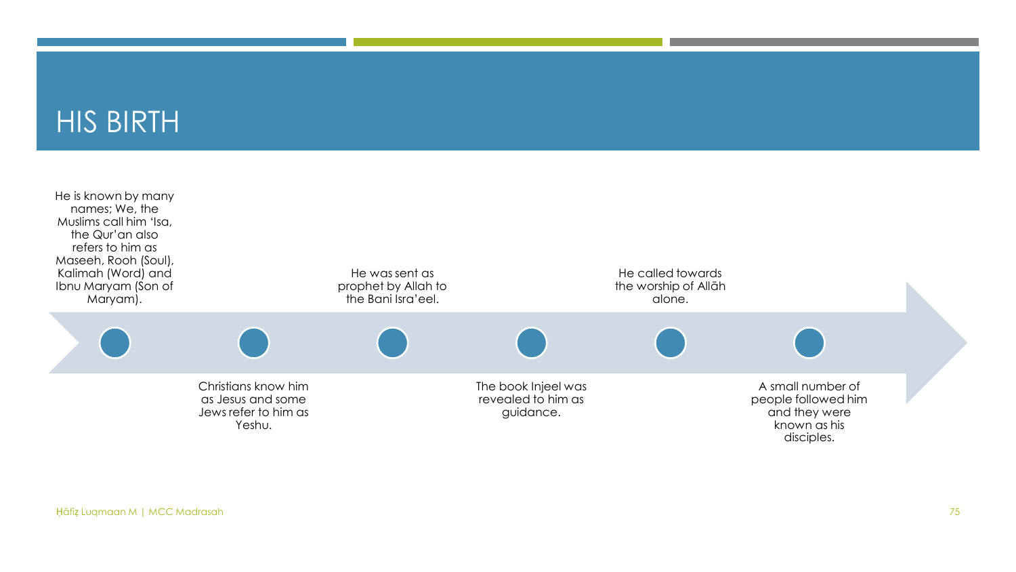#### HIS BIRTH

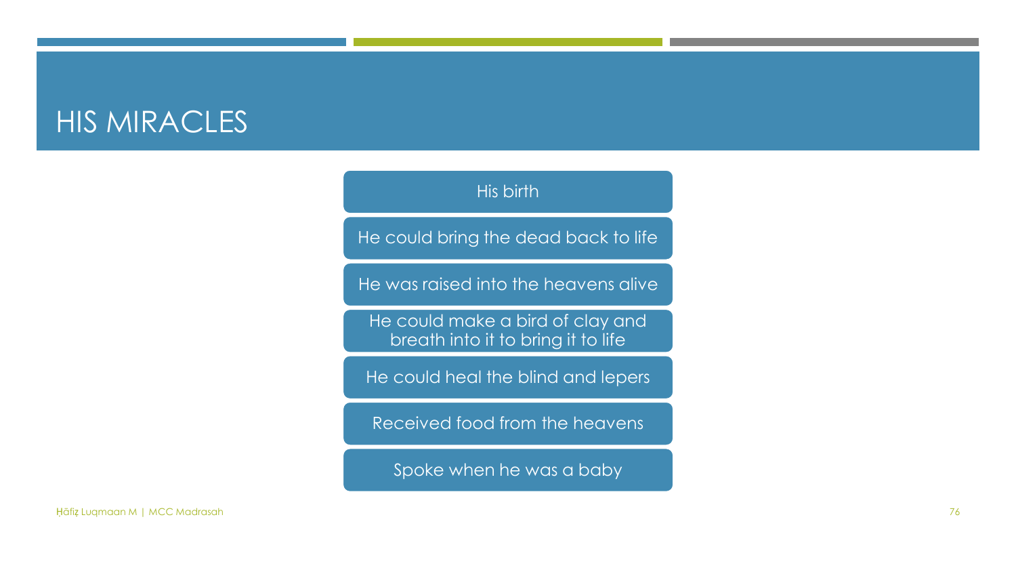#### HIS MIRACLES

#### His birth

He could bring the dead back to life

He was raised into the heavens alive

He could make a bird of clay and breath into it to bring it to life

He could heal the blind and lepers

Received food from the heavens

Spoke when he was a baby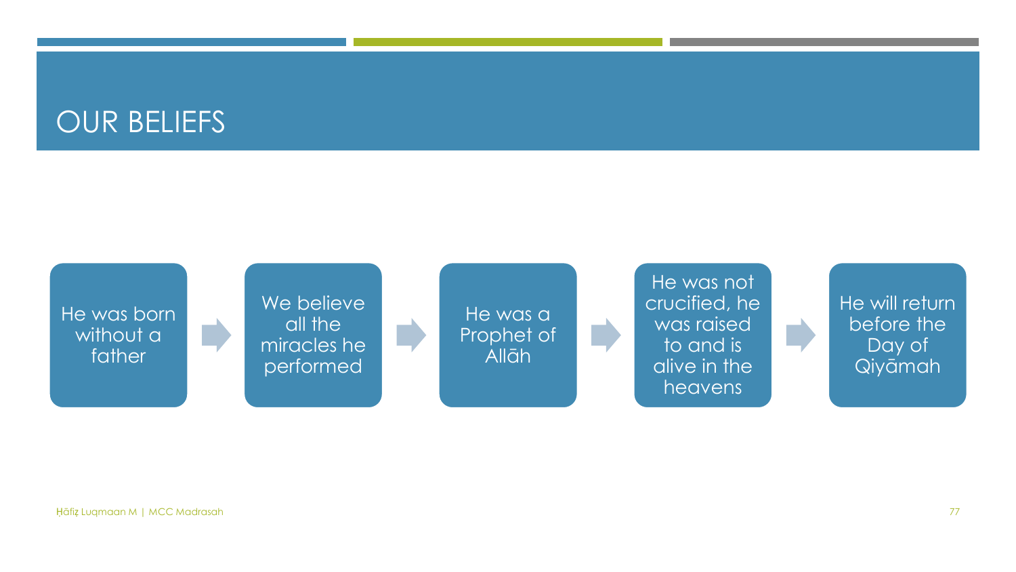#### OUR BELIEFS

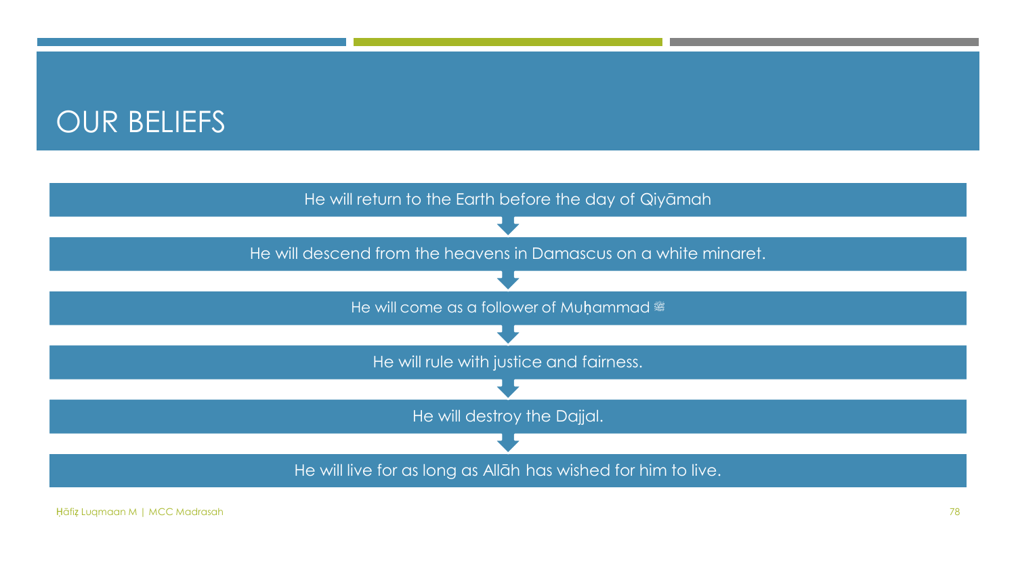#### OUR BELIEFS

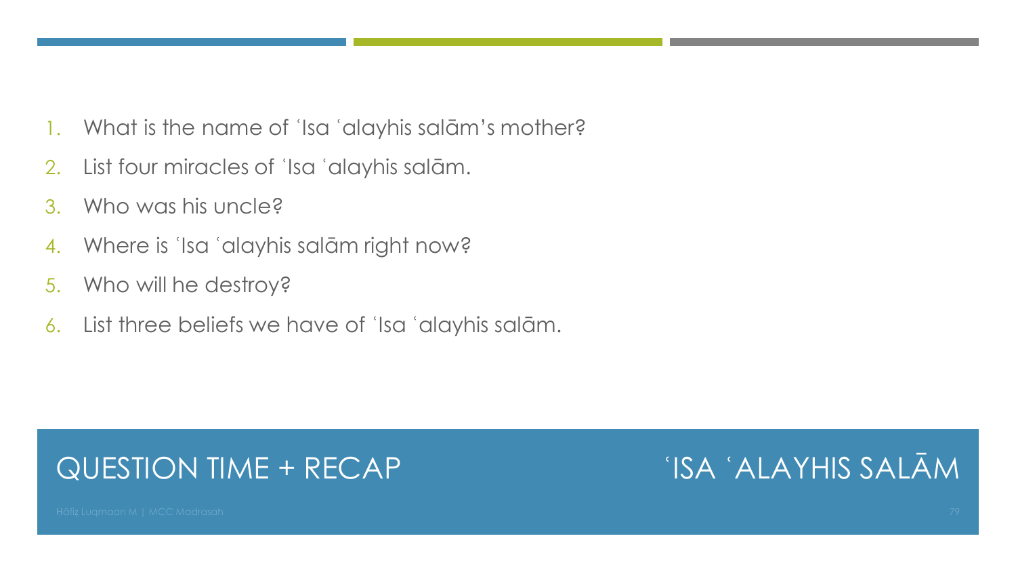- 1. What is the name of ʿIsa ʿalayhis salām's mother?
- 2. List four miracles of ʿIsa ʿalayhis salām.
- 3. Who was his uncle?
- 4. Where is 'Isa 'alayhis salām right now?
- 5. Who will he destroy?
- 6. List three beliefs we have of ʿIsa ʿalayhis salām.

#### QUESTION TIME + RECAP

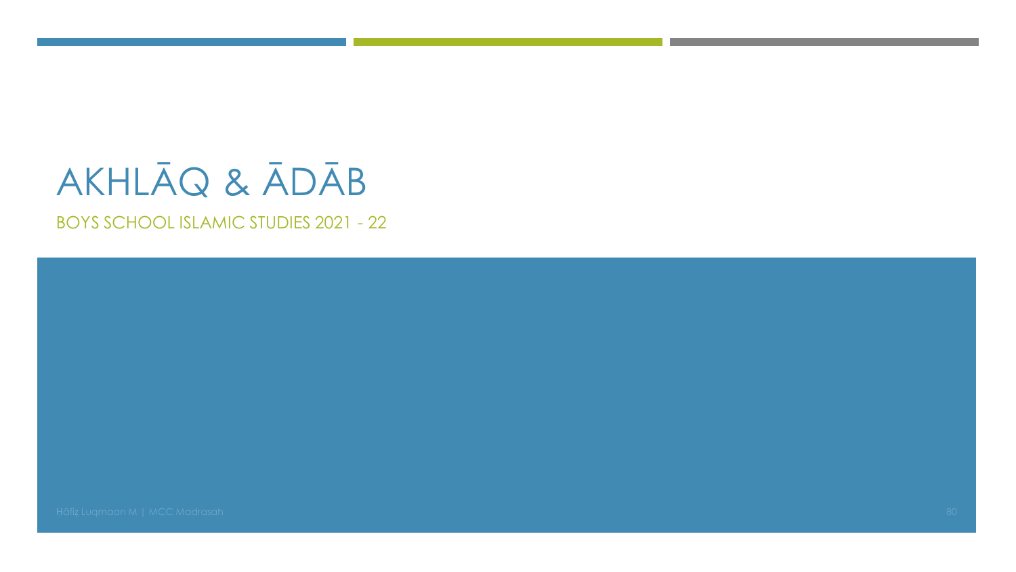# AKHLĀQ & ĀDĀB

BOYS SCHOOL ISLAMIC STUDIES 2021 - 22

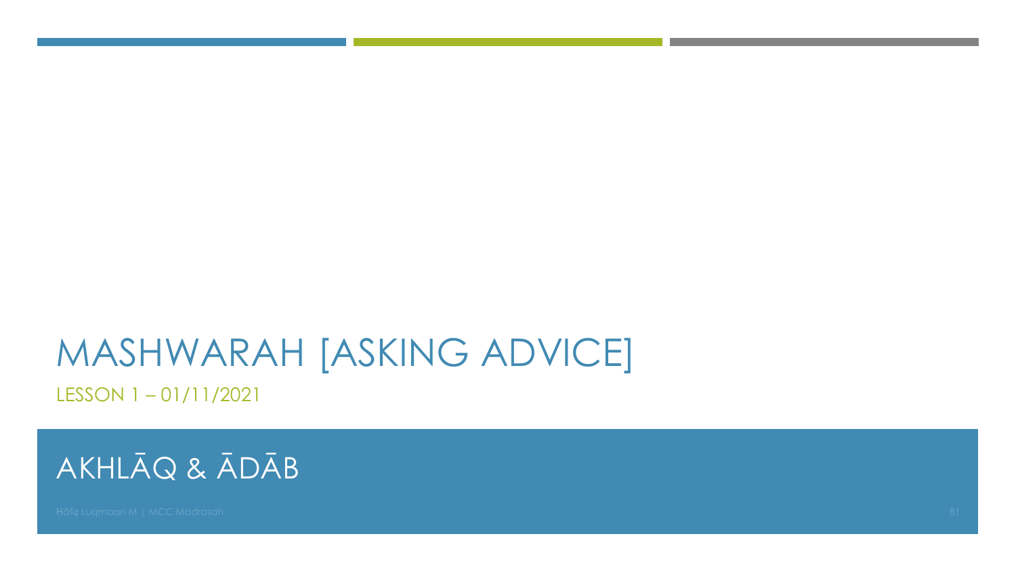LESSON 1 – 01/11/2021

#### AKHLĀQ & ĀDĀB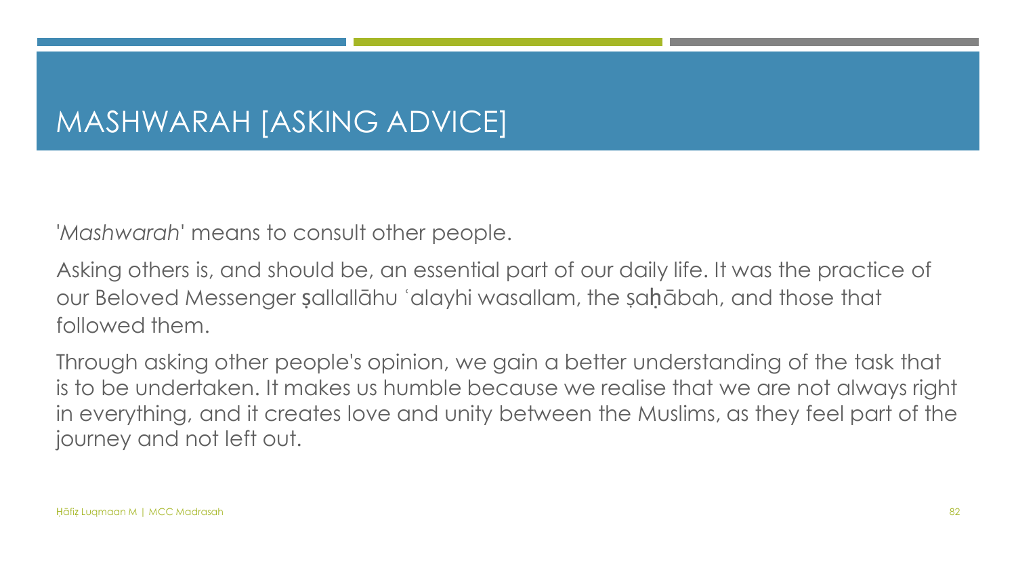'*Mashwarah*' means to consult other people.

Asking others is, and should be, an essential part of our daily life. It was the practice of our Beloved Messenger ṣallallāhu ʿalayhi wasallam, the Ṣaḥābah, and those that followed them.

Through asking other people's opinion, we gain a better understanding of the task that is to be undertaken. It makes us humble because we realise that we are not always right in everything, and it creates love and unity between the Muslims, as they feel part of the journey and not left out.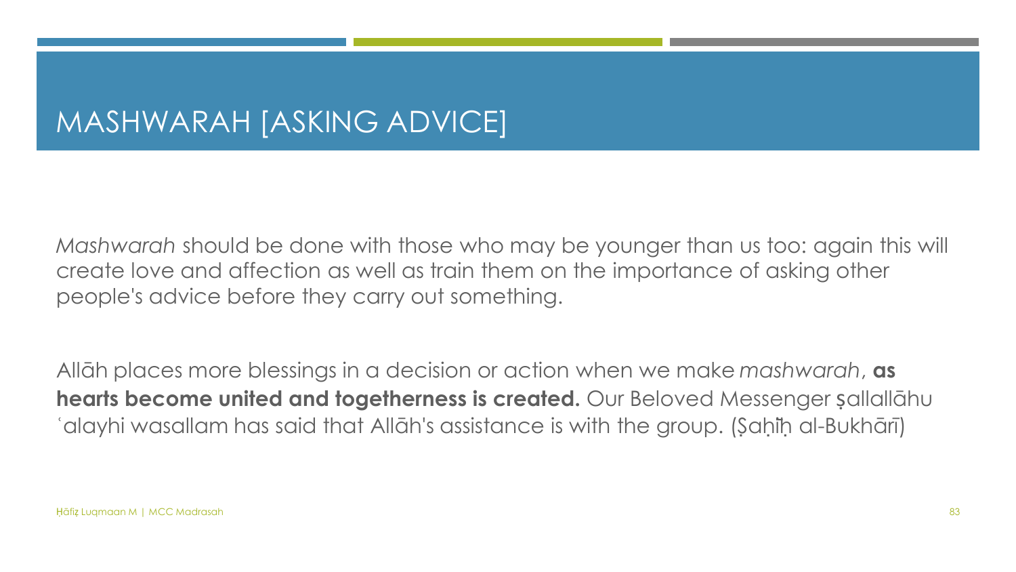*Mashwarah* should be done with those who may be younger than us too: again this will create love and affection as well as train them on the importance of asking other people's advice before they carry out something.

Allāh places more blessings in a decision or action when we make *mashwarah*, **as hearts become united and togetherness is created.** Our Beloved Messenger ṣallallāhu ʿalayhi wasallam has said that Allāh's assistance is with the group. (Ṣaḥīḥ al-Bukhārī)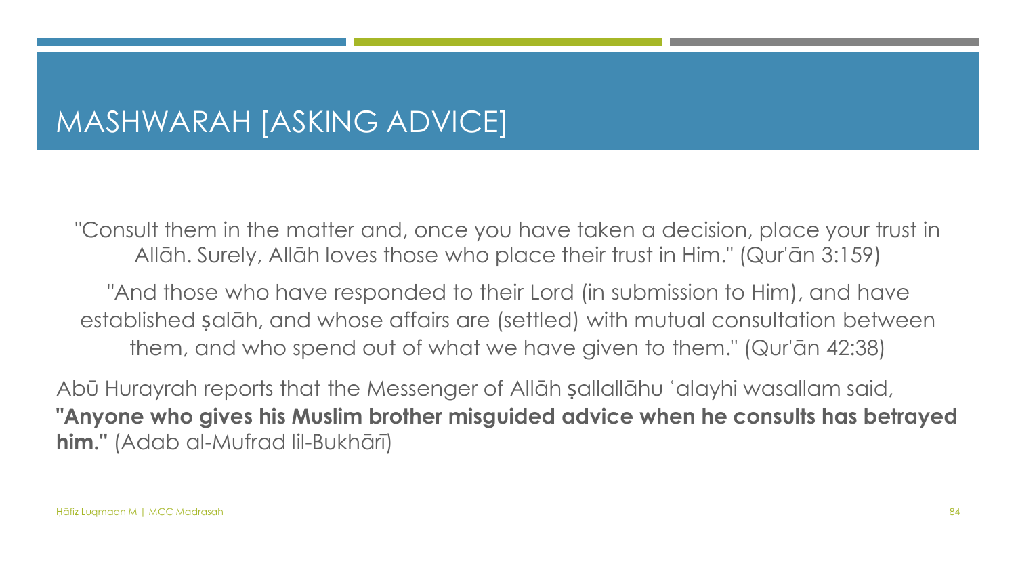"Consult them in the matter and, once you have taken a decision, place your trust in Allāh. Surely, Allāh loves those who place their trust in Him." (Qur'ān 3:159)

"And those who have responded to their Lord (in submission to Him), and have established ṣalāh, and whose affairs are (settled) with mutual consultation between them, and who spend out of what we have given to them." (Qur'ān 42:38)

Abū Hurayrah reports that the Messenger of Allāh ṣallallāhu ʿalayhi wasallam said, **"Anyone who gives his Muslim brother misguided advice when he consults has betrayed him."** (Adab al-Mufrad lil-Bukhārī)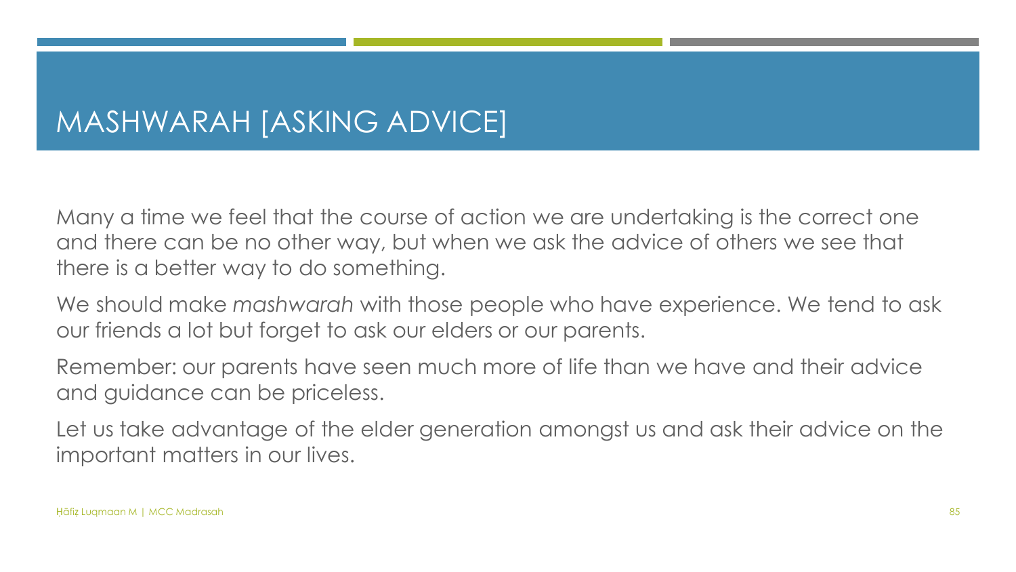Many a time we feel that the course of action we are undertaking is the correct one and there can be no other way, but when we ask the advice of others we see that there is a better way to do something.

We should make *mashwarah* with those people who have experience. We tend to ask our friends a lot but forget to ask our elders or our parents.

Remember: our parents have seen much more of life than we have and their advice and guidance can be priceless.

Let us take advantage of the elder generation amongst us and ask their advice on the important matters in our lives.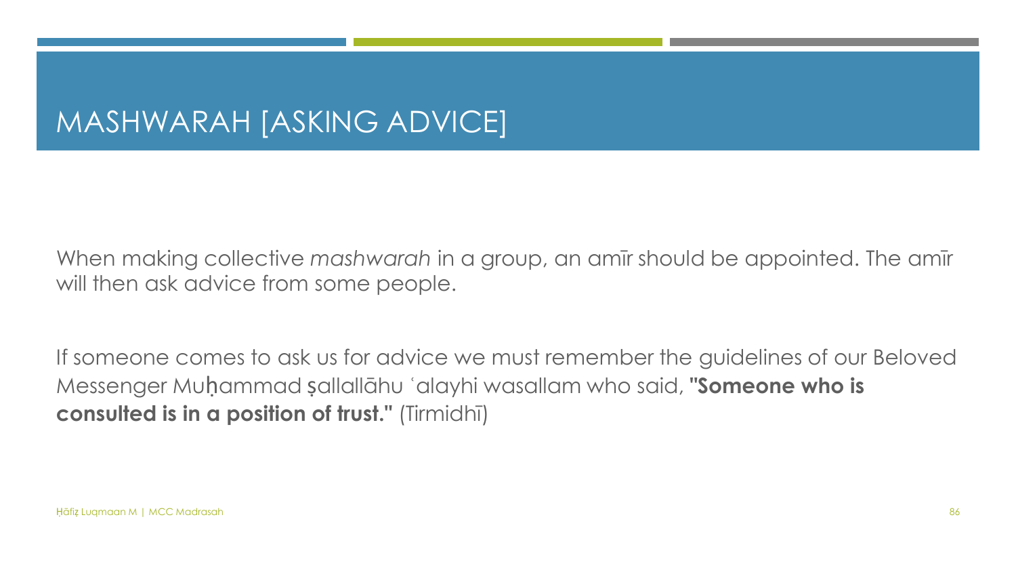When making collective *mashwarah* in a group, an amīr should be appointed. The amīr will then ask advice from some people.

If someone comes to ask us for advice we must remember the guidelines of our Beloved Messenger Muḥammad ṣallallāhu ʿalayhi wasallam who said, **"Someone who is consulted is in a position of trust."** (Tirmidhī)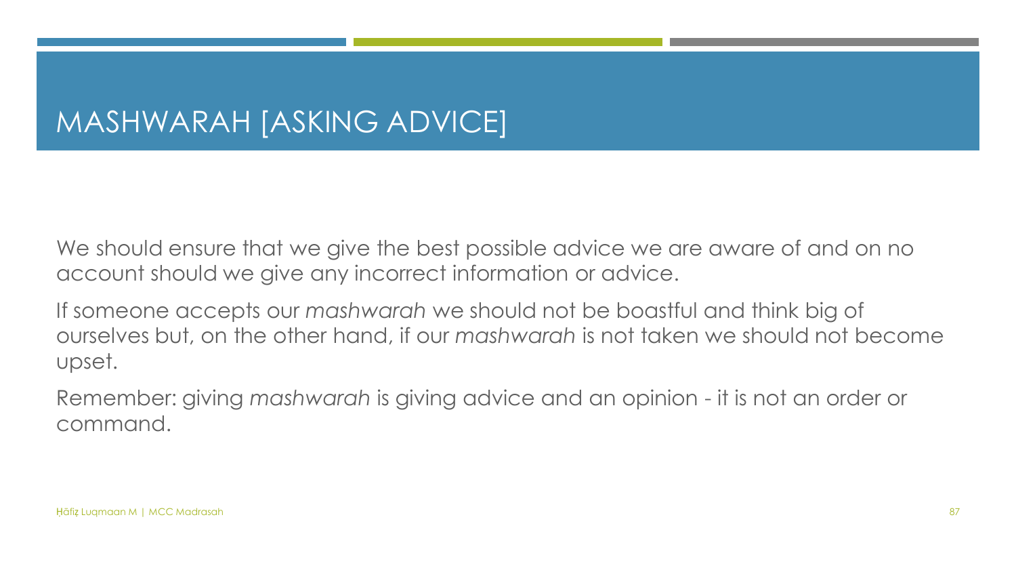We should ensure that we give the best possible advice we are aware of and on no account should we give any incorrect information or advice.

If someone accepts our *mashwarah* we should not be boastful and think big of ourselves but, on the other hand, if our *mashwarah* is not taken we should not become upset.

Remember: giving *mashwarah* is giving advice and an opinion - it is not an order or command.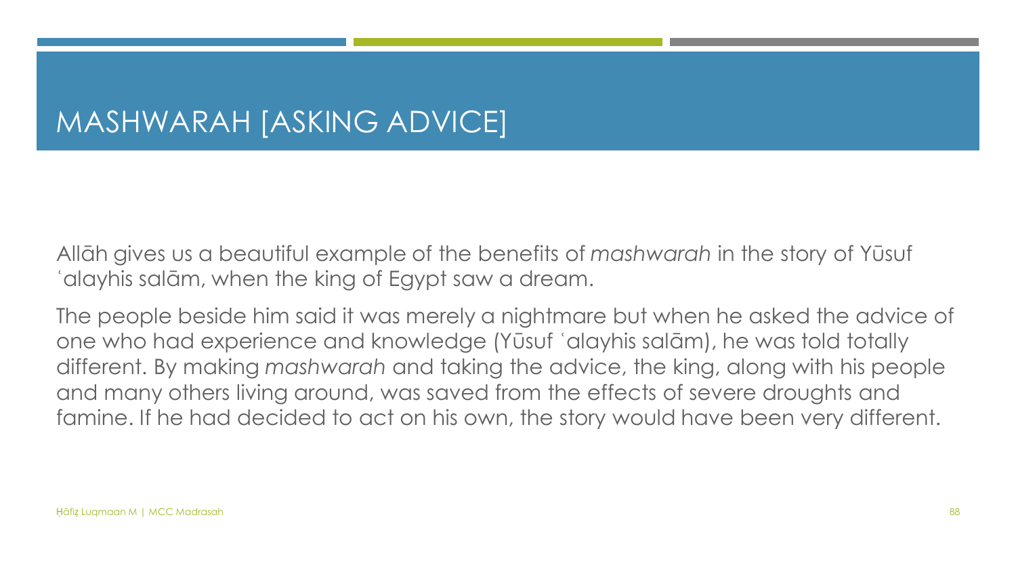Allāh gives us a beautiful example of the benefits of *mashwarah* in the story of Yūsuf ʿalayhis salām, when the king of Egypt saw a dream.

The people beside him said it was merely a nightmare but when he asked the advice of one who had experience and knowledge (Yūsuf ʿalayhis salām), he was told totally different. By making *mashwarah* and taking the advice, the king, along with his people and many others living around, was saved from the effects of severe droughts and famine. If he had decided to act on his own, the story would have been very different.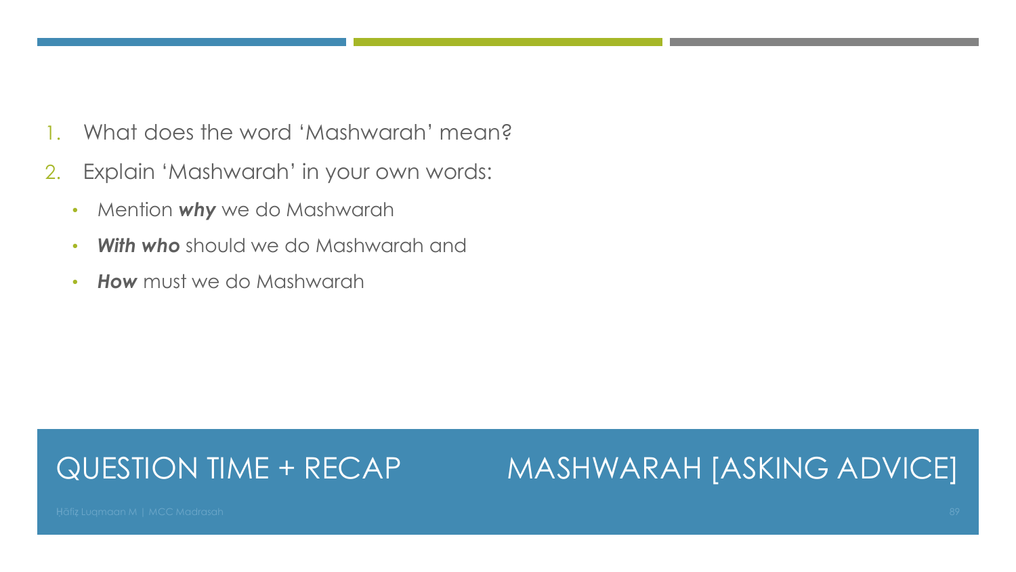- 1. What does the word 'Mashwarah' mean?
- 2. Explain 'Mashwarah' in your own words:
	- Mention *why* we do Mashwarah
	- *With who* should we do Mashwarah and
	- *How* must we do Mashwarah

#### QUESTION TIME + RECAP

#### MASHWARAH [ASKING ADVICE]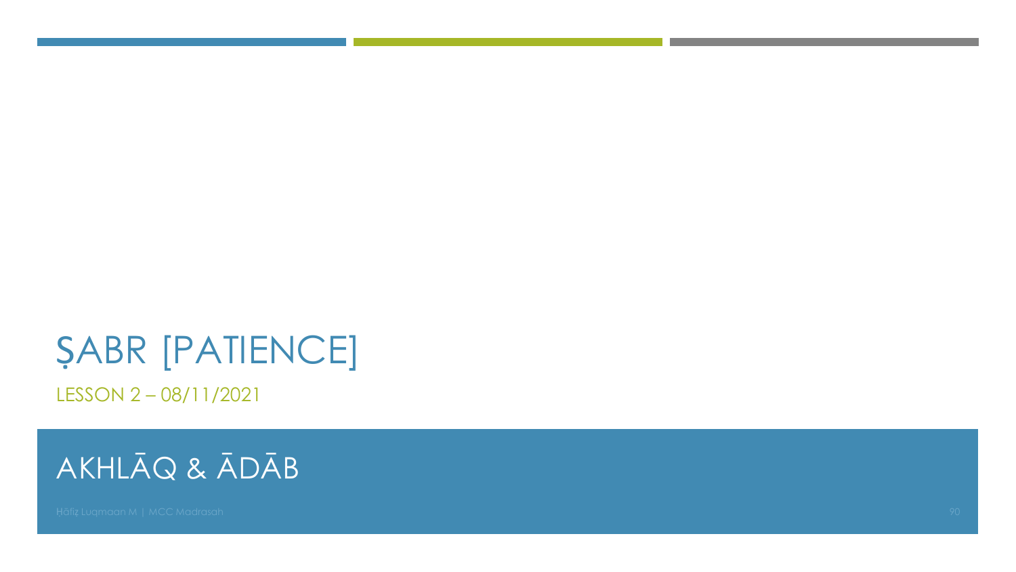LESSON 2 – 08/11/2021

### AKHLĀQ & ĀDĀB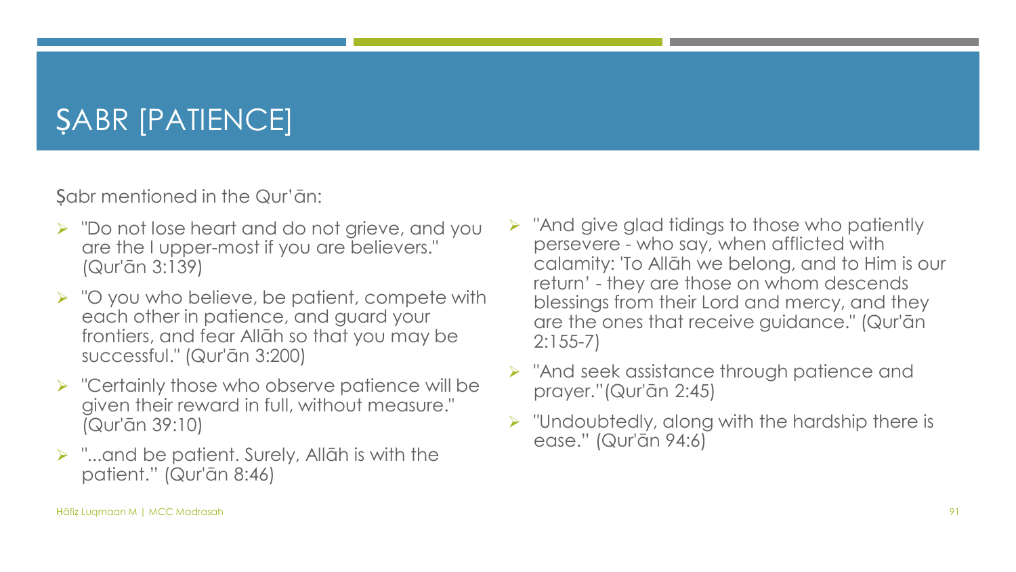Sabr mentioned in the Qur'ān:

- ➢ "Do not lose heart and do not grieve, and you are the I upper-most if you are believers." (Qur'ān 3:139)
- ➢ "O you who believe, be patient, compete with each other in patience, and guard your frontiers, and fear Allāh so that you may be successful." (Qur'ān 3:200)
- ➢ "Certainly those who observe patience will be given their reward in full, without measure." (Qur'ān 39:10)
- $\triangleright$  "...and be patient. Surely, Allāh is with the patient." (Qur'ān 8:46)
- $\triangleright$  "And give glad tidings to those who patiently persevere - who say, when afflicted with calamity: 'To Allāh we belong, and to Him is our return' - they are those on whom descends blessings from their Lord and mercy, and they are the ones that receive guidance." (Qur'ān 2:155-7)
- ➢ "And seek assistance through patience and prayer."(Qur'ān 2:45)
- $\triangleright$  "Undoubtedly, along with the hardship there is ease." (Qur'ān 94:6)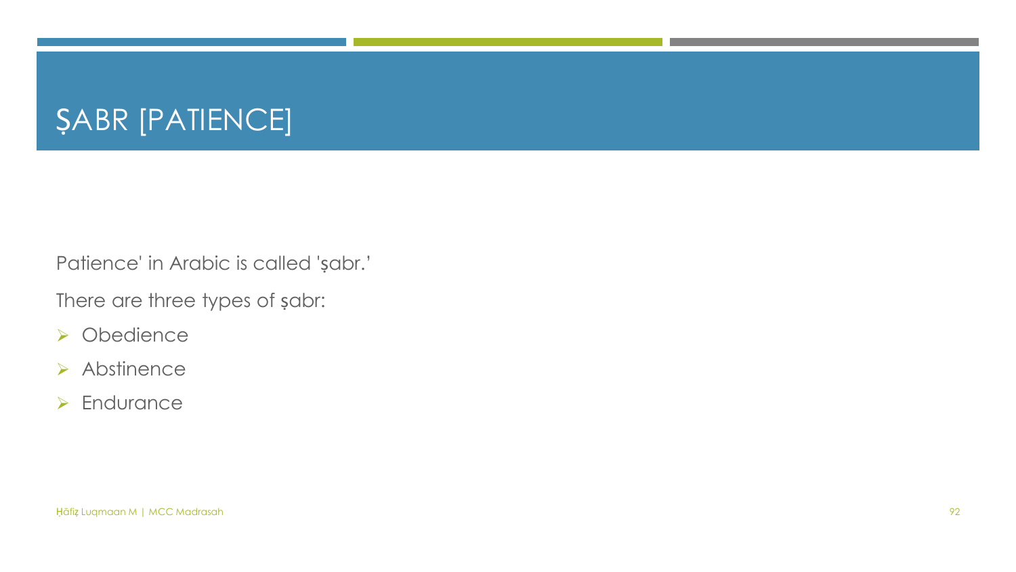Patience' in Arabic is called 'ṣabr.'

There are three types of ṣabr:

- ➢ Obedience
- ➢ Abstinence
- ➢ Endurance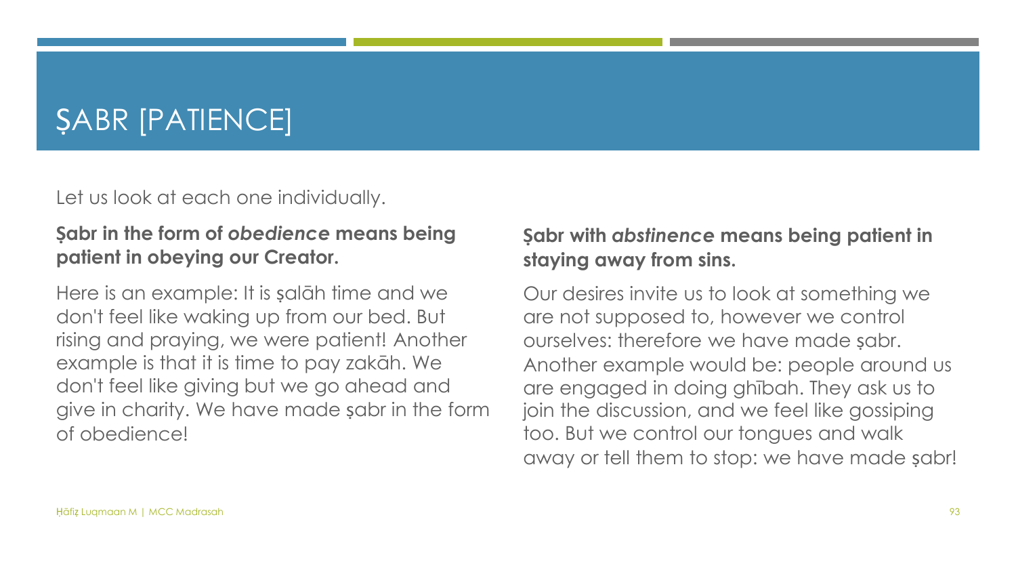Let us look at each one individually.

#### **Ṣabr in the form of** *obedience* **means being patient in obeying our Creator.**

Here is an example: It is ṣalāh time and we don't feel like waking up from our bed. But rising and praying, we were patient! Another example is that it is time to pay zakāh. We don't feel like giving but we go ahead and give in charity. We have made ṣabr in the form of obedience!

#### **Ṣabr with** *abstinence* **means being patient in staying away from sins.**

Our desires invite us to look at something we are not supposed to, however we control ourselves: therefore we have made sabr. Another example would be: people around us are engaged in doing ghībah. They ask us to join the discussion, and we feel like gossiping too. But we control our tongues and walk away or tell them to stop: we have made ṣabr!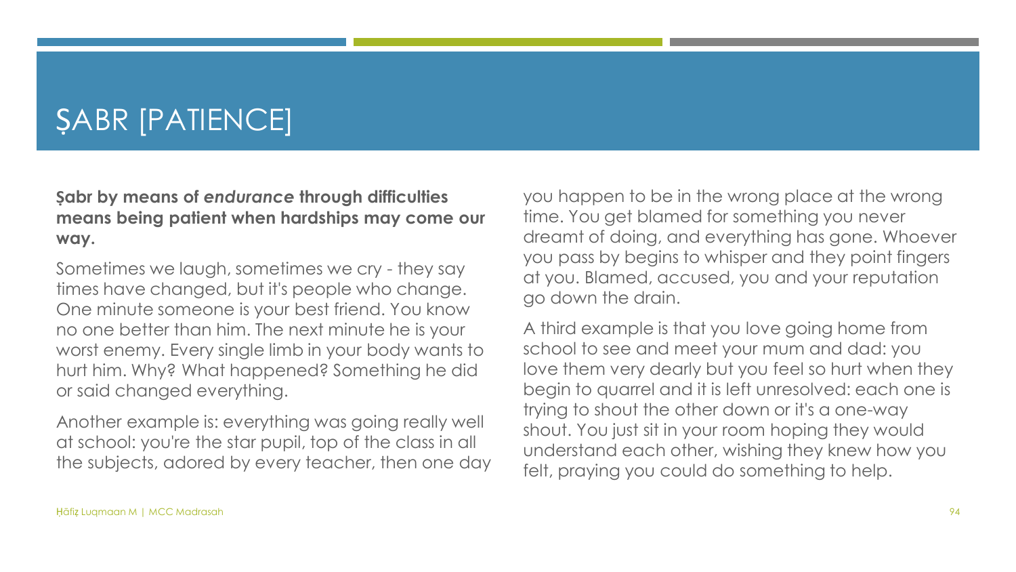**Ṣabr by means of** *endurance* **through difficulties means being patient when hardships may come our way.**

Sometimes we laugh, sometimes we cry - they say times have changed, but it's people who change. One minute someone is your best friend. You know no one better than him. The next minute he is your worst enemy. Every single limb in your body wants to hurt him. Why? What happened? Something he did or said changed everything.

Another example is: everything was going really well at school: you're the star pupil, top of the class in all the subjects, adored by every teacher, then one day you happen to be in the wrong place at the wrong time. You get blamed for something you never dreamt of doing, and everything has gone. Whoever you pass by begins to whisper and they point fingers at you. Blamed, accused, you and your reputation go down the drain.

A third example is that you love going home from school to see and meet your mum and dad: you love them very dearly but you feel so hurt when they begin to quarrel and it is left unresolved: each one is trying to shout the other down or it's a one-way shout. You just sit in your room hoping they would understand each other, wishing they knew how you felt, praying you could do something to help.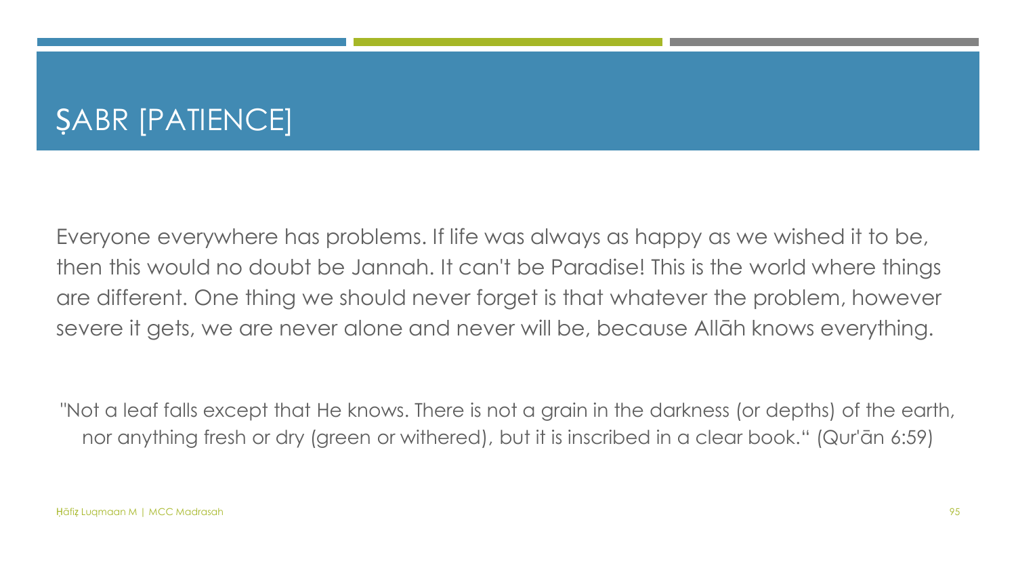Everyone everywhere has problems. If life was always as happy as we wished it to be, then this would no doubt be Jannah. It can't be Paradise! This is the world where things are different. One thing we should never forget is that whatever the problem, however severe it gets, we are never alone and never will be, because Allāh knows everything.

"Not a leaf falls except that He knows. There is not a grain in the darkness (or depths) of the earth, nor anything fresh or dry (green or withered), but it is inscribed in a clear book." (Qur'ān 6:59)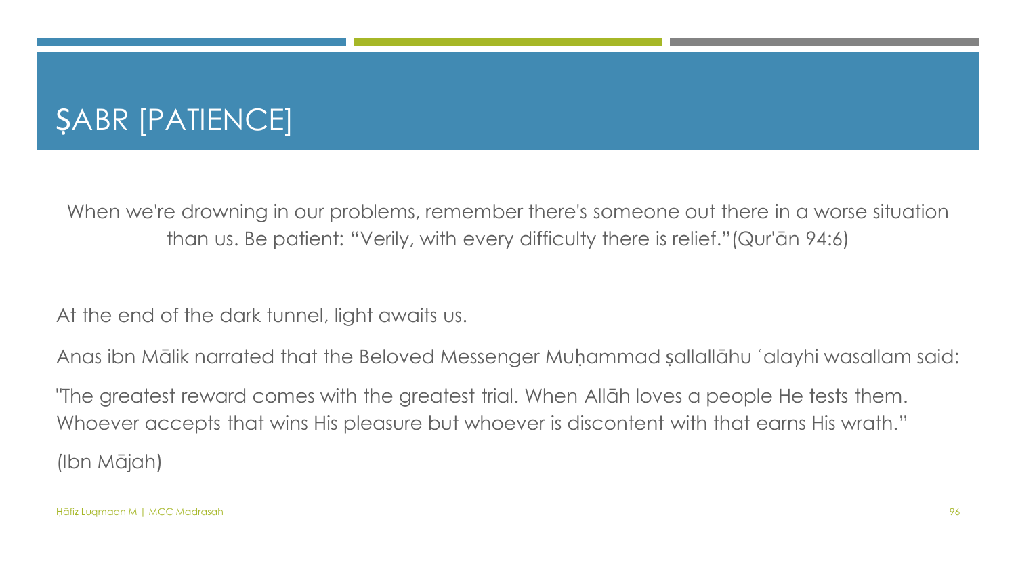When we're drowning in our problems, remember there's someone out there in a worse situation than us. Be patient: "Verily, with every difficulty there is relief."(Qur'ān 94:6)

At the end of the dark tunnel, light awaits us.

Anas ibn Mālik narrated that the Beloved Messenger Muḥammad ṣallallāhu ʿalayhi wasallam said:

"The greatest reward comes with the greatest trial. When Allāh loves a people He tests them. Whoever accepts that wins His pleasure but whoever is discontent with that earns His wrath." (Ibn Mājah)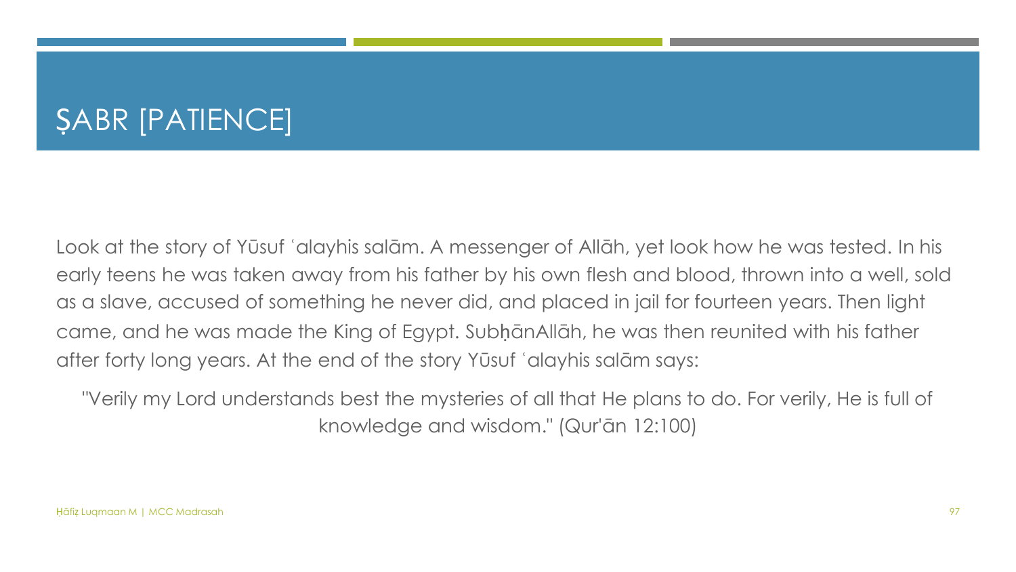Look at the story of Yūsuf ʿalayhis salām. A messenger of Allāh, yet look how he was tested. In his early teens he was taken away from his father by his own flesh and blood, thrown into a well, sold as a slave, accused of something he never did, and placed in jail for fourteen years. Then light came, and he was made the King of Egypt. SubḥānAllāh, he was then reunited with his father after forty long years. At the end of the story Yūsuf ʿalayhis salām says:

"Verily my Lord understands best the mysteries of all that He plans to do. For verily, He is full of knowledge and wisdom." (Qur'ān 12:100)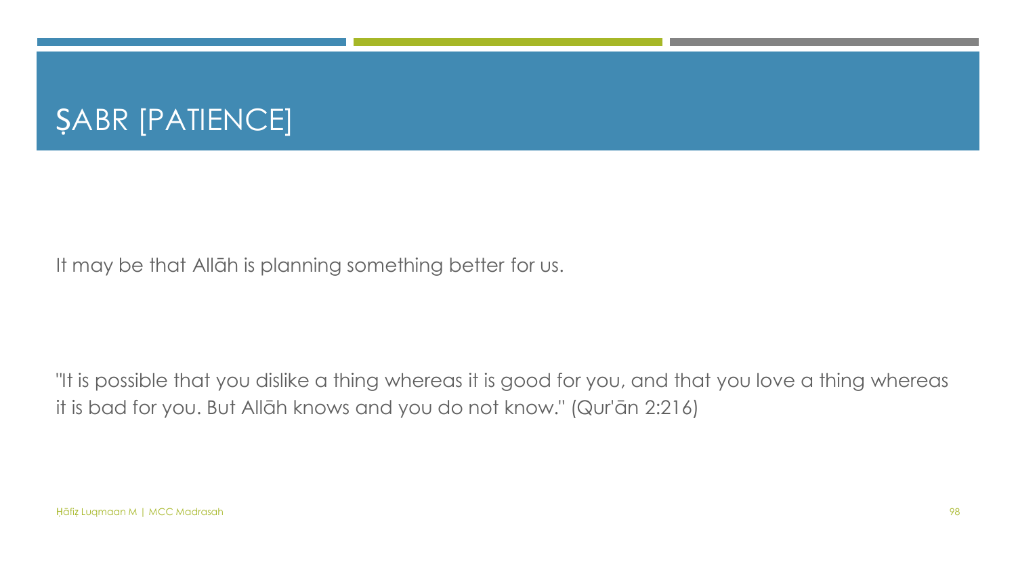It may be that Allāh is planning something better for us.

"It is possible that you dislike a thing whereas it is good for you, and that you love a thing whereas it is bad for you. But Allāh knows and you do not know." (Qur'ān 2:216)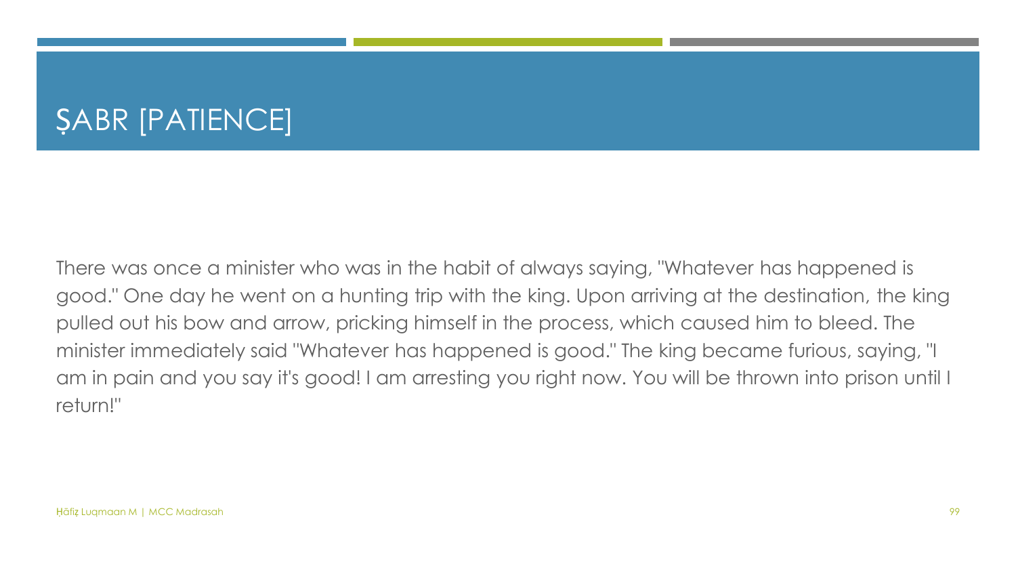There was once a minister who was in the habit of always saying, "Whatever has happened is good." One day he went on a hunting trip with the king. Upon arriving at the destination, the king pulled out his bow and arrow, pricking himself in the process, which caused him to bleed. The minister immediately said "Whatever has happened is good." The king became furious, saying, "I am in pain and you say it's good! I am arresting you right now. You will be thrown into prison until I return!"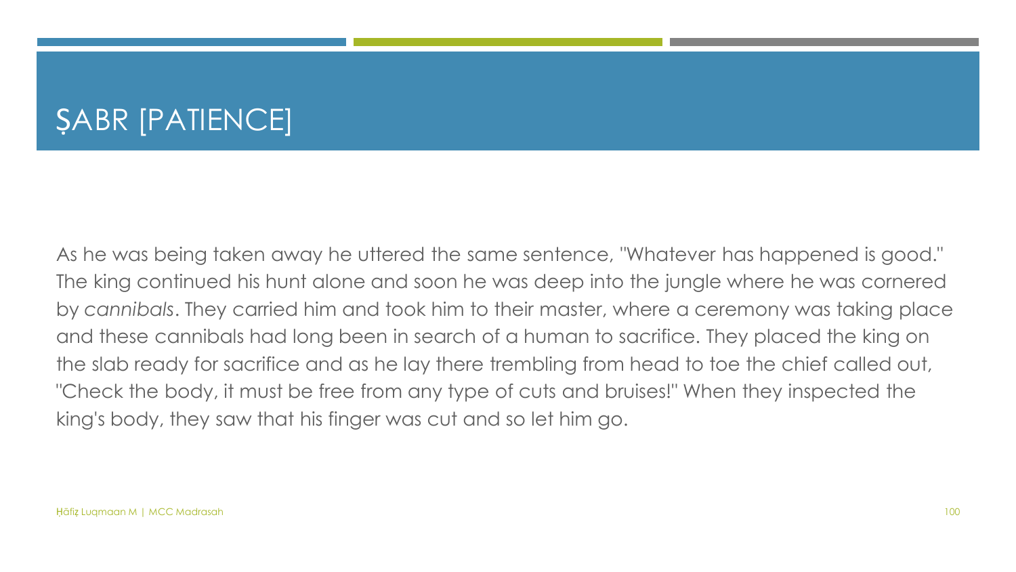As he was being taken away he uttered the same sentence, "Whatever has happened is good." The king continued his hunt alone and soon he was deep into the jungle where he was cornered by *cannibals*. They carried him and took him to their master, where a ceremony was taking place and these cannibals had long been in search of a human to sacrifice. They placed the king on the slab ready for sacrifice and as he lay there trembling from head to toe the chief called out, "Check the body, it must be free from any type of cuts and bruises!" When they inspected the king's body, they saw that his finger was cut and so let him go.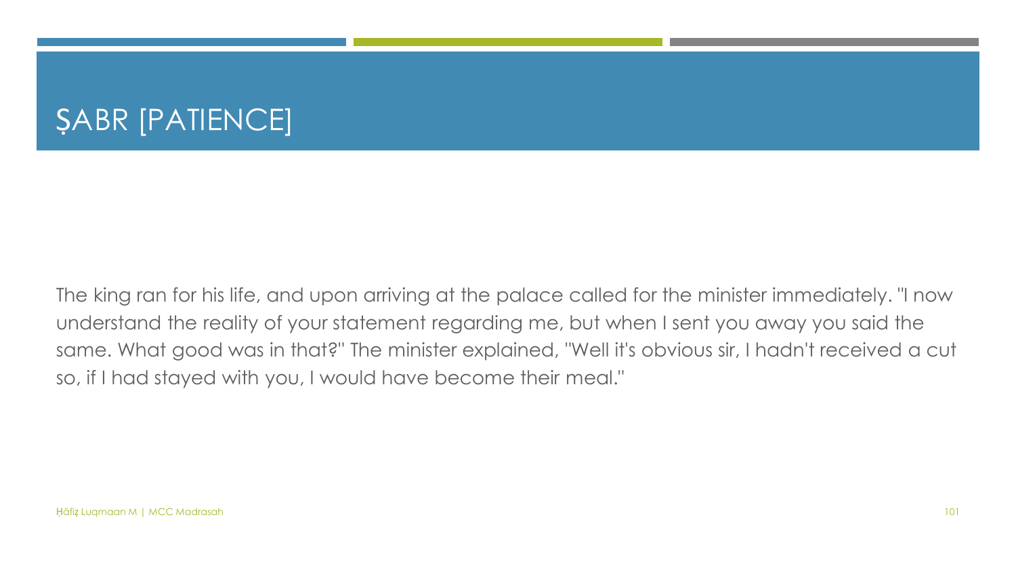The king ran for his life, and upon arriving at the palace called for the minister immediately. "I now understand the reality of your statement regarding me, but when I sent you away you said the same. What good was in that?" The minister explained, "Well it's obvious sir, I hadn't received a cut so, if I had stayed with you, I would have become their meal."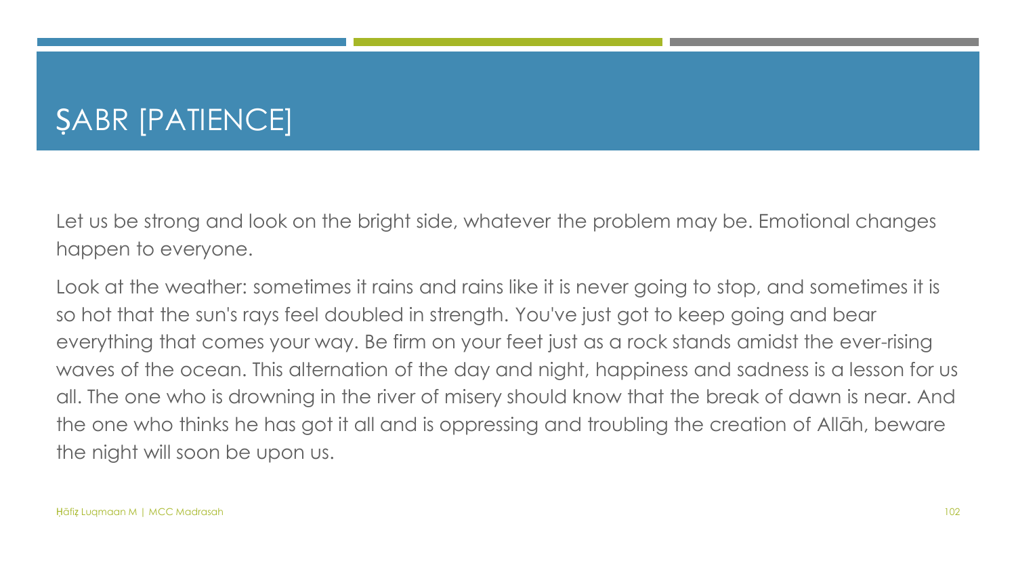Let us be strong and look on the bright side, whatever the problem may be. Emotional changes happen to everyone.

Look at the weather: sometimes it rains and rains like it is never going to stop, and sometimes it is so hot that the sun's rays feel doubled in strength. You've just got to keep going and bear everything that comes your way. Be firm on your feet just as a rock stands amidst the ever-rising waves of the ocean. This alternation of the day and night, happiness and sadness is a lesson for us all. The one who is drowning in the river of misery should know that the break of dawn is near. And the one who thinks he has got it all and is oppressing and troubling the creation of Allāh, beware the night will soon be upon us.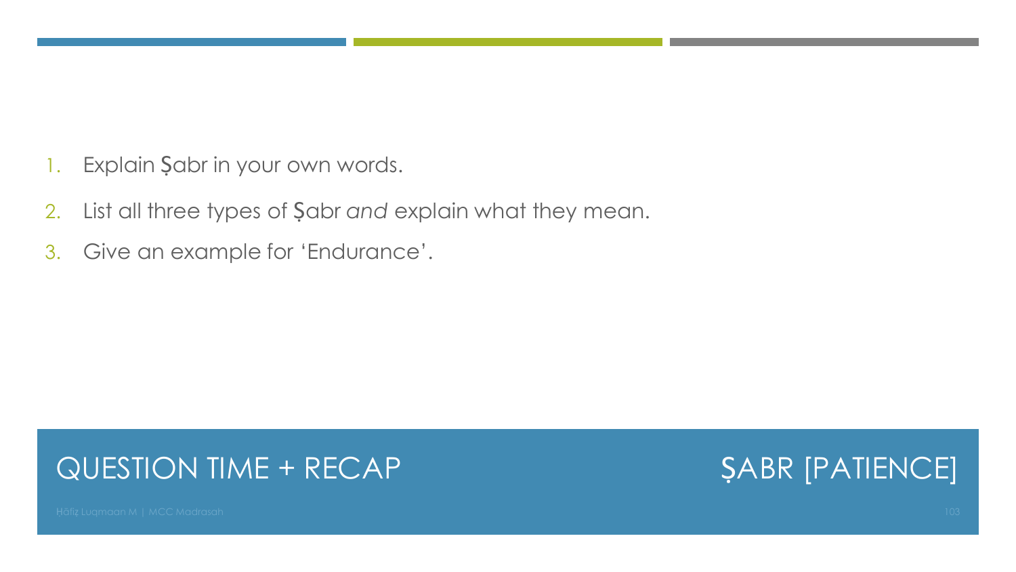- 1. Explain Şabr in your own words.
- 2. List all three types of Ṣabr *and* explain what they mean.
- 3. Give an example for 'Endurance'.

#### QUESTION TIME + RECAP

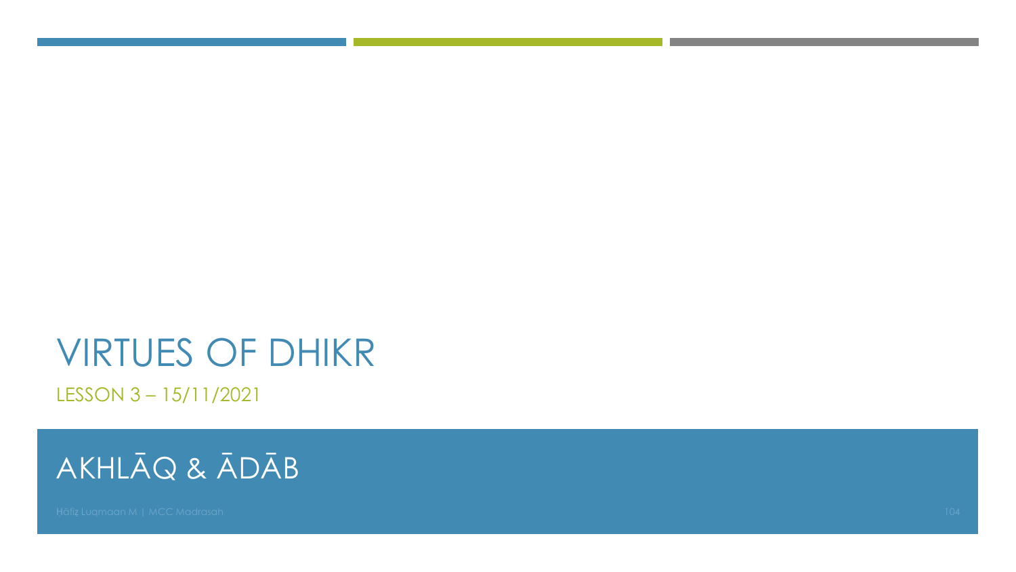## VIRTUES OF DHIKR

LESSON 3 – 15/11/2021

### AKHLĀQ & ĀDĀB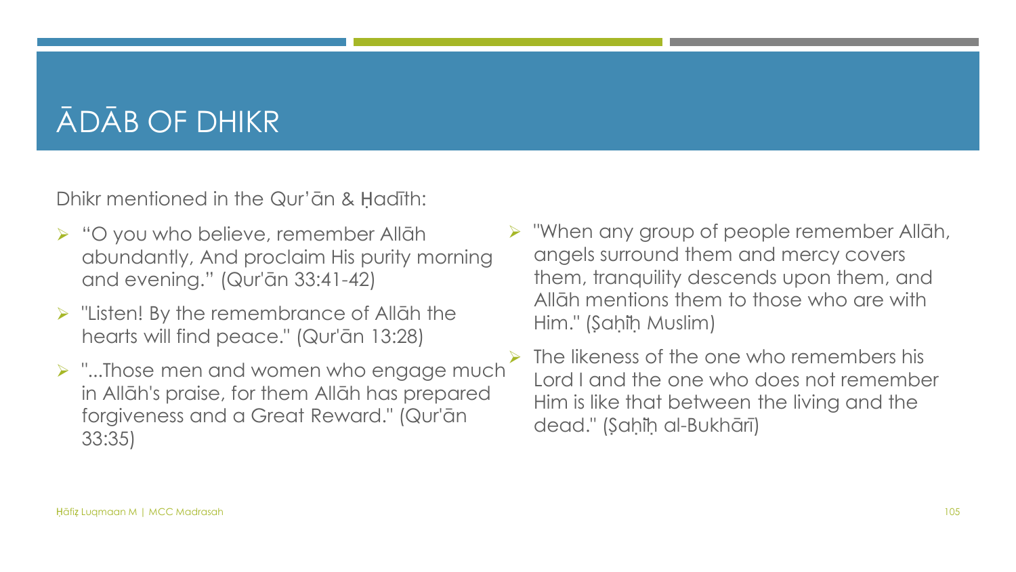#### ĀDĀB OF DHIKR

Dhikr mentioned in the Qur'ān & Ḥadīth:

- ➢ "O you who believe, remember Allāh abundantly, And proclaim His purity morning and evening." (Qur'ān 33:41-42)
- ➢ "Listen! By the remembrance of Allāh the hearts will find peace." (Qur'ān 13:28)
- ➢ "...Those men and women who engage much in Allāh's praise, for them Allāh has prepared forgiveness and a Great Reward." (Qur'ān 33:35)
- ➢ "When any group of people remember Allāh, angels surround them and mercy covers them, tranquility descends upon them, and Allāh mentions them to those who are with Him." (Saḥiḥ Muslim)
	- The likeness of the one who remembers his Lord I and the one who does not remember Him is like that between the living and the dead." (Sahih al-Bukhārī)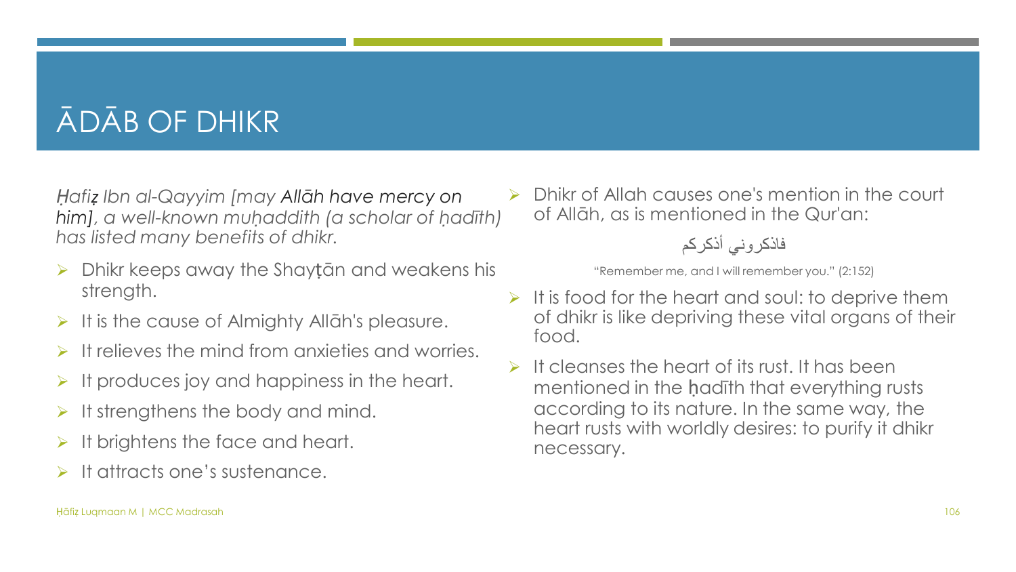### ĀDĀB OF DHIKR

*Ḥafiẓ Ibn al-Qayyim [may Allāh have mercy on him], a well-known muḥaddith (a scholar of ḥadīth) has listed many benefits of dhikr.*

- ➢ Dhikr keeps away the Shayṭān and weakens his strength.
- It is the cause of Almighty Allah's pleasure.
- It relieves the mind from anxieties and worries.
- It produces joy and happiness in the heart.
- It strengthens the body and mind.
- It brightens the face and heart.
- It attracts one's sustenance.

➢ Dhikr of Allah causes one's mention in the court of Allāh, as is mentioned in the Qur'an:

فاذكروني أذكركم

"Remember me, and I will remember you." (2:152)

- $\triangleright$  It is food for the heart and soul: to deprive them of dhikr is like depriving these vital organs of their food.
- $\triangleright$  It cleanses the heart of its rust. It has been mentioned in the ḥadīth that everything rusts according to its nature. In the same way, the heart rusts with worldly desires: to purify it dhikr necessary.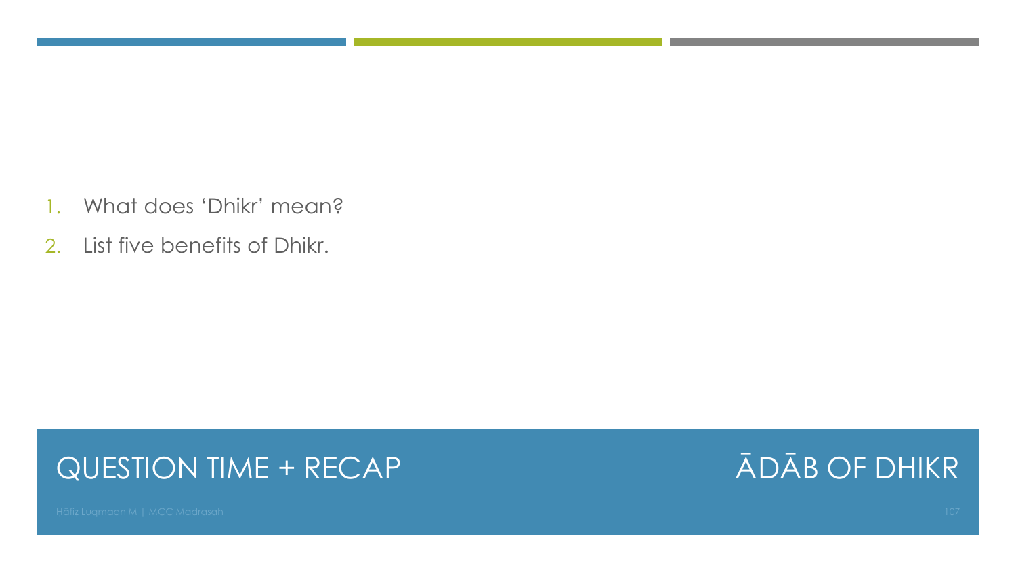- 1. What does 'Dhikr' mean?
- 2. List five benefits of Dhikr.

#### QUESTION TIME + RECAP

#### ĀDĀB OF DHIKR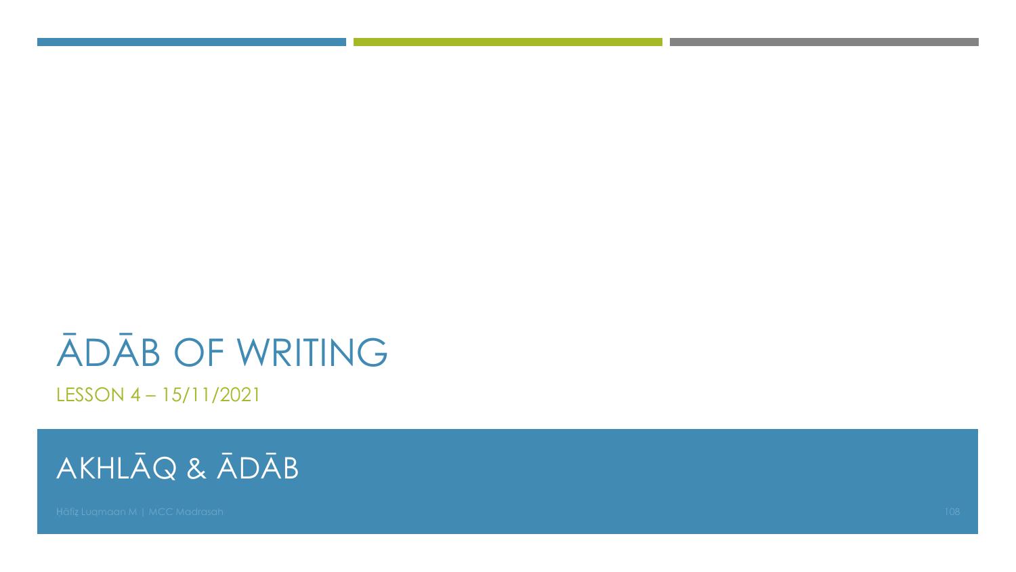# ĀDĀB OF WRITING

LESSON 4 – 15/11/2021

### AKHLĀQ & ĀDĀB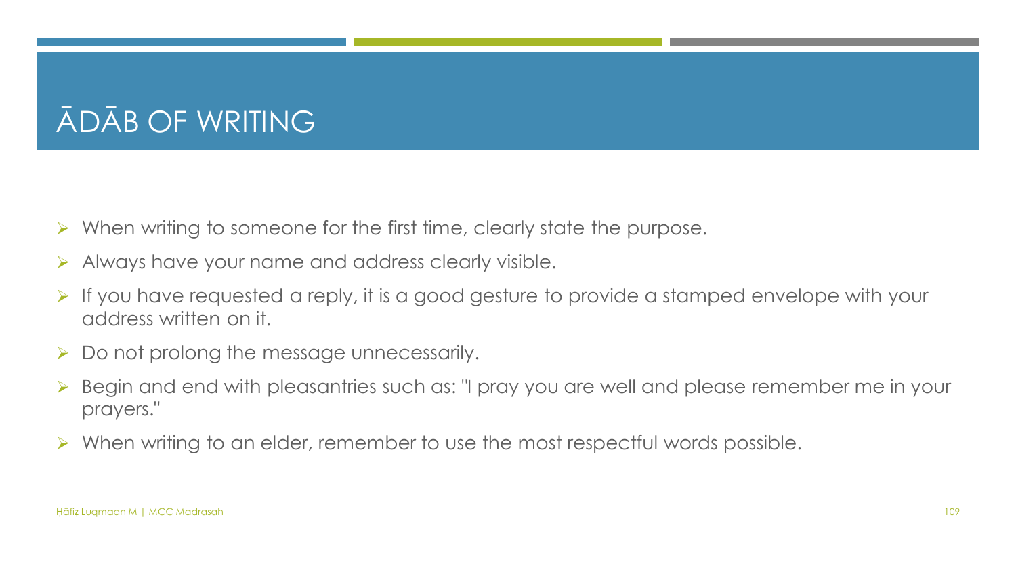## ĀDĀB OF WRITING

- ➢ When writing to someone for the first time, clearly state the purpose.
- ➢ Always have your name and address clearly visible.
- ➢ If you have requested a reply, it is a good gesture to provide a stamped envelope with your address written on it.
- $\triangleright$  Do not prolong the message unnecessarily.
- Begin and end with pleasantries such as: "I pray you are well and please remember me in your prayers."
- ➢ When writing to an elder, remember to use the most respectful words possible.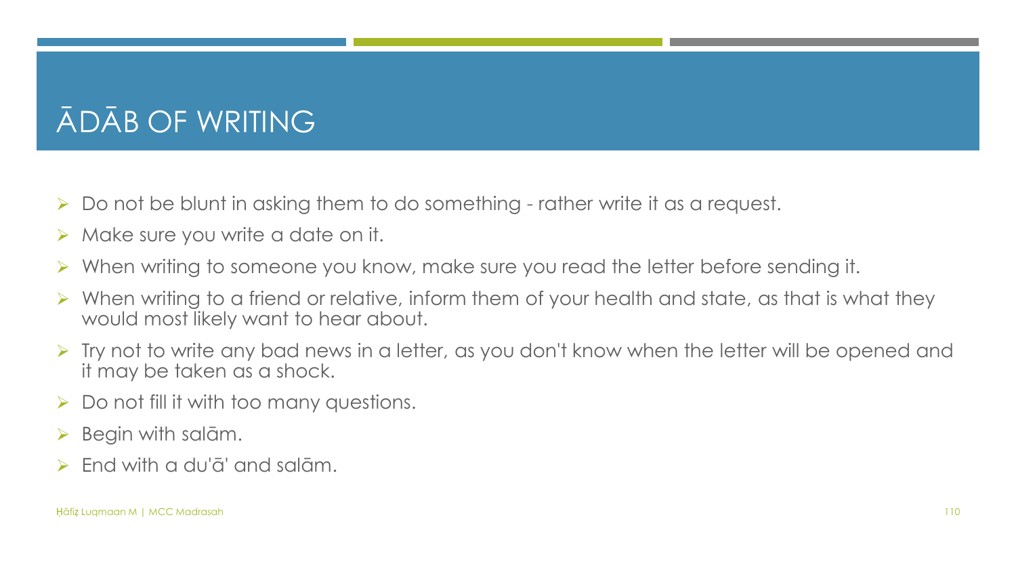## ĀDĀB OF WRITING

- ➢ Do not be blunt in asking them to do something rather write it as a request.
- $\triangleright$  Make sure you write a date on it.
- When writing to someone you know, make sure you read the letter before sending it.
- ➢ When writing to a friend or relative, inform them of your health and state, as that is what they would most likely want to hear about.
- ➢ Try not to write any bad news in a letter, as you don't know when the letter will be opened and it may be taken as a shock.
- $\triangleright$  Do not fill it with too many questions.
- $\triangleright$  Begin with salām.
- ➢ End with a du'ā' and salām.